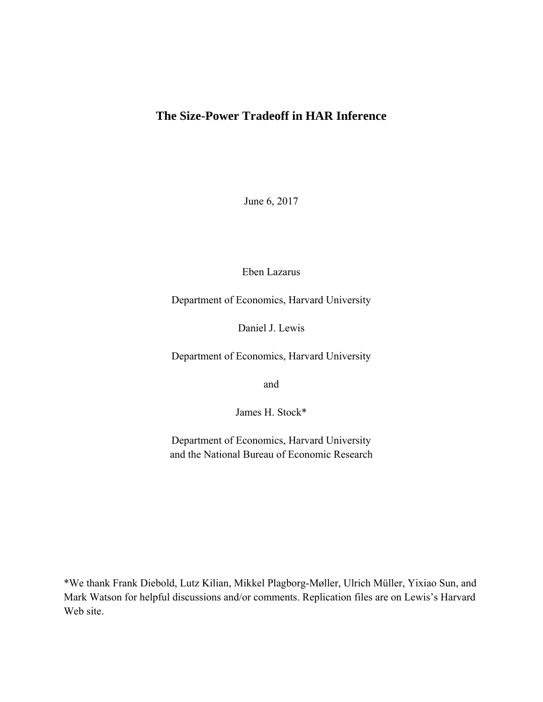# **The Size-Power Tradeoff in HAR Inference**

June 6, 2017

Eben Lazarus

Department of Economics, Harvard University

Daniel J. Lewis

Department of Economics, Harvard University

and

James H. Stock\*

Department of Economics, Harvard University and the National Bureau of Economic Research

\*We thank Frank Diebold, Lutz Kilian, Mikkel Plagborg-Møller, Ulrich Müller, Yixiao Sun, and Mark Watson for helpful discussions and/or comments. Replication files are on Lewis's Harvard Web site.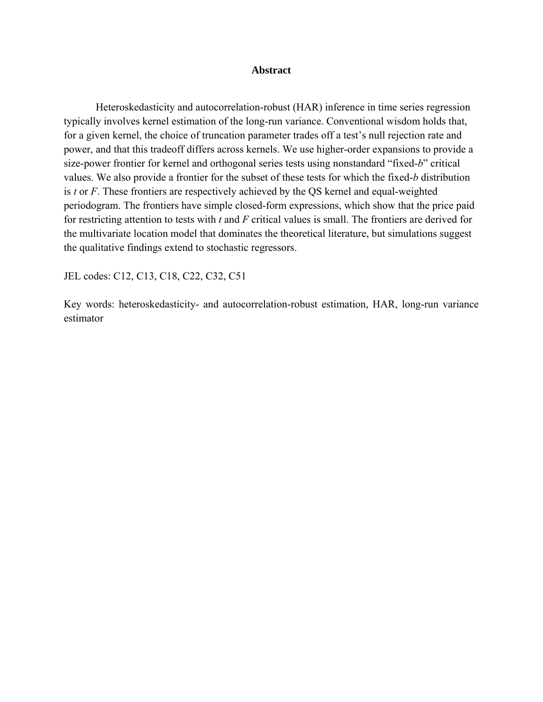## **Abstract**

Heteroskedasticity and autocorrelation-robust (HAR) inference in time series regression typically involves kernel estimation of the long-run variance. Conventional wisdom holds that, for a given kernel, the choice of truncation parameter trades off a test's null rejection rate and power, and that this tradeoff differs across kernels. We use higher-order expansions to provide a size-power frontier for kernel and orthogonal series tests using nonstandard "fixed-*b*" critical values. We also provide a frontier for the subset of these tests for which the fixed-*b* distribution is *t* or *F*. These frontiers are respectively achieved by the QS kernel and equal-weighted periodogram. The frontiers have simple closed-form expressions, which show that the price paid for restricting attention to tests with *t* and *F* critical values is small. The frontiers are derived for the multivariate location model that dominates the theoretical literature, but simulations suggest the qualitative findings extend to stochastic regressors.

JEL codes: C12, C13, C18, C22, C32, C51

Key words: heteroskedasticity- and autocorrelation-robust estimation, HAR, long-run variance estimator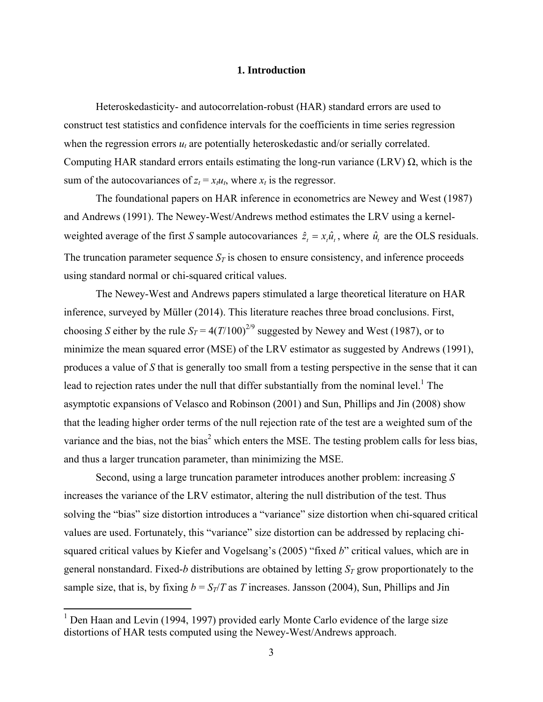### **1. Introduction**

Heteroskedasticity- and autocorrelation-robust (HAR) standard errors are used to construct test statistics and confidence intervals for the coefficients in time series regression when the regression errors  $u_t$  are potentially heteroskedastic and/or serially correlated. Computing HAR standard errors entails estimating the long-run variance (LRV)  $\Omega$ , which is the sum of the autocovariances of  $z_t = x_t u_t$ , where  $x_t$  is the regressor.

The foundational papers on HAR inference in econometrics are Newey and West (1987) and Andrews (1991). The Newey-West/Andrews method estimates the LRV using a kernelweighted average of the first *S* sample autocovariances  $\hat{z}_t = x_t \hat{u}_t$ , where  $\hat{u}_t$  are the OLS residuals. The truncation parameter sequence  $S_T$  is chosen to ensure consistency, and inference proceeds using standard normal or chi-squared critical values.

The Newey-West and Andrews papers stimulated a large theoretical literature on HAR inference, surveyed by Müller (2014). This literature reaches three broad conclusions. First, choosing *S* either by the rule  $S_T = 4(T/100)^{2/9}$  suggested by Newey and West (1987), or to minimize the mean squared error (MSE) of the LRV estimator as suggested by Andrews (1991), produces a value of *S* that is generally too small from a testing perspective in the sense that it can lead to rejection rates under the null that differ substantially from the nominal level.<sup>1</sup> The asymptotic expansions of Velasco and Robinson (2001) and Sun, Phillips and Jin (2008) show that the leading higher order terms of the null rejection rate of the test are a weighted sum of the variance and the bias, not the bias<sup>2</sup> which enters the MSE. The testing problem calls for less bias, and thus a larger truncation parameter, than minimizing the MSE.

Second, using a large truncation parameter introduces another problem: increasing *S* increases the variance of the LRV estimator, altering the null distribution of the test. Thus solving the "bias" size distortion introduces a "variance" size distortion when chi-squared critical values are used. Fortunately, this "variance" size distortion can be addressed by replacing chisquared critical values by Kiefer and Vogelsang's (2005) "fixed *b*" critical values, which are in general nonstandard. Fixed-*b* distributions are obtained by letting  $S_T$  grow proportionately to the sample size, that is, by fixing  $b = S_T/T$  as *T* increases. Jansson (2004), Sun, Phillips and Jin

<sup>&</sup>lt;sup>1</sup> Den Haan and Levin (1994, 1997) provided early Monte Carlo evidence of the large size distortions of HAR tests computed using the Newey-West/Andrews approach.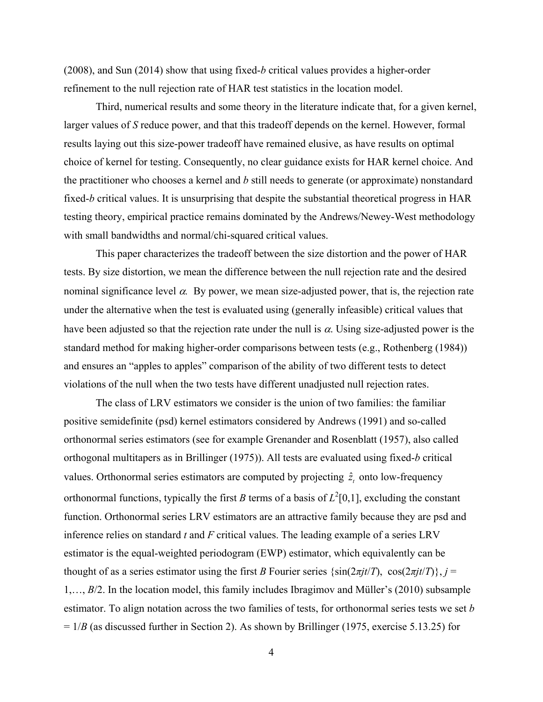(2008), and Sun (2014) show that using fixed-*b* critical values provides a higher-order refinement to the null rejection rate of HAR test statistics in the location model.

Third, numerical results and some theory in the literature indicate that, for a given kernel, larger values of *S* reduce power, and that this tradeoff depends on the kernel. However, formal results laying out this size-power tradeoff have remained elusive, as have results on optimal choice of kernel for testing. Consequently, no clear guidance exists for HAR kernel choice. And the practitioner who chooses a kernel and *b* still needs to generate (or approximate) nonstandard fixed-*b* critical values. It is unsurprising that despite the substantial theoretical progress in HAR testing theory, empirical practice remains dominated by the Andrews/Newey-West methodology with small bandwidths and normal/chi-squared critical values.

This paper characterizes the tradeoff between the size distortion and the power of HAR tests. By size distortion, we mean the difference between the null rejection rate and the desired nominal significance level  $\alpha$ . By power, we mean size-adjusted power, that is, the rejection rate under the alternative when the test is evaluated using (generally infeasible) critical values that have been adjusted so that the rejection rate under the null is  $\alpha$ . Using size-adjusted power is the standard method for making higher-order comparisons between tests (e.g., Rothenberg (1984)) and ensures an "apples to apples" comparison of the ability of two different tests to detect violations of the null when the two tests have different unadjusted null rejection rates.

The class of LRV estimators we consider is the union of two families: the familiar positive semidefinite (psd) kernel estimators considered by Andrews (1991) and so-called orthonormal series estimators (see for example Grenander and Rosenblatt (1957), also called orthogonal multitapers as in Brillinger (1975)). All tests are evaluated using fixed-*b* critical values. Orthonormal series estimators are computed by projecting  $\hat{z}$ , onto low-frequency orthonormal functions, typically the first *B* terms of a basis of  $L^2[0,1]$ , excluding the constant function. Orthonormal series LRV estimators are an attractive family because they are psd and inference relies on standard *t* and *F* critical values. The leading example of a series LRV estimator is the equal-weighted periodogram (EWP) estimator, which equivalently can be thought of as a series estimator using the first *B* Fourier series  $\{\sin(2\pi j t/T), \cos(2\pi j t/T)\}\$ ,  $j =$ 1,…, *B*/2. In the location model, this family includes Ibragimov and Müller's (2010) subsample estimator. To align notation across the two families of tests, for orthonormal series tests we set *b* = 1/*B* (as discussed further in Section 2). As shown by Brillinger (1975, exercise 5.13.25) for

4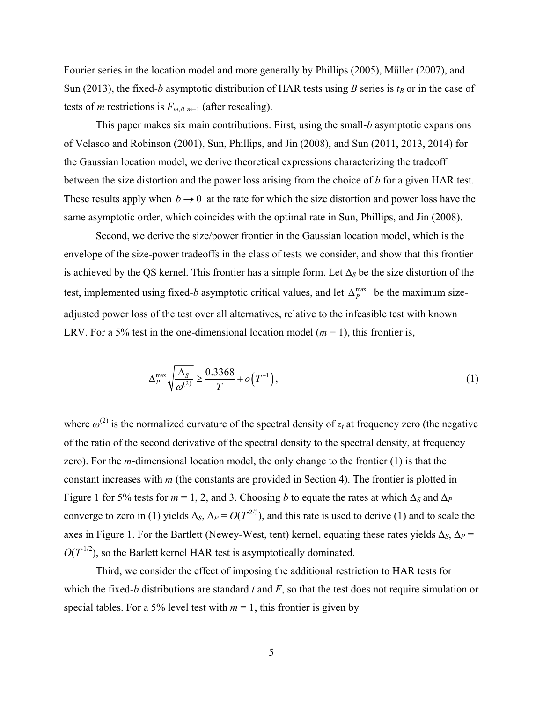Fourier series in the location model and more generally by Phillips (2005), Müller (2007), and Sun (2013), the fixed-*b* asymptotic distribution of HAR tests using *B* series is  $t_B$  or in the case of tests of *m* restrictions is  $F_{m,B-m+1}$  (after rescaling).

This paper makes six main contributions. First, using the small-*b* asymptotic expansions of Velasco and Robinson (2001), Sun, Phillips, and Jin (2008), and Sun (2011, 2013, 2014) for the Gaussian location model, we derive theoretical expressions characterizing the tradeoff between the size distortion and the power loss arising from the choice of *b* for a given HAR test. These results apply when  $b \rightarrow 0$  at the rate for which the size distortion and power loss have the same asymptotic order, which coincides with the optimal rate in Sun, Phillips, and Jin (2008).

Second, we derive the size/power frontier in the Gaussian location model, which is the envelope of the size-power tradeoffs in the class of tests we consider, and show that this frontier is achieved by the QS kernel. This frontier has a simple form. Let  $\Delta_S$  be the size distortion of the test, implemented using fixed-*b* asymptotic critical values, and let  $\Delta_P^{\text{max}}$  be the maximum sizeadjusted power loss of the test over all alternatives, relative to the infeasible test with known LRV. For a 5% test in the one-dimensional location model  $(m = 1)$ , this frontier is,

$$
\Delta_P^{\max} \sqrt{\frac{\Delta_S}{\omega^{(2)}}} \ge \frac{0.3368}{T} + o\left(T^{-1}\right),\tag{1}
$$

where  $\omega^{(2)}$  is the normalized curvature of the spectral density of  $z_t$  at frequency zero (the negative of the ratio of the second derivative of the spectral density to the spectral density, at frequency zero). For the *m*-dimensional location model, the only change to the frontier (1) is that the constant increases with *m* (the constants are provided in Section 4). The frontier is plotted in Figure 1 for 5% tests for  $m = 1, 2$ , and 3. Choosing *b* to equate the rates at which  $\Delta_S$  and  $\Delta_P$ converge to zero in (1) yields  $\Delta_s$ ,  $\Delta_P = O(T^{2/3})$ , and this rate is used to derive (1) and to scale the axes in Figure 1. For the Bartlett (Newey-West, tent) kernel, equating these rates yields  $\Delta_S$ ,  $\Delta_P$  =  $O(T^{1/2})$ , so the Barlett kernel HAR test is asymptotically dominated.

Third, we consider the effect of imposing the additional restriction to HAR tests for which the fixed-*b* distributions are standard *t* and *F*, so that the test does not require simulation or special tables. For a 5% level test with  $m = 1$ , this frontier is given by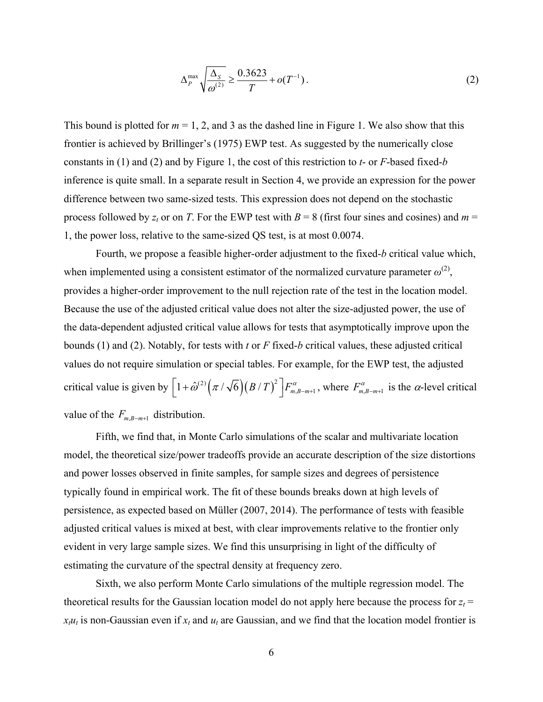$$
\Delta_P^{\max} \sqrt{\frac{\Delta_S}{\omega^{(2)}}} \ge \frac{0.3623}{T} + o(T^{-1}).
$$
\n(2)

This bound is plotted for  $m = 1, 2$ , and 3 as the dashed line in Figure 1. We also show that this frontier is achieved by Brillinger's (1975) EWP test. As suggested by the numerically close constants in (1) and (2) and by Figure 1, the cost of this restriction to *t*- or *F*-based fixed-*b* inference is quite small. In a separate result in Section 4, we provide an expression for the power difference between two same-sized tests. This expression does not depend on the stochastic process followed by  $z_t$  or on *T*. For the EWP test with  $B = 8$  (first four sines and cosines) and  $m =$ 1, the power loss, relative to the same-sized QS test, is at most 0.0074.

Fourth, we propose a feasible higher-order adjustment to the fixed-*b* critical value which, when implemented using a consistent estimator of the normalized curvature parameter  $\omega^{(2)}$ , provides a higher-order improvement to the null rejection rate of the test in the location model. Because the use of the adjusted critical value does not alter the size-adjusted power, the use of the data-dependent adjusted critical value allows for tests that asymptotically improve upon the bounds (1) and (2). Notably, for tests with *t* or *F* fixed-*b* critical values, these adjusted critical values do not require simulation or special tables. For example, for the EWP test, the adjusted critical value is given by  $\left[1+\hat{\omega}^{(2)}\left(\pi/\sqrt{6}\right)\left(B/T\right)^2\right]F_{m,B-m+1}^{\alpha}$ , where  $F_{m,B-m+1}^{\alpha}$  is the  $\alpha$ -level critical value of the  $F_{m,B-m+1}$  distribution.

Fifth, we find that, in Monte Carlo simulations of the scalar and multivariate location model, the theoretical size/power tradeoffs provide an accurate description of the size distortions and power losses observed in finite samples, for sample sizes and degrees of persistence typically found in empirical work. The fit of these bounds breaks down at high levels of persistence, as expected based on Müller (2007, 2014). The performance of tests with feasible adjusted critical values is mixed at best, with clear improvements relative to the frontier only evident in very large sample sizes. We find this unsurprising in light of the difficulty of estimating the curvature of the spectral density at frequency zero.

Sixth, we also perform Monte Carlo simulations of the multiple regression model. The theoretical results for the Gaussian location model do not apply here because the process for  $z_t$  =  $x_i u_i$  is non-Gaussian even if  $x_i$  and  $u_i$  are Gaussian, and we find that the location model frontier is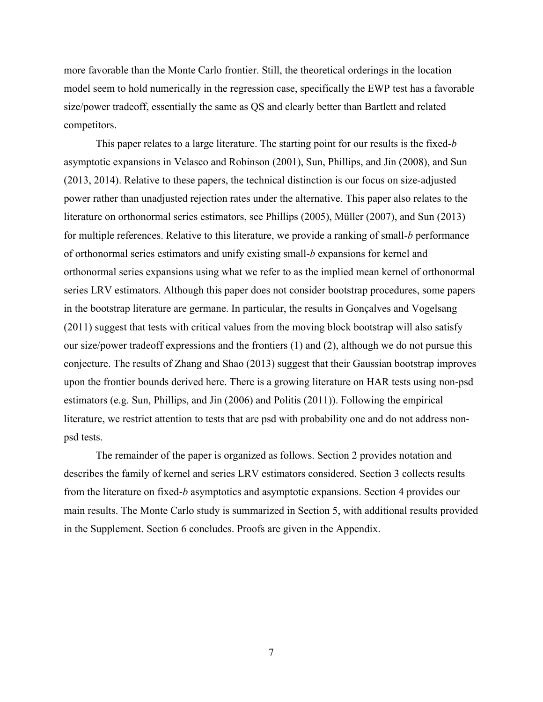more favorable than the Monte Carlo frontier. Still, the theoretical orderings in the location model seem to hold numerically in the regression case, specifically the EWP test has a favorable size/power tradeoff, essentially the same as QS and clearly better than Bartlett and related competitors.

This paper relates to a large literature. The starting point for our results is the fixed-*b* asymptotic expansions in Velasco and Robinson (2001), Sun, Phillips, and Jin (2008), and Sun (2013, 2014). Relative to these papers, the technical distinction is our focus on size-adjusted power rather than unadjusted rejection rates under the alternative. This paper also relates to the literature on orthonormal series estimators, see Phillips (2005), Müller (2007), and Sun (2013) for multiple references. Relative to this literature, we provide a ranking of small-*b* performance of orthonormal series estimators and unify existing small-*b* expansions for kernel and orthonormal series expansions using what we refer to as the implied mean kernel of orthonormal series LRV estimators. Although this paper does not consider bootstrap procedures, some papers in the bootstrap literature are germane. In particular, the results in Gonçalves and Vogelsang (2011) suggest that tests with critical values from the moving block bootstrap will also satisfy our size/power tradeoff expressions and the frontiers (1) and (2), although we do not pursue this conjecture. The results of Zhang and Shao (2013) suggest that their Gaussian bootstrap improves upon the frontier bounds derived here. There is a growing literature on HAR tests using non-psd estimators (e.g. Sun, Phillips, and Jin (2006) and Politis (2011)). Following the empirical literature, we restrict attention to tests that are psd with probability one and do not address nonpsd tests.

The remainder of the paper is organized as follows. Section 2 provides notation and describes the family of kernel and series LRV estimators considered. Section 3 collects results from the literature on fixed-*b* asymptotics and asymptotic expansions. Section 4 provides our main results. The Monte Carlo study is summarized in Section 5, with additional results provided in the Supplement. Section 6 concludes. Proofs are given in the Appendix.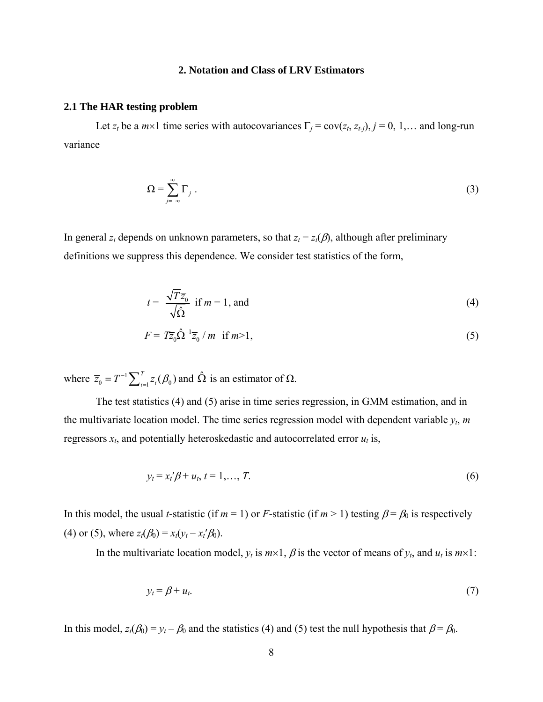#### **2. Notation and Class of LRV Estimators**

#### **2.1 The HAR testing problem**

Let  $z_t$  be a  $m \times 1$  time series with autocovariances  $\Gamma_j = cov(z_t, z_{t-j}), j = 0, 1, ...$  and long-run variance

$$
\Omega = \sum_{j=-\infty}^{\infty} \Gamma_j \ . \tag{3}
$$

In general  $z_t$  depends on unknown parameters, so that  $z_t = z_t(\beta)$ , although after preliminary definitions we suppress this dependence. We consider test statistics of the form,

$$
t = \frac{\sqrt{T}\overline{z}_0}{\sqrt{\hat{\Omega}}} \text{ if } m = 1 \text{, and} \tag{4}
$$

$$
F = T\overline{z}_0 \hat{\Omega}^{-1} \overline{z}_0 / m \quad \text{if } m > 1,
$$
\n(5)

where  $\overline{z}_0 = T^{-1} \sum_{t=1}^T z_t(\beta_0)$  and  $\hat{\Omega}$  is an estimator of  $\Omega$ .

The test statistics (4) and (5) arise in time series regression, in GMM estimation, and in the multivariate location model. The time series regression model with dependent variable  $y_t$ ,  $m$ regressors  $x_t$ , and potentially heteroskedastic and autocorrelated error  $u_t$  is,

$$
y_t = x_t'\beta + u_t, \ t = 1, \ldots, T. \tag{6}
$$

In this model, the usual *t*-statistic (if  $m = 1$ ) or *F*-statistic (if  $m > 1$ ) testing  $\beta = \beta_0$  is respectively (4) or (5), where  $z_t(\beta_0) = x_t(y_t - x_t'\beta_0)$ .

In the multivariate location model,  $y_t$  is  $m \times 1$ ,  $\beta$  is the vector of means of  $y_t$ , and  $u_t$  is  $m \times 1$ :

$$
y_t = \beta + u_t. \tag{7}
$$

In this model,  $z_t(\beta_0) = y_t - \beta_0$  and the statistics (4) and (5) test the null hypothesis that  $\beta = \beta_0$ .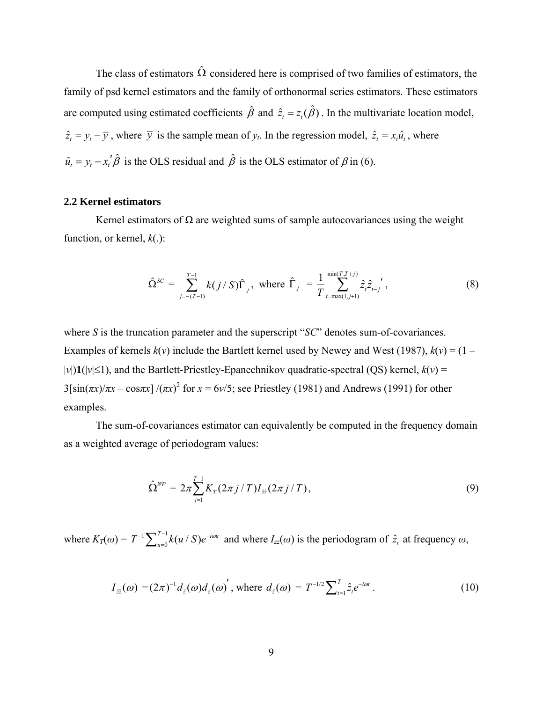The class of estimators  $\hat{\Omega}$  considered here is comprised of two families of estimators, the family of psd kernel estimators and the family of orthonormal series estimators. These estimators are computed using estimated coefficients  $\hat{\beta}$  and  $\hat{z}_t = z_t(\hat{\beta})$ . In the multivariate location model,  $\hat{z}_t = y_t - \overline{y}$ , where  $\overline{y}$  is the sample mean of  $y_t$ . In the regression model,  $\hat{z}_t = x_t \hat{u}_t$ , where  $\hat{u}_t = y_t - x_t' \hat{\beta}$  is the OLS residual and  $\hat{\beta}$  is the OLS estimator of  $\beta$  in (6).

# **2.2 Kernel estimators**

Kernel estimators of  $\Omega$  are weighted sums of sample autocovariances using the weight function, or kernel, *k*(.):

$$
\hat{\Omega}^{SC} = \sum_{j=-(T-1)}^{T-1} k(j/S) \hat{\Gamma}_j, \text{ where } \hat{\Gamma}_j = \frac{1}{T} \sum_{t=\max(1,j+1)}^{\min(T,T+j)} \hat{z}_t \hat{z}_{t-j}', \tag{8}
$$

where *S* is the truncation parameter and the superscript "*SC*" denotes sum-of-covariances. Examples of kernels  $k(v)$  include the Bartlett kernel used by Newey and West (1987),  $k(v) = (1 |v|$ **)1**( $|v| \le 1$ ), and the Bartlett-Priestley-Epanechnikov quadratic-spectral (QS) kernel,  $k(v)$  =  $3[\sin(\pi x)/\pi x - \cos(\pi x)]/(\pi x)^2$  for  $x = 6\sqrt{5}$ ; see Priestley (1981) and Andrews (1991) for other examples.

The sum-of-covariances estimator can equivalently be computed in the frequency domain as a weighted average of periodogram values:

$$
\hat{\Omega}^{WP} = 2\pi \sum_{j=1}^{T-1} K_T (2\pi j / T) I_{\hat{z}\hat{z}} (2\pi j / T), \qquad (9)
$$

where  $K_T(\omega) = T^{-1} \sum_{u=0}^{T-1} k(u \mid S)e^{-i\omega u}$  and where  $I_{zz}(\omega)$  is the periodogram of  $\hat{z}_t$  at frequency  $\omega$ ,

$$
I_{\hat{z}\hat{z}}(\omega) = (2\pi)^{-1} d_{\hat{z}}(\omega) \overline{d_{\hat{z}}(\omega)}, \text{ where } d_{\hat{z}}(\omega) = T^{-1/2} \sum_{t=1}^{T} \hat{z}_t e^{-i\omega t}.
$$
 (10)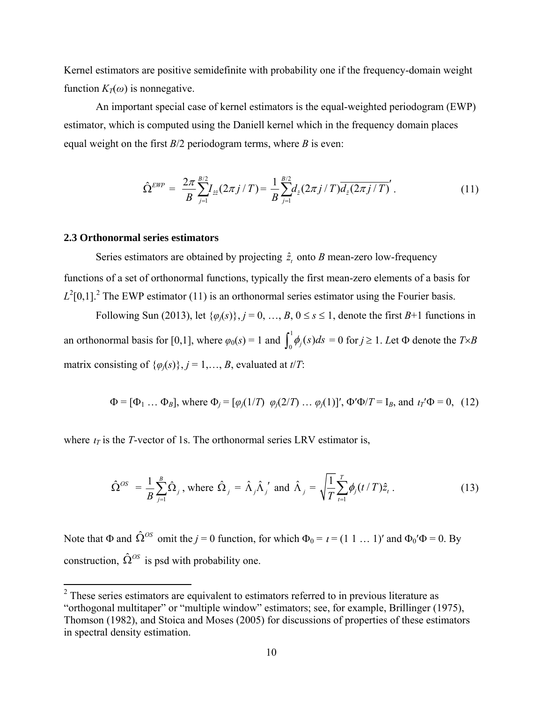Kernel estimators are positive semidefinite with probability one if the frequency-domain weight function  $K_{\tau}(\omega)$  is nonnegative.

An important special case of kernel estimators is the equal-weighted periodogram (EWP) estimator, which is computed using the Daniell kernel which in the frequency domain places equal weight on the first *B*/2 periodogram terms, where *B* is even:

$$
\hat{\Omega}^{EWP} = \frac{2\pi}{B} \sum_{j=1}^{B/2} I_{\hat{z}\hat{z}}(2\pi j/T) = \frac{1}{B} \sum_{j=1}^{B/2} d_{\hat{z}}(2\pi j/T) \overline{d_{\hat{z}}(2\pi j/T)}'. \tag{11}
$$

## **2.3 Orthonormal series estimators**

Series estimators are obtained by projecting  $\hat{z}_t$  onto *B* mean-zero low-frequency functions of a set of orthonormal functions, typically the first mean-zero elements of a basis for  $L^2[0,1]$ <sup>2</sup>. The EWP estimator (11) is an orthonormal series estimator using the Fourier basis.

Following Sun (2013), let  $\{\varphi_i(s)\}\$ ,  $j = 0, \ldots, B, 0 \le s \le 1$ , denote the first  $B+1$  functions in an orthonormal basis for [0,1], where  $\varphi_0(s) = 1$  and  $\int_0^1 \phi_j(s) ds = 0$  for  $j \ge 1$ . Let  $\Phi$  denote the  $T \times B$ matrix consisting of  $\{\varphi_i(s)\}\$ ,  $j = 1, \ldots, B$ , evaluated at  $t/T$ .

$$
\Phi = [\Phi_1 ... \Phi_B]
$$
, where  $\Phi_j = [\varphi_j(1/T) \varphi_j(2/T) ... \varphi_j(1)]'$ ,  $\Phi' \Phi/T = I_B$ , and  $\iota_T' \Phi = 0$ , (12)

where  $t_T$  is the *T*-vector of 1s. The orthonormal series LRV estimator is,

$$
\hat{\Omega}^{OS} = \frac{1}{B} \sum_{j=1}^{B} \hat{\Omega}_j \text{, where } \hat{\Omega}_j = \hat{\Lambda}_j \hat{\Lambda}_j' \text{ and } \hat{\Lambda}_j = \sqrt{\frac{1}{T} \sum_{t=1}^{T} \phi_j (t/T) \hat{z}_t} \text{.}
$$
 (13)

Note that  $\Phi$  and  $\hat{\Omega}^{OS}$  omit the *j* = 0 function, for which  $\Phi_0 = i = (1 \ 1 \dots 1)'$  and  $\Phi_0' \Phi = 0$ . By construction,  $\hat{\Omega}^{OS}$  is psd with probability one.

 $2$  These series estimators are equivalent to estimators referred to in previous literature as "orthogonal multitaper" or "multiple window" estimators; see, for example, Brillinger (1975), Thomson (1982), and Stoica and Moses (2005) for discussions of properties of these estimators in spectral density estimation.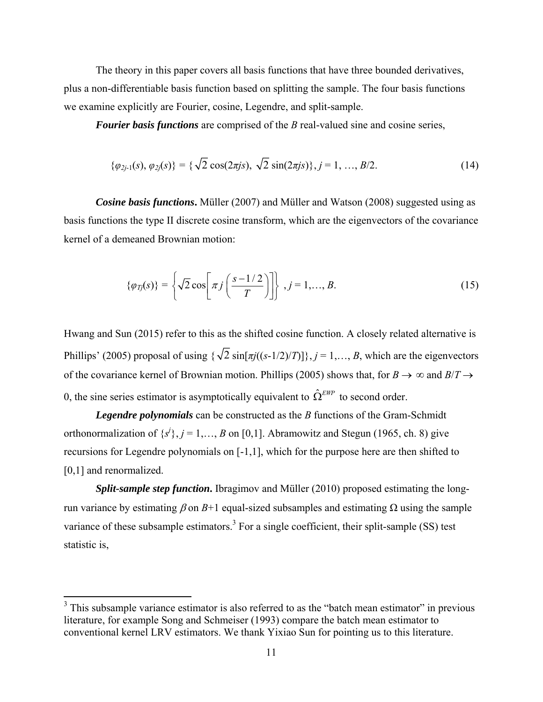The theory in this paper covers all basis functions that have three bounded derivatives, plus a non-differentiable basis function based on splitting the sample. The four basis functions we examine explicitly are Fourier, cosine, Legendre, and split-sample.

*Fourier basis functions* are comprised of the *B* real-valued sine and cosine series,

$$
\{\varphi_{2j-1}(s), \varphi_{2j}(s)\} = \{\sqrt{2}\cos(2\pi js), \sqrt{2}\sin(2\pi js)\}, j = 1, ..., B/2. \tag{14}
$$

*Cosine basis functions***.** Müller (2007) and Müller and Watson (2008) suggested using as basis functions the type II discrete cosine transform, which are the eigenvectors of the covariance kernel of a demeaned Brownian motion:

$$
\{\varphi_{Tj}(s)\} = \left\{\sqrt{2}\cos\left[\pi j\left(\frac{s-1/2}{T}\right)\right]\right\}, j=1,\ldots,B.
$$
\n(15)

Hwang and Sun (2015) refer to this as the shifted cosine function. A closely related alternative is Phillips' (2005) proposal of using  $\{\sqrt{2} \sin[\pi i((s-1/2)/T)]\}$ ,  $j = 1,..., B$ , which are the eigenvectors of the covariance kernel of Brownian motion. Phillips (2005) shows that, for  $B \to \infty$  and  $B/T \to$ 0, the sine series estimator is asymptotically equivalent to  $\hat{\Omega}^{EWP}$  to second order.

*Legendre polynomials* can be constructed as the *B* functions of the Gram-Schmidt orthonormalization of  $\{s^j\}$ ,  $j = 1, \ldots, B$  on [0,1]. Abramowitz and Stegun (1965, ch. 8) give recursions for Legendre polynomials on [-1,1], which for the purpose here are then shifted to [0,1] and renormalized.

*Split-sample step function***.** Ibragimov and Müller (2010) proposed estimating the longrun variance by estimating  $β$  on  $B+1$  equal-sized subsamples and estimating  $Ω$  using the sample variance of these subsample estimators.<sup>3</sup> For a single coefficient, their split-sample (SS) test statistic is,

<sup>&</sup>lt;sup>3</sup> This subsample variance estimator is also referred to as the "batch mean estimator" in previous literature, for example Song and Schmeiser (1993) compare the batch mean estimator to conventional kernel LRV estimators. We thank Yixiao Sun for pointing us to this literature.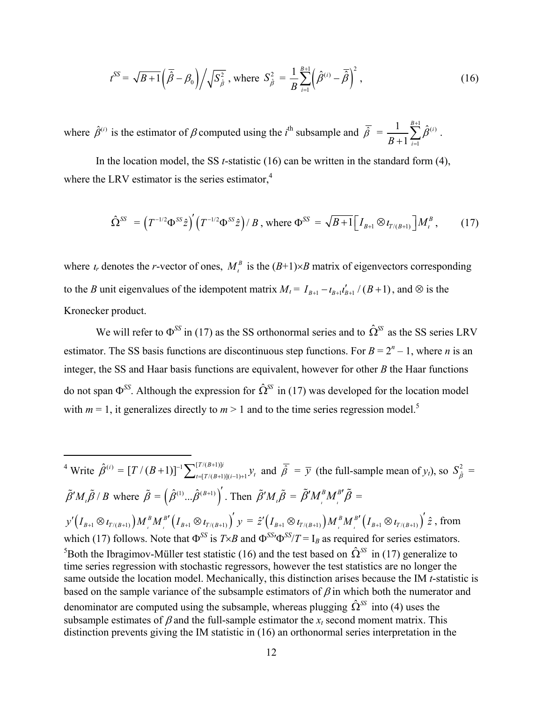$$
t^{SS} = \sqrt{B+1} \left( \overline{\hat{\beta}} - \beta_0 \right) \middle/ \sqrt{S_{\hat{\beta}}^2}, \text{ where } S_{\hat{\beta}}^2 = \frac{1}{B} \sum_{i=1}^{B+1} \left( \hat{\beta}^{(i)} - \overline{\hat{\beta}} \right)^2, \tag{16}
$$

where  $\hat{\beta}^{(i)}$  is the estimator of  $\beta$  computed using the *i*<sup>th</sup> subsample and  $\bar{\hat{\beta}} = \frac{1}{2} \sum_{i=1}^{B+1} \hat{\beta}^{(i)}$ 1  $\frac{1}{\sum_{i=1}^{B+1}\hat{\beta}}$ 1  $\sum_{i=1}^{B+1} \hat{\rho}^{(i)}$  $B + 1\frac{2}{i}$  $_{\beta}$  $^{+}$  $\frac{1}{+1}\sum_{i=1}\hat{\beta}^{(i)}$  .

In the location model, the SS *t*-statistic (16) can be written in the standard form (4), where the LRV estimator is the series estimator,<sup>4</sup>

$$
\hat{\Omega}^{SS} = (T^{-1/2} \Phi^{SS} \hat{z})' (T^{-1/2} \Phi^{SS} \hat{z}) / B, \text{ where } \Phi^{SS} = \sqrt{B+1} \Big[ I_{B+1} \otimes \iota_{T/(B+1)} \Big] M_i^B, \quad (17)
$$

where  $i_r$  denotes the *r*-vector of ones,  $M_i^B$  is the  $(B+1)\times B$  matrix of eigenvectors corresponding to the *B* unit eigenvalues of the idempotent matrix  $M_i = I_{B+1} - I_{B+1}I'_{B+1}/(B+1)$ , and  $\otimes$  is the Kronecker product.

We will refer to  $\Phi^{SS}$  in (17) as the SS orthonormal series and to  $\hat{\Omega}^{SS}$  as the SS series LRV estimator. The SS basis functions are discontinuous step functions. For  $B = 2<sup>n</sup> - 1$ , where *n* is an integer, the SS and Haar basis functions are equivalent, however for other *B* the Haar functions do not span  $\Phi^{SS}$ . Although the expression for  $\hat{\Omega}^{SS}$  in (17) was developed for the location model with  $m = 1$ , it generalizes directly to  $m > 1$  and to the time series regression model.<sup>5</sup>

 <sup>4</sup> Write  $\hat{\beta}^{(i)} = [T/(B+1)]^{-1} \sum_{t=[T/(B+1)](i-1)+1}^{[T/(B+1)]i} y_t$  and  $\bar{\hat{\beta}} = \bar{y}$  (the full-sample mean of  $y_t$ ), so  $S_{\hat{\beta}}^2 =$  $\tilde{\beta}'M_{i}\tilde{\beta}/B$  where  $\tilde{\beta} = (\hat{\beta}^{(1)}...\hat{\beta}^{(B+1)})'$ . Then  $\tilde{\beta}'M_{i}\tilde{\beta} = \tilde{\beta}'M_{i}^{B}M_{i}^{B'}\tilde{\beta} =$  $\mathcal{P} ' \big( I_{\mathit{B}+1} \otimes \iota_{T/(\mathit{B}+1)} \big) M^{\mathit{B}}_{\mathit{t}} M^{\mathit{B}'}_{\mathit{t}} \Big( I_{\mathit{B}+1} \otimes \iota_{T/(\mathit{B}+1)} \Big)' \mathcal{Y} \equiv \hat{z}' \big( I_{\mathit{B}+1} \otimes \iota_{T/(\mathit{B}+1)} \big) M^{\mathit{B}}_{\mathit{t}} M^{\mathit{B}'}_{\mathit{t}} \Big( I_{\mathit{B}+1} \otimes \iota_{T/(\mathit{B}+1)} \$ which (17) follows. Note that  $\Phi^{SS}$  is  $T \times B$  and  $\Phi^{SS}/T = I_B$  as required for series estimators. <sup>5</sup>Both the Ibragimov-Müller test statistic (16) and the test based on  $\hat{\Omega}^{SS}$  in (17) generalize to time series regression with stochastic regressors, however the test statistics are no longer the same outside the location model. Mechanically, this distinction arises because the IM *t*-statistic is based on the sample variance of the subsample estimators of  $\beta$  in which both the numerator and denominator are computed using the subsample, whereas plugging  $\hat{\Omega}^{SS}$  into (4) uses the subsample estimates of  $\beta$  and the full-sample estimator the  $x_t$  second moment matrix. This distinction prevents giving the IM statistic in (16) an orthonormal series interpretation in the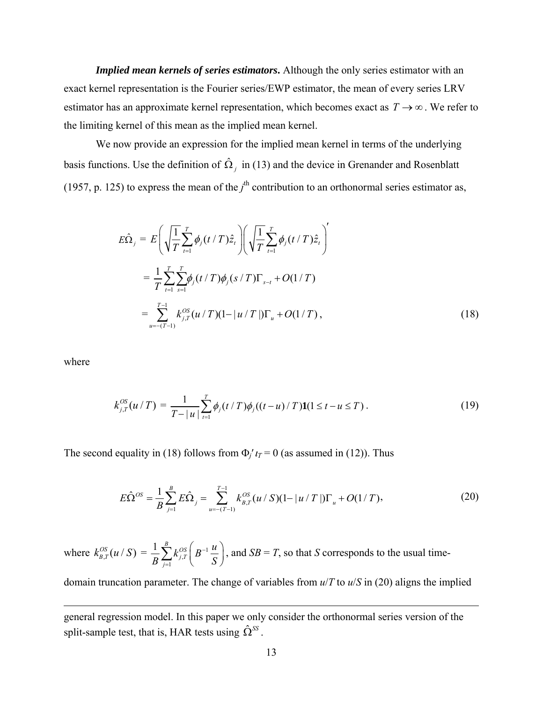*Implied mean kernels of series estimators***.** Although the only series estimator with an exact kernel representation is the Fourier series/EWP estimator, the mean of every series LRV estimator has an approximate kernel representation, which becomes exact as  $T \rightarrow \infty$ . We refer to the limiting kernel of this mean as the implied mean kernel.

We now provide an expression for the implied mean kernel in terms of the underlying basis functions. Use the definition of  $\hat{\Omega}_j$  in (13) and the device in Grenander and Rosenblatt (1957, p. 125) to express the mean of the  $j<sup>th</sup>$  contribution to an orthonormal series estimator as,

$$
E\hat{\Omega}_{j} = E\left(\sqrt{\frac{1}{T}\sum_{t=1}^{T}\phi_{j}(t/T)\hat{z}_{t}}\right)\left(\sqrt{\frac{1}{T}\sum_{t=1}^{T}\phi_{j}(t/T)\hat{z}_{t}}\right)^{'}=\frac{1}{T}\sum_{t=1}^{T}\sum_{s=1}^{T}\phi_{j}(t/T)\phi_{j}(s/T)\Gamma_{s-t} + O(1/T)=\sum_{u=-(T-1)}^{T-1}k_{j,T}^{OS}(u/T)(1-|u/T|)\Gamma_{u} + O(1/T),
$$
(18)

where

$$
k_{j,T}^{OS}(u/T) = \frac{1}{T-|u|} \sum_{t=1}^{T} \phi_j(t/T) \phi_j((t-u)/T) \mathbf{1}(1 \le t-u \le T). \tag{19}
$$

The second equality in (18) follows from  $\Phi / \tau = 0$  (as assumed in (12)). Thus

$$
E\hat{\Omega}^{OS} = \frac{1}{B} \sum_{j=1}^{B} E\hat{\Omega}_j = \sum_{u=-(T-1)}^{T-1} k_{B,T}^{OS}(u / S)(1 - |u / T|) \Gamma_u + O(1/T),
$$
\n(20)

where  $k_{B,T}^{OS}(u / S) = \frac{1}{R} \sum k_{j,T}^{OS} |B^{-1}$ , 1  $1 \sum_{l=0}^{B} b_l$ *j T j*  $k_{iT}^{OS}\left(B^{-1}\frac{u}{2}\right)$  $B \leftarrow$ <sup>1</sup> $\leftarrow$ <sup>1</sup> $\leftarrow$ <sup>1</sup> $\leftarrow$ <sup>1</sup> $\leftarrow$ <sup>1</sup> $\leftarrow$ <sup>1</sup> - $\sum_{j=1}^{B} k_{j,T}^{OS} \left( B^{-1} \frac{u}{S} \right)$ , and  $SB = T$ , so that *S* corresponds to the usual time-

domain truncation parameter. The change of variables from *u*/*T* to *u*/*S* in (20) aligns the implied

<u> 1989 - Johann Stein, marwolaethau a gweledydd a ganlad y ganlad y ganlad y ganlad y ganlad y ganlad y ganlad</u>

general regression model. In this paper we only consider the orthonormal series version of the split-sample test, that is, HAR tests using  $\hat{\Omega}^{SS}$ .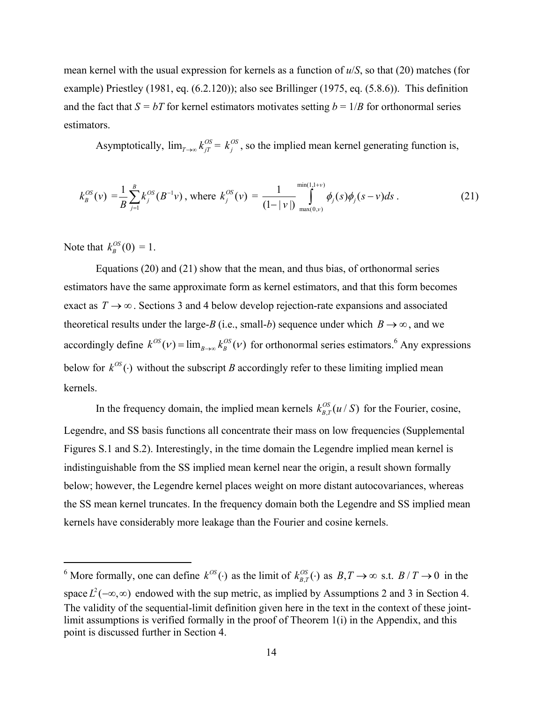mean kernel with the usual expression for kernels as a function of *u*/*S*, so that (20) matches (for example) Priestley (1981, eq. (6.2.120)); also see Brillinger (1975, eq. (5.8.6)). This definition and the fact that  $S = bT$  for kernel estimators motivates setting  $b = 1/B$  for orthonormal series estimators.

Asymptotically,  $\lim_{T\to\infty} k_{jT}^{OS} = k_j^{OS}$ , so the implied mean kernel generating function is,

$$
k_B^{OS}(\nu) = \frac{1}{B} \sum_{j=1}^{B} k_j^{OS}(B^{-1}\nu), \text{ where } k_j^{OS}(\nu) = \frac{1}{(1 - |\nu|)} \int_{\max(0,\nu)}^{\min(1,1+\nu)} \phi_j(s) \phi_j(s - \nu) ds. \tag{21}
$$

Note that  $k_B^{OS}(0) = 1$ .

Equations (20) and (21) show that the mean, and thus bias, of orthonormal series estimators have the same approximate form as kernel estimators, and that this form becomes exact as  $T \to \infty$ . Sections 3 and 4 below develop rejection-rate expansions and associated theoretical results under the large-*B* (i.e., small-*b*) sequence under which  $B \to \infty$ , and we accordingly define  $k^{OS}(\nu) = \lim_{B \to \infty} k_B^{OS}(\nu)$  for orthonormal series estimators.<sup>6</sup> Any expressions below for  $k^{OS}(\cdot)$  without the subscript *B* accordingly refer to these limiting implied mean kernels.

In the frequency domain, the implied mean kernels  $k_{B,T}^{OS}(u/S)$  for the Fourier, cosine, Legendre, and SS basis functions all concentrate their mass on low frequencies (Supplemental Figures S.1 and S.2). Interestingly, in the time domain the Legendre implied mean kernel is indistinguishable from the SS implied mean kernel near the origin, a result shown formally below; however, the Legendre kernel places weight on more distant autocovariances, whereas the SS mean kernel truncates. In the frequency domain both the Legendre and SS implied mean kernels have considerably more leakage than the Fourier and cosine kernels.

<sup>&</sup>lt;sup>6</sup> More formally, one can define  $k^{OS}(\cdot)$  as the limit of  $k_{B,T}^{OS}(\cdot)$  as  $B,T \to \infty$  s.t.  $B/T \to 0$  in the space  $L^2(-\infty, \infty)$  endowed with the sup metric, as implied by Assumptions 2 and 3 in Section 4. The validity of the sequential-limit definition given here in the text in the context of these jointlimit assumptions is verified formally in the proof of Theorem 1(i) in the Appendix, and this point is discussed further in Section 4.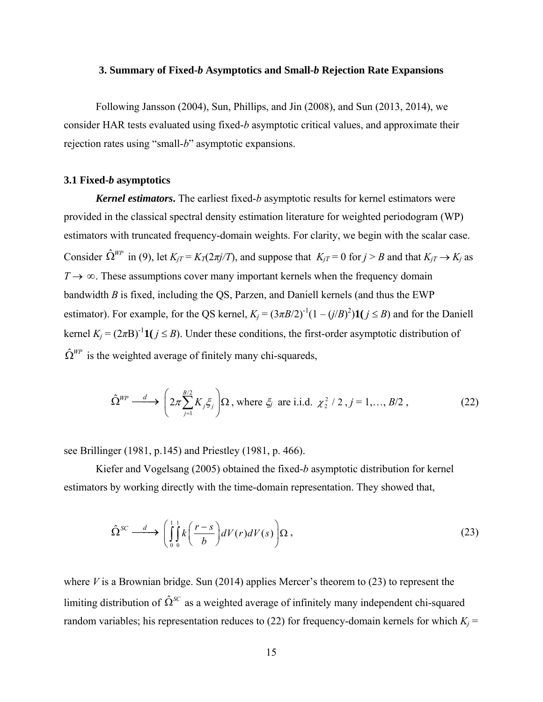#### **3. Summary of Fixed-***b* **Asymptotics and Small-***b* **Rejection Rate Expansions**

Following Jansson (2004), Sun, Phillips, and Jin (2008), and Sun (2013, 2014), we consider HAR tests evaluated using fixed-*b* asymptotic critical values, and approximate their rejection rates using "small-*b*" asymptotic expansions.

## **3.1 Fixed-***b* **asymptotics**

*Kernel estimators***.** The earliest fixed-*b* asymptotic results for kernel estimators were provided in the classical spectral density estimation literature for weighted periodogram (WP) estimators with truncated frequency-domain weights. For clarity, we begin with the scalar case. Consider  $\hat{\Omega}^{WP}$  in (9), let  $K_{iT} = K_T(2\pi j/T)$ , and suppose that  $K_{iT} = 0$  for  $j > B$  and that  $K_{iT} \to K_j$  as  $T \rightarrow \infty$ . These assumptions cover many important kernels when the frequency domain bandwidth *B* is fixed, including the QS, Parzen, and Daniell kernels (and thus the EWP estimator). For example, for the QS kernel,  $K_j = (3\pi B/2)^{-1}(1 - (j/B)^2)\mathbf{1}(j \leq B)$  and for the Daniell kernel  $K_i = (2\pi B)^{-1} \mathbf{1} (j \leq B)$ . Under these conditions, the first-order asymptotic distribution of  $\hat{\Omega}^{WP}$  is the weighted average of finitely many chi-squareds,

$$
\hat{\Omega}^{WP} \stackrel{d}{\longrightarrow} \left(2\pi \sum_{j=1}^{B/2} K_j \xi_j\right) \Omega \text{, where } \xi_j \text{ are i.i.d. } \chi^2/2 \text{ , } j = 1, \dots, B/2 \text{ ,}
$$
 (22)

see Brillinger (1981, p.145) and Priestley (1981, p. 466).

Kiefer and Vogelsang (2005) obtained the fixed-*b* asymptotic distribution for kernel estimators by working directly with the time-domain representation. They showed that,

$$
\hat{\Omega}^{SC} \stackrel{d}{\longrightarrow} \left( \int_{0}^{1} \int_{0}^{1} k \left( \frac{r-s}{b} \right) dV(r) dV(s) \right) \Omega , \tag{23}
$$

where *V* is a Brownian bridge. Sun (2014) applies Mercer's theorem to (23) to represent the limiting distribution of  $\hat{\Omega}^{SC}$  as a weighted average of infinitely many independent chi-squared random variables; his representation reduces to (22) for frequency-domain kernels for which  $K_i$  =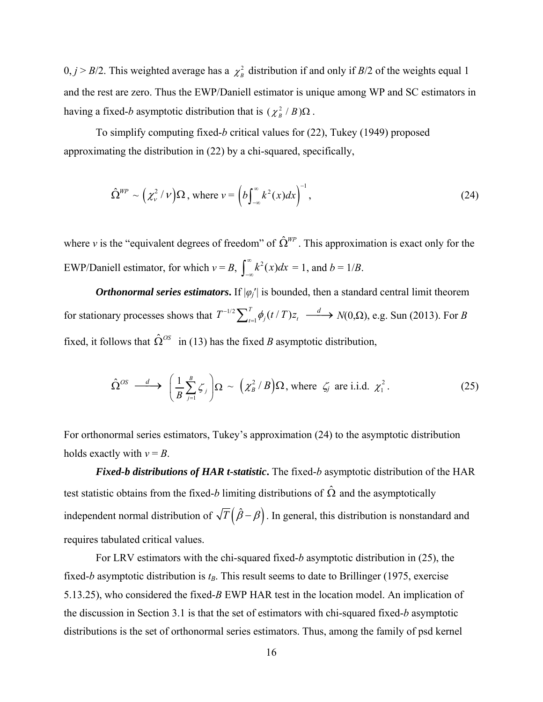$0, j > B/2$ . This weighted average has a  $\chi^2$  distribution if and only if *B*/2 of the weights equal 1 and the rest are zero. Thus the EWP/Daniell estimator is unique among WP and SC estimators in having a fixed-*b* asymptotic distribution that is  $(\chi^2 - B)\Omega$ .

To simplify computing fixed-*b* critical values for (22), Tukey (1949) proposed approximating the distribution in (22) by a chi-squared, specifically,

$$
\hat{\Omega}^{WP} \sim \left(\chi^2_{\nu}/\nu\right) \Omega \text{, where } \nu = \left(b \int_{-\infty}^{\infty} k^2(x) dx\right)^{-1},\tag{24}
$$

where *v* is the "equivalent degrees of freedom" of  $\hat{\Omega}^{WP}$ . This approximation is exact only for the EWP/Daniell estimator, for which  $v = B$ ,  $\int_{-\infty}^{\infty} k^2(x) dx = 1$ , and  $b = 1/B$ .

*Orthonormal series estimators*. If  $|\varphi_i|$  is bounded, then a standard central limit theorem for stationary processes shows that  $T^{-1/2} \sum_{t=1}^{T} \phi_j(t/T) z_t \xrightarrow{d} N(0,\Omega)$ , e.g. Sun (2013). For *B* fixed, it follows that  $\hat{\Omega}^{OS}$  in (13) has the fixed *B* asymptotic distribution,

$$
\hat{\Omega}^{OS} \longrightarrow \left(\frac{1}{B} \sum_{j=1}^{B} \zeta_j\right) \Omega \sim \left(\chi_B^2 / B\right) \Omega, \text{ where } \zeta_j \text{ are i.i.d. } \chi_1^2. \tag{25}
$$

For orthonormal series estimators, Tukey's approximation (24) to the asymptotic distribution holds exactly with  $v = B$ .

*Fixed-b distributions of HAR t-statistic***.** The fixed-*b* asymptotic distribution of the HAR test statistic obtains from the fixed-*b* limiting distributions of  $\hat{\Omega}$  and the asymptotically independent normal distribution of  $\sqrt{T}(\hat{\beta}-\beta)$ . In general, this distribution is nonstandard and requires tabulated critical values.

For LRV estimators with the chi-squared fixed-*b* asymptotic distribution in (25), the fixed-*b* asymptotic distribution is  $t_B$ . This result seems to date to Brillinger (1975, exercise 5.13.25), who considered the fixed-*B* EWP HAR test in the location model. An implication of the discussion in Section 3.1 is that the set of estimators with chi-squared fixed-*b* asymptotic distributions is the set of orthonormal series estimators. Thus, among the family of psd kernel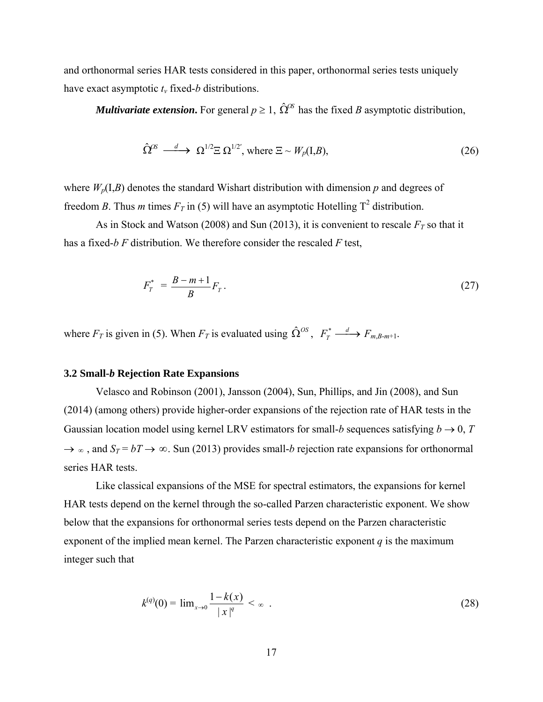and orthonormal series HAR tests considered in this paper, orthonormal series tests uniquely have exact asymptotic *tν* fixed-*b* distributions.

*Multivariate extension*. For general  $p \ge 1$ ,  $\hat{\Omega}^{OS}$  has the fixed *B* asymptotic distribution,

$$
\hat{\Omega}^{\alpha} \xrightarrow{d} \Omega^{1/2} \Xi \Omega^{1/2'}, \text{ where } \Xi \sim W_p(I, B), \tag{26}
$$

where  $W_p(I, B)$  denotes the standard Wishart distribution with dimension p and degrees of freedom *B*. Thus *m* times  $F_T$  in (5) will have an asymptotic Hotelling  $T^2$  distribution.

As in Stock and Watson (2008) and Sun (2013), it is convenient to rescale  $F_T$  so that it has a fixed-*b F* distribution. We therefore consider the rescaled *F* test,

$$
F_T^* = \frac{B - m + 1}{B} F_T \,. \tag{27}
$$

where  $F_T$  is given in (5). When  $F_T$  is evaluated using  $\hat{\Omega}^{OS}$ ,  $F_T^* \xrightarrow{d} F_{m,B-m+1}$ .

## **3.2 Small-***b* **Rejection Rate Expansions**

Velasco and Robinson (2001), Jansson (2004), Sun, Phillips, and Jin (2008), and Sun (2014) (among others) provide higher-order expansions of the rejection rate of HAR tests in the Gaussian location model using kernel LRV estimators for small-*b* sequences satisfying  $b \rightarrow 0$ , *T*  $\rightarrow \infty$ , and  $S_T = bT \rightarrow \infty$ . Sun (2013) provides small-*b* rejection rate expansions for orthonormal series HAR tests.

Like classical expansions of the MSE for spectral estimators, the expansions for kernel HAR tests depend on the kernel through the so-called Parzen characteristic exponent. We show below that the expansions for orthonormal series tests depend on the Parzen characteristic exponent of the implied mean kernel. The Parzen characteristic exponent *q* is the maximum integer such that

$$
k^{(q)}(0) = \lim_{x \to 0} \frac{1 - k(x)}{|x|^q} < \infty \tag{28}
$$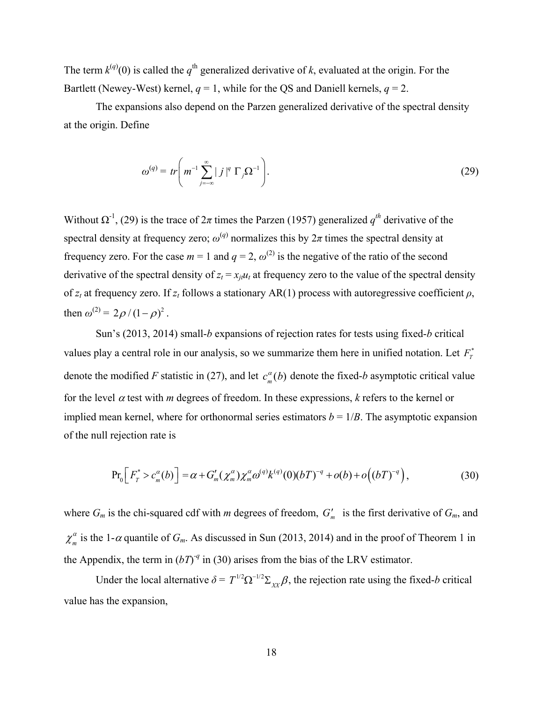The term  $k^{(q)}(0)$  is called the  $q^{\text{th}}$  generalized derivative of *k*, evaluated at the origin. For the Bartlett (Newey-West) kernel,  $q = 1$ , while for the OS and Daniell kernels,  $q = 2$ .

The expansions also depend on the Parzen generalized derivative of the spectral density at the origin. Define

$$
\omega^{(q)} = tr \left( m^{-1} \sum_{j=-\infty}^{\infty} |j|^q \Gamma_j \Omega^{-1} \right).
$$
 (29)

Without  $\Omega^{-1}$ , (29) is the trace of  $2\pi$  times the Parzen (1957) generalized  $q^{th}$  derivative of the spectral density at frequency zero;  $\omega^{(q)}$  normalizes this by  $2\pi$  times the spectral density at frequency zero. For the case  $m = 1$  and  $q = 2$ ,  $\omega^{(2)}$  is the negative of the ratio of the second derivative of the spectral density of  $z_t = x_{i}u_t$  at frequency zero to the value of the spectral density of *zt* at frequency zero. If *zt* follows a stationary AR(1) process with autoregressive coefficient *ρ*, then  $\omega^{(2)} = 2\rho/(1-\rho)^2$ .

Sun's (2013, 2014) small-*b* expansions of rejection rates for tests using fixed-*b* critical values play a central role in our analysis, so we summarize them here in unified notation. Let  $F_T^*$ denote the modified *F* statistic in (27), and let  $c_m^{\alpha}(b)$  denote the fixed-*b* asymptotic critical value for the level  $\alpha$  test with *m* degrees of freedom. In these expressions,  $k$  refers to the kernel or implied mean kernel, where for orthonormal series estimators  $b = 1/B$ . The asymptotic expansion of the null rejection rate is

$$
\Pr_0\Big[F_T^* > c_m^{\alpha}(b)\Big] = \alpha + G'_m(\chi_m^{\alpha})\chi_m^{\alpha}\omega^{(q)}k^{(q)}(0)(bT)^{-q} + o(b) + o\Big((bT)^{-q}\Big),\tag{30}
$$

where  $G_m$  is the chi-squared cdf with *m* degrees of freedom,  $G'_m$  is the first derivative of  $G_m$ , and  $\chi_m^{\alpha}$  is the 1- $\alpha$  quantile of  $G_m$ . As discussed in Sun (2013, 2014) and in the proof of Theorem 1 in the Appendix, the term in  $(bT)^{-q}$  in (30) arises from the bias of the LRV estimator.

Under the local alternative  $\delta = T^{1/2} \Omega^{-1/2} \Sigma_{XX} \beta$ , the rejection rate using the fixed-*b* critical value has the expansion,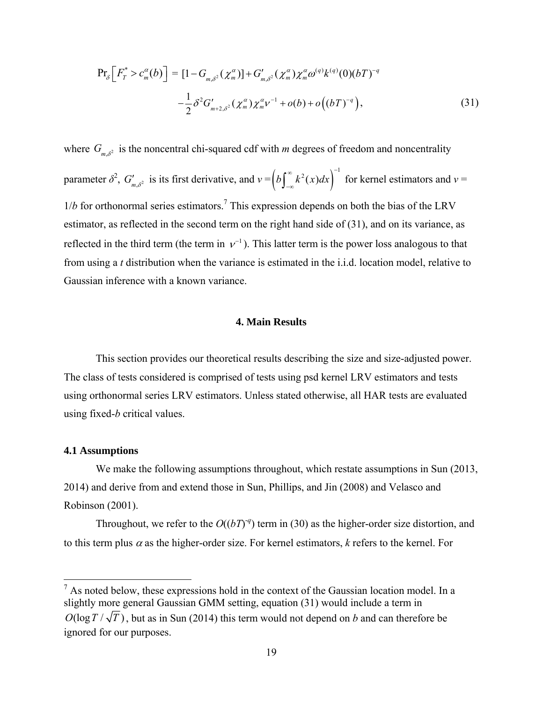$$
\Pr_{\delta}\left[F_{T}^{*} > c_{m}^{\alpha}(b)\right] = [1 - G_{m,\delta^{2}}(\chi_{m}^{\alpha})] + G'_{m,\delta^{2}}(\chi_{m}^{\alpha})\chi_{m}^{\alpha}\omega^{(q)}k^{(q)}(0)(bT)^{-q} - \frac{1}{2}\delta^{2}G'_{m+2,\delta^{2}}(\chi_{m}^{\alpha})\chi_{m}^{\alpha}v^{-1} + o(b) + o\left((bT)^{-q}\right), \tag{31}
$$

where  $G_{m,\delta^2}$  is the noncentral chi-squared cdf with *m* degrees of freedom and noncentrality parameter  $\delta^2$ ,  $G'_{m,\delta^2}$  is its first derivative, and  $v = \left(b \int_{-\infty}^{\infty} k^2(x) dx\right)^{-1}$  for kernel estimators and  $v =$  $1/b$  for orthonormal series estimators.<sup>7</sup> This expression depends on both the bias of the LRV estimator, as reflected in the second term on the right hand side of (31), and on its variance, as reflected in the third term (the term in  $v^{-1}$ ). This latter term is the power loss analogous to that from using a *t* distribution when the variance is estimated in the i.i.d. location model, relative to Gaussian inference with a known variance.

# **4. Main Results**

This section provides our theoretical results describing the size and size-adjusted power. The class of tests considered is comprised of tests using psd kernel LRV estimators and tests using orthonormal series LRV estimators. Unless stated otherwise, all HAR tests are evaluated using fixed-*b* critical values.

## **4.1 Assumptions**

We make the following assumptions throughout, which restate assumptions in Sun (2013, 2014) and derive from and extend those in Sun, Phillips, and Jin (2008) and Velasco and Robinson (2001).

Throughout, we refer to the  $O((bT)^{-q})$  term in (30) as the higher-order size distortion, and to this term plus  $\alpha$  as the higher-order size. For kernel estimators,  $k$  refers to the kernel. For

 $<sup>7</sup>$  As noted below, these expressions hold in the context of the Gaussian location model. In a</sup> slightly more general Gaussian GMM setting, equation (31) would include a term in  $O(\log T/\sqrt{T})$ , but as in Sun (2014) this term would not depend on *b* and can therefore be ignored for our purposes.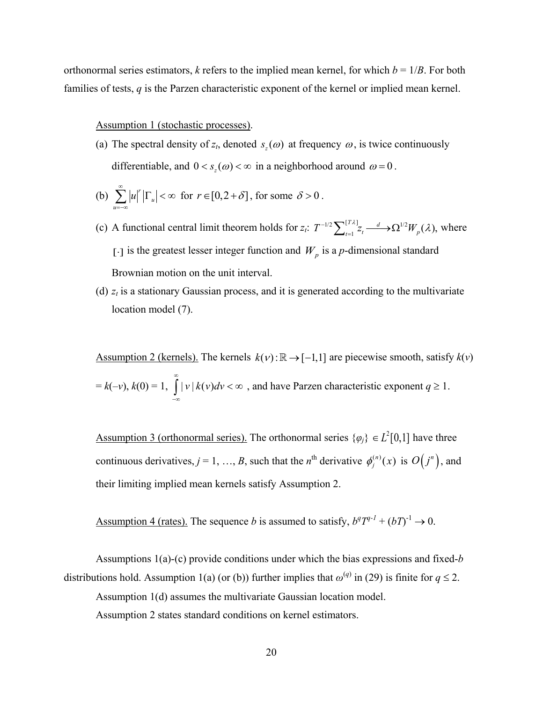orthonormal series estimators, *k* refers to the implied mean kernel, for which  $b = 1/B$ . For both families of tests, *q* is the Parzen characteristic exponent of the kernel or implied mean kernel.

#### Assumption 1 (stochastic processes).

(a) The spectral density of  $z_t$ , denoted  $s_1(\omega)$  at frequency  $\omega$ , is twice continuously differentiable, and  $0 < s<sub>z</sub> (\omega) < \infty$  in a neighborhood around  $\omega = 0$ .

(b) 
$$
\sum_{u=-\infty}^{\infty} |u|^r |\Gamma_u| < \infty \text{ for } r \in [0, 2+\delta], \text{ for some } \delta > 0.
$$

- (c) A functional central limit theorem holds for  $z_i$ :  $T^{-1/2} \sum_{t=1}^{1/2}$  $\sum_{t=1}^{[T\lambda]} z_t \longrightarrow \Omega^{1/2} W_p(\lambda)$ , where [.] is the greatest lesser integer function and  $W_p$  is a *p*-dimensional standard Brownian motion on the unit interval.
- (d)  $z_t$  is a stationary Gaussian process, and it is generated according to the multivariate location model (7).

Assumption 2 (kernels). The kernels  $k(v)$ :  $\mathbb{R} \rightarrow [-1,1]$  are piecewise smooth, satisfy  $k(v)$  $= k(-v), k(0) = 1, \quad |v| k(v) dv$ ∞  $\int_{-\infty}^{\infty} |v| k(v) dv < \infty$ , and have Parzen characteristic exponent  $q \ge 1$ .

Assumption 3 (orthonormal series). The orthonormal series  $\{\varphi_j\} \in L^2[0,1]$  have three continuous derivatives,  $j = 1, ..., B$ , such that the *n*<sup>th</sup> derivative  $\phi_j^{(n)}(x)$  is  $O(j^n)$ , and their limiting implied mean kernels satisfy Assumption 2.

Assumption 4 (rates). The sequence *b* is assumed to satisfy,  $b^qT^{q-1} + (bT)^{-1} \rightarrow 0$ .

Assumptions 1(a)-(c) provide conditions under which the bias expressions and fixed-*b* distributions hold. Assumption 1(a) (or (b)) further implies that  $\omega^{(q)}$  in (29) is finite for  $q \le 2$ .

Assumption 1(d) assumes the multivariate Gaussian location model.

Assumption 2 states standard conditions on kernel estimators.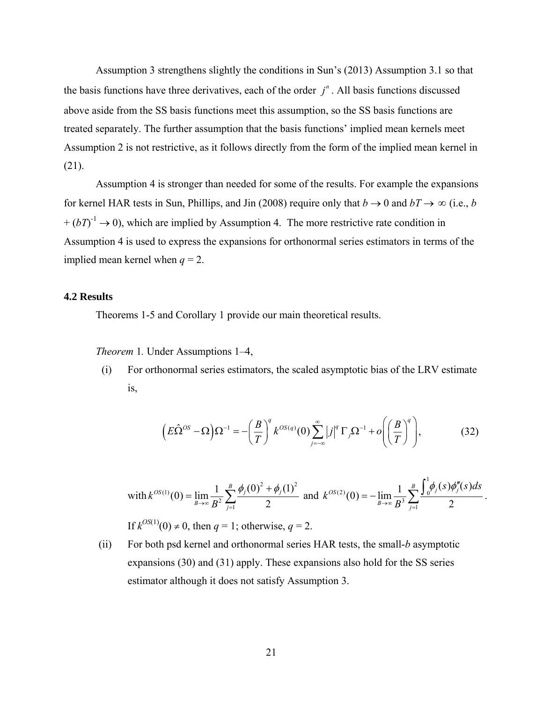Assumption 3 strengthens slightly the conditions in Sun's (2013) Assumption 3.1 so that the basis functions have three derivatives, each of the order  $j<sup>n</sup>$ . All basis functions discussed above aside from the SS basis functions meet this assumption, so the SS basis functions are treated separately. The further assumption that the basis functions' implied mean kernels meet Assumption 2 is not restrictive, as it follows directly from the form of the implied mean kernel in (21).

Assumption 4 is stronger than needed for some of the results. For example the expansions for kernel HAR tests in Sun, Phillips, and Jin (2008) require only that  $b \to 0$  and  $bT \to \infty$  (i.e., *b*  $+(bT)^{-1} \rightarrow 0$ ), which are implied by Assumption 4. The more restrictive rate condition in Assumption 4 is used to express the expansions for orthonormal series estimators in terms of the implied mean kernel when  $q = 2$ .

#### **4.2 Results**

Theorems 1-5 and Corollary 1 provide our main theoretical results.

*Theorem 1.* Under Assumptions 1–4,

(i) For orthonormal series estimators, the scaled asymptotic bias of the LRV estimate is,

$$
\left(E\hat{\Omega}^{OS} - \Omega\right)\Omega^{-1} = -\left(\frac{B}{T}\right)^q k^{OS(q)}(0) \sum_{j=-\infty}^{\infty} |j|^q \Gamma_j \Omega^{-1} + o\left(\left(\frac{B}{T}\right)^q\right),\tag{32}
$$

with 
$$
k^{OS(1)}(0) = \lim_{B \to \infty} \frac{1}{B^2} \sum_{j=1}^{B} \frac{\phi_j(0)^2 + \phi_j(1)^2}{2}
$$
 and  $k^{OS(2)}(0) = -\lim_{B \to \infty} \frac{1}{B^3} \sum_{j=1}^{B} \frac{\int_0^1 \phi_j(s) \phi_j''(s) ds}{2}$ .

If  $k^{OS(1)}(0) \neq 0$ , then  $q = 1$ ; otherwise,  $q = 2$ .

(ii) For both psd kernel and orthonormal series HAR tests, the small-*b* asymptotic expansions (30) and (31) apply. These expansions also hold for the SS series estimator although it does not satisfy Assumption 3.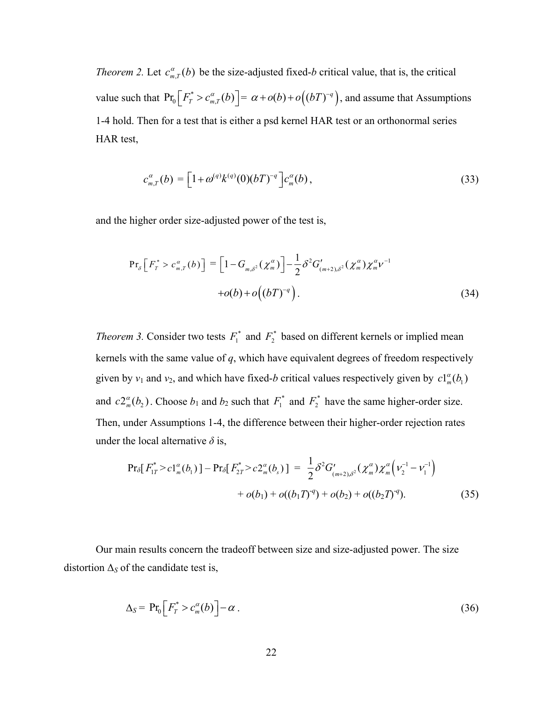*Theorem 2.* Let  $c_{m,T}^{\alpha}(b)$  be the size-adjusted fixed-*b* critical value, that is, the critical value such that  $Pr_0 \left[ F_T^* > c_{m,T}^{\alpha}(b) \right] = \alpha + o(b) + o((bT)^{-q})$ , and assume that Assumptions 1-4 hold. Then for a test that is either a psd kernel HAR test or an orthonormal series HAR test,

$$
c_{m,T}^{\alpha}(b) = \left[1 + \omega^{(q)} k^{(q)}(0) (bT)^{-q}\right] c_m^{\alpha}(b), \qquad (33)
$$

and the higher order size-adjusted power of the test is,

$$
\Pr_{\delta} \left[ F_r^* > c_{m,T}^{\alpha}(b) \right] = \left[ 1 - G_{m,\delta^2}(\chi_m^{\alpha}) \right] - \frac{1}{2} \delta^2 G'_{(m+2),\delta^2}(\chi_m^{\alpha}) \chi_m^{\alpha} \nu^{-1} + o(b) + o\left( (bT)^{-q} \right). \tag{34}
$$

*Theorem 3.* Consider two tests  $F_1^*$  and  $F_2^*$  based on different kernels or implied mean kernels with the same value of *q*, which have equivalent degrees of freedom respectively given by  $v_1$  and  $v_2$ , and which have fixed-*b* critical values respectively given by  $c1_m^{\alpha}(b_1)$ and  $c2_{m}^{\alpha}(b_2)$ . Choose  $b_1$  and  $b_2$  such that  $F_1^*$  and  $F_2^*$  have the same higher-order size. Then, under Assumptions 1-4, the difference between their higher-order rejection rates under the local alternative  $\delta$  is,

$$
\Pr_{\delta} [ F_{1T}^* > c 1_m^{\alpha} (b_1) ] - \Pr_{\delta} [ F_{2T}^* > c 2_m^{\alpha} (b_s) ] = \frac{1}{2} \delta^2 G'_{(m+2),\delta^2} (\chi_m^{\alpha}) \chi_m^{\alpha} \Big( v_2^{-1} - v_1^{-1} \Big) + o(b_1) + o((b_1 T)^{-q}) + o(b_2) + o((b_2 T)^{-q}).
$$
 (35)

Our main results concern the tradeoff between size and size-adjusted power. The size distortion  $\Delta_S$  of the candidate test is,

$$
\Delta_S = \Pr_0 \left[ F_T^* > c_m^{\alpha}(b) \right] - \alpha \,. \tag{36}
$$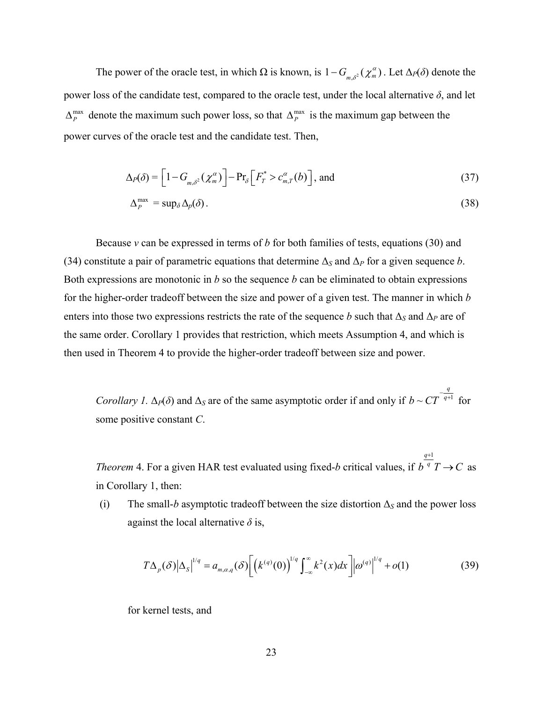The power of the oracle test, in which  $\Omega$  is known, is  $1 - G_{m,\delta^2}(\chi_m^{\alpha})$ . Let  $\Delta_P(\delta)$  denote the power loss of the candidate test, compared to the oracle test, under the local alternative *δ*, and let  $\Delta_P^{\text{max}}$  denote the maximum such power loss, so that  $\Delta_P^{\text{max}}$  is the maximum gap between the power curves of the oracle test and the candidate test. Then,

$$
\Delta_P(\delta) = \left[1 - G_{m,\delta^2}(\chi_m^{\alpha})\right] - \Pr_{\delta}\left[F_T^* > c_{m,T}^{\alpha}(b)\right], \text{ and} \tag{37}
$$

$$
\Delta_P^{\max} = \sup_{\delta} \Delta_p(\delta). \tag{38}
$$

Because *ν* can be expressed in terms of *b* for both families of tests, equations (30) and (34) constitute a pair of parametric equations that determine  $\Delta_S$  and  $\Delta_P$  for a given sequence *b*. Both expressions are monotonic in *b* so the sequence *b* can be eliminated to obtain expressions for the higher-order tradeoff between the size and power of a given test. The manner in which *b* enters into those two expressions restricts the rate of the sequence *b* such that  $\Delta_S$  and  $\Delta_P$  are of the same order. Corollary 1 provides that restriction, which meets Assumption 4, and which is then used in Theorem 4 to provide the higher-order tradeoff between size and power.

*Corollary 1.*  $\Delta_P(\delta)$  and  $\Delta_S$  are of the same asymptotic order if and only if  $b \sim CT^{-q+1}$  $b \sim CT^{-\frac{q}{q+1}}$  for some positive constant *C*.

*Theorem* 4. For a given HAR test evaluated using fixed-*b* critical values, if  $q+1$  $b^q$   $T \rightarrow C$  $^{+}$  $\rightarrow$  C as in Corollary 1, then:

(i) The small-*b* asymptotic tradeoff between the size distortion  $\Delta_S$  and the power loss against the local alternative  $\delta$  is,

$$
T\Delta_p(\delta)|\Delta_s|^{1/q} = a_{m,\alpha,q}(\delta) \bigg[ \big(k^{(q)}(0)\big)^{1/q} \int_{-\infty}^{\infty} k^2(x) dx \bigg] \bigg| \omega^{(q)} \bigg|^{1/q} + o(1) \tag{39}
$$

for kernel tests, and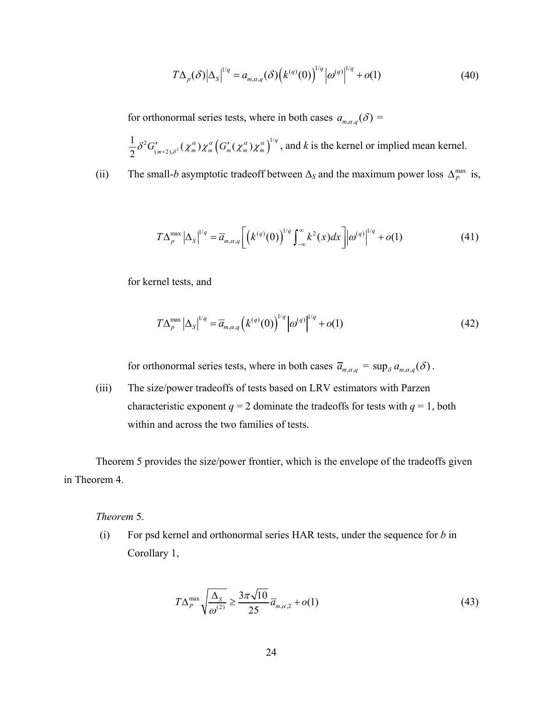$$
T\Delta_p(\delta)|\Delta_s|^{1/q} = a_{m,\alpha,q}(\delta)\left(k^{(q)}(0)\right)^{1/q} \left|\omega^{(q)}\right|^{1/q} + o(1)
$$
\n(40)

for orthonormal series tests, where in both cases  $a_{m,\alpha,q}(\delta)$  =

 $\frac{1}{2} \delta^2 G'_{(m+2),\delta^2}(\chi_m^{\alpha}) \chi_m^{\alpha} \left(G'_m(\chi_m^{\alpha})\chi_m^{\alpha}\right)^{1/q}$  $\delta^2 G'_{(m+2),\delta^2}(\chi_m^{\alpha})\chi_m^{\alpha} (G'_{m}(\chi_m^{\alpha})\chi_m^{\alpha})^{\alpha}$ , and k is the kernel or implied mean kernel.

(ii) The small-*b* asymptotic tradeoff between  $\Delta_S$  and the maximum power loss  $\Delta_P^{\text{max}}$  is,

$$
T\Delta_p^{\max}\left|\Delta_S\right|^{1/q} = \overline{a}_{m,\alpha,q} \left[ \left(k^{(q)}(0)\right)^{1/q} \int_{-\infty}^{\infty} k^2(x) dx \right] \left|\omega^{(q)}\right|^{1/q} + o(1) \tag{41}
$$

for kernel tests, and

$$
T\Delta_p^{\max} |\Delta_S|^{1/q} = \overline{a}_{m,\alpha,q} (k^{(q)}(0))^{1/q} |\omega^{(q)}|^{1/q} + o(1)
$$
 (42)

for orthonormal series tests, where in both cases  $\overline{a}_{m,\alpha,q} = \sup_{\delta} a_{m,\alpha,q}(\delta)$ .

(iii) The size/power tradeoffs of tests based on LRV estimators with Parzen characteristic exponent  $q = 2$  dominate the tradeoffs for tests with  $q = 1$ , both within and across the two families of tests.

Theorem 5 provides the size/power frontier, which is the envelope of the tradeoffs given in Theorem 4.

*Theorem* 5.

(i) For psd kernel and orthonormal series HAR tests, under the sequence for *b* in Corollary 1,

$$
T\Delta_P^{\max}\sqrt{\frac{\Delta_S}{\omega^{(2)}}} \ge \frac{3\pi\sqrt{10}}{25}\overline{a}_{m,\alpha,2} + o(1)
$$
\n(43)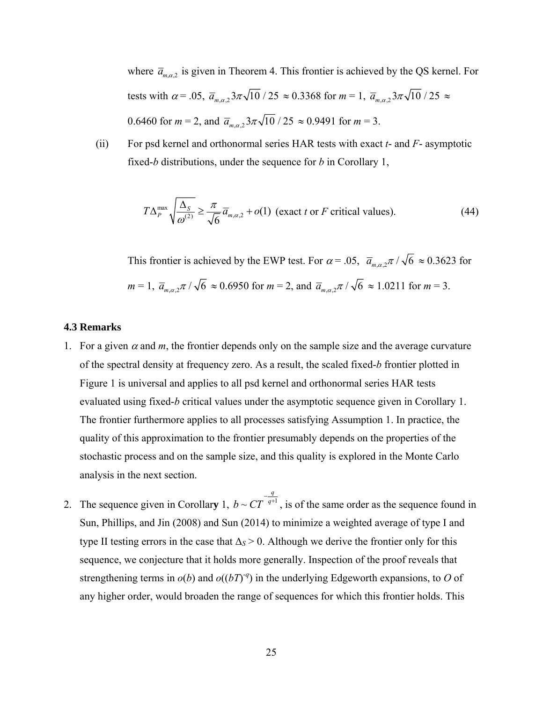where  $\bar{a}_{m,\alpha,2}$  is given in Theorem 4. This frontier is achieved by the QS kernel. For tests with  $\alpha = .05$ ,  $\overline{a}_{m,\alpha,2} 3\pi \sqrt{10} / 25 \approx 0.3368$  for  $m = 1$ ,  $\overline{a}_{m,\alpha,2} 3\pi \sqrt{10} / 25 \approx$ 0.6460 for  $m = 2$ , and  $\overline{a}_{m \alpha 2} 3\pi \sqrt{10} / 25 \approx 0.9491$  for  $m = 3$ .

(ii) For psd kernel and orthonormal series HAR tests with exact *t*- and *F*- asymptotic fixed-*b* distributions, under the sequence for *b* in Corollary 1,

$$
T\Delta_P^{\max} \sqrt{\frac{\Delta_S}{\omega^{(2)}}} \ge \frac{\pi}{\sqrt{6}} \overline{a}_{m,\alpha,2} + o(1) \text{ (exact } t \text{ or } F \text{ critical values).}
$$
 (44)

This frontier is achieved by the EWP test. For  $\alpha = .05$ ,  $\overline{a}_{m,\alpha,2}\pi / \sqrt{6} \approx 0.3623$  for  $m = 1, \overline{a}_{m,\alpha,2}\pi / \sqrt{6} \approx 0.6950$  for  $m = 2$ , and  $\overline{a}_{m,\alpha,2}\pi / \sqrt{6} \approx 1.0211$  for  $m = 3$ .

# **4.3 Remarks**

- 1. For a given  $\alpha$  and  $m$ , the frontier depends only on the sample size and the average curvature of the spectral density at frequency zero. As a result, the scaled fixed-*b* frontier plotted in Figure 1 is universal and applies to all psd kernel and orthonormal series HAR tests evaluated using fixed-*b* critical values under the asymptotic sequence given in Corollary 1. The frontier furthermore applies to all processes satisfying Assumption 1. In practice, the quality of this approximation to the frontier presumably depends on the properties of the stochastic process and on the sample size, and this quality is explored in the Monte Carlo analysis in the next section.
- 2. The sequence given in Corollary 1,  $b \sim CT^{-q+1}$  $b \sim CT^{\frac{q}{q+1}}$ , is of the same order as the sequence found in Sun, Phillips, and Jin (2008) and Sun (2014) to minimize a weighted average of type I and type II testing errors in the case that  $\Delta$ <sub>*S*</sub> > 0. Although we derive the frontier only for this sequence, we conjecture that it holds more generally. Inspection of the proof reveals that strengthening terms in  $o(b)$  and  $o((bT)^{-q})$  in the underlying Edgeworth expansions, to *O* of any higher order, would broaden the range of sequences for which this frontier holds. This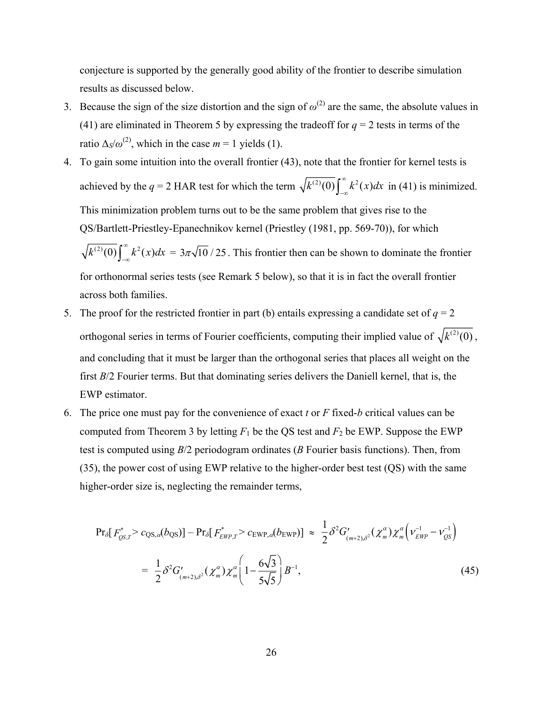conjecture is supported by the generally good ability of the frontier to describe simulation results as discussed below.

- 3. Because the sign of the size distortion and the sign of  $\omega^{(2)}$  are the same, the absolute values in (41) are eliminated in Theorem 5 by expressing the tradeoff for  $q = 2$  tests in terms of the ratio  $\Delta s/\omega^{(2)}$ , which in the case  $m = 1$  yields (1).
- 4. To gain some intuition into the overall frontier (43), note that the frontier for kernel tests is achieved by the  $q = 2$  HAR test for which the term  $\sqrt{k^{(2)}(0)} \int_{-\infty}^{\infty} k^2(x) dx$  in (41) is minimized. This minimization problem turns out to be the same problem that gives rise to the QS/Bartlett-Priestley-Epanechnikov kernel (Priestley (1981, pp. 569-70)), for which  $\sqrt{k^{(2)}(0)} \int_{-\infty}^{\infty} k^2(x) dx = 3\pi \sqrt{10} / 25$ . This frontier then can be shown to dominate the frontier for orthonormal series tests (see Remark 5 below), so that it is in fact the overall frontier across both families.
- 5. The proof for the restricted frontier in part (b) entails expressing a candidate set of  $q = 2$ orthogonal series in terms of Fourier coefficients, computing their implied value of  $\sqrt{k^{(2)}(0)}$ , and concluding that it must be larger than the orthogonal series that places all weight on the first *B*/2 Fourier terms. But that dominating series delivers the Daniell kernel, that is, the EWP estimator.
- 6. The price one must pay for the convenience of exact *t* or *F* fixed-*b* critical values can be computed from Theorem 3 by letting  $F_1$  be the QS test and  $F_2$  be EWP. Suppose the EWP test is computed using *B*/2 periodogram ordinates (*B* Fourier basis functions). Then, from (35), the power cost of using EWP relative to the higher-order best test (QS) with the same higher-order size is, neglecting the remainder terms,

$$
Pr_{\delta}[F_{\varrho S,T}^{*} > c_{\text{QS},\alpha}(b_{\text{QS}})] - Pr_{\delta}[F_{\text{EWP},T}^{*} > c_{\text{EWP},\alpha}(b_{\text{EWP}})] \approx \frac{1}{2} \delta^{2} G'_{(m+2),\delta^{2}}(\chi_{m}^{\alpha}) \chi_{m}^{\alpha} (\nu_{\text{EWP}}^{-1} - \nu_{\varrho S}^{-1})
$$
  

$$
= \frac{1}{2} \delta^{2} G'_{(m+2),\delta^{2}}(\chi_{m}^{\alpha}) \chi_{m}^{\alpha} \left(1 - \frac{6\sqrt{3}}{5\sqrt{5}}\right) B^{-1}, \tag{45}
$$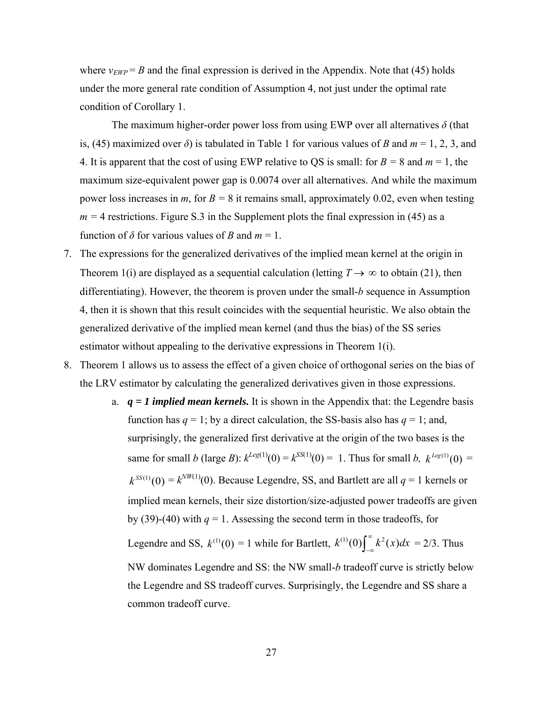where  $v_{EWP} = B$  and the final expression is derived in the Appendix. Note that (45) holds under the more general rate condition of Assumption 4, not just under the optimal rate condition of Corollary 1.

The maximum higher-order power loss from using EWP over all alternatives *δ* (that is, (45) maximized over *δ*) is tabulated in Table 1 for various values of *B* and *m* = 1, 2, 3, and 4. It is apparent that the cost of using EWP relative to QS is small: for  $B = 8$  and  $m = 1$ , the maximum size-equivalent power gap is 0.0074 over all alternatives. And while the maximum power loss increases in *m*, for  $B = 8$  it remains small, approximately 0.02, even when testing  $m = 4$  restrictions. Figure S.3 in the Supplement plots the final expression in (45) as a function of  $\delta$  for various values of *B* and  $m = 1$ .

- 7. The expressions for the generalized derivatives of the implied mean kernel at the origin in Theorem 1(i) are displayed as a sequential calculation (letting  $T \rightarrow \infty$  to obtain (21), then differentiating). However, the theorem is proven under the small-*b* sequence in Assumption 4, then it is shown that this result coincides with the sequential heuristic. We also obtain the generalized derivative of the implied mean kernel (and thus the bias) of the SS series estimator without appealing to the derivative expressions in Theorem 1(i).
- 8. Theorem 1 allows us to assess the effect of a given choice of orthogonal series on the bias of the LRV estimator by calculating the generalized derivatives given in those expressions.
	- a.  $q = 1$  *implied mean kernels.* It is shown in the Appendix that: the Legendre basis function has  $q = 1$ ; by a direct calculation, the SS-basis also has  $q = 1$ ; and, surprisingly, the generalized first derivative at the origin of the two bases is the same for small *b* (large *B*):  $k^{Leg(1)}(0) = k^{SS(1)}(0) = 1$ . Thus for small *b*,  $k^{Leg(1)}(0) = 1$  $k^{SS(1)}(0) = k^{NW(1)}(0)$ . Because Legendre, SS, and Bartlett are all  $q = 1$  kernels or implied mean kernels, their size distortion/size-adjusted power tradeoffs are given by (39)-(40) with  $q = 1$ . Assessing the second term in those tradeoffs, for Legendre and SS,  $k^{(1)}(0) = 1$  while for Bartlett,  $k^{(1)}(0) \int_{-\infty}^{\infty} k^2(x) dx = 2/3$ . Thus NW dominates Legendre and SS: the NW small-*b* tradeoff curve is strictly below the Legendre and SS tradeoff curves. Surprisingly, the Legendre and SS share a common tradeoff curve.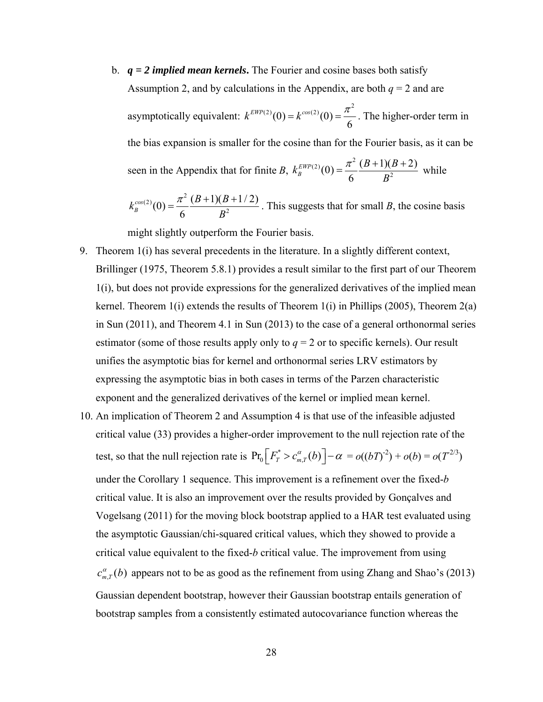b. *q = 2 implied mean kernels***.** The Fourier and cosine bases both satisfy Assumption 2, and by calculations in the Appendix, are both  $q = 2$  and are asymptotically equivalent:  $k^{EWP(2)}(0) = k^{cos(2)}(0) = \frac{\pi^2}{6}$ . The higher-order term in the bias expansion is smaller for the cosine than for the Fourier basis, as it can be seen in the Appendix that for finite *B*,  $(2)(0) - \pi^2$  $E_{B}^{EWP(2)}(0) = \frac{\pi^2}{6} \frac{(B+1)(B+2)}{B^2}$  $k_B^{EWP(2)}(0) = \frac{\pi^2}{6} \frac{(B+1)(B-1)}{B^2}$ *B*  $=\frac{\pi^2 (B+1)(B+2)}{2}$  while

 $x^{(2)}(0) = \pi^2$  $e^{cos(2)}(0) = \frac{\pi^2}{6} \frac{(B+1)(B+1/2)}{B^2}$ *B*  $B+1$ <sup>(*B*</sup>) *B*  $k_B^{cos(2)}(0) = \frac{\pi^2}{2} \frac{(B+1)(B+1/2)}{B^2}$ . This suggests that for small *B*, the cosine basis

might slightly outperform the Fourier basis.

- 9. Theorem 1(i) has several precedents in the literature. In a slightly different context, Brillinger (1975, Theorem 5.8.1) provides a result similar to the first part of our Theorem 1(i), but does not provide expressions for the generalized derivatives of the implied mean kernel. Theorem  $1(i)$  extends the results of Theorem  $1(i)$  in Phillips (2005), Theorem  $2(a)$ in Sun (2011), and Theorem 4.1 in Sun (2013) to the case of a general orthonormal series estimator (some of those results apply only to  $q = 2$  or to specific kernels). Our result unifies the asymptotic bias for kernel and orthonormal series LRV estimators by expressing the asymptotic bias in both cases in terms of the Parzen characteristic exponent and the generalized derivatives of the kernel or implied mean kernel.
- 10. An implication of Theorem 2 and Assumption 4 is that use of the infeasible adjusted critical value (33) provides a higher-order improvement to the null rejection rate of the test, so that the null rejection rate is  $Pr_0[F_T^* > c_{m,T}^{\alpha}(b)] - \alpha = o((bT)^{-2}) + o(b) = o(T^{2/3})$ under the Corollary 1 sequence. This improvement is a refinement over the fixed-*b* critical value. It is also an improvement over the results provided by Gonçalves and Vogelsang (2011) for the moving block bootstrap applied to a HAR test evaluated using the asymptotic Gaussian/chi-squared critical values, which they showed to provide a critical value equivalent to the fixed-*b* critical value. The improvement from using  $c_{m,T}^{\alpha}(b)$  appears not to be as good as the refinement from using Zhang and Shao's (2013) Gaussian dependent bootstrap, however their Gaussian bootstrap entails generation of bootstrap samples from a consistently estimated autocovariance function whereas the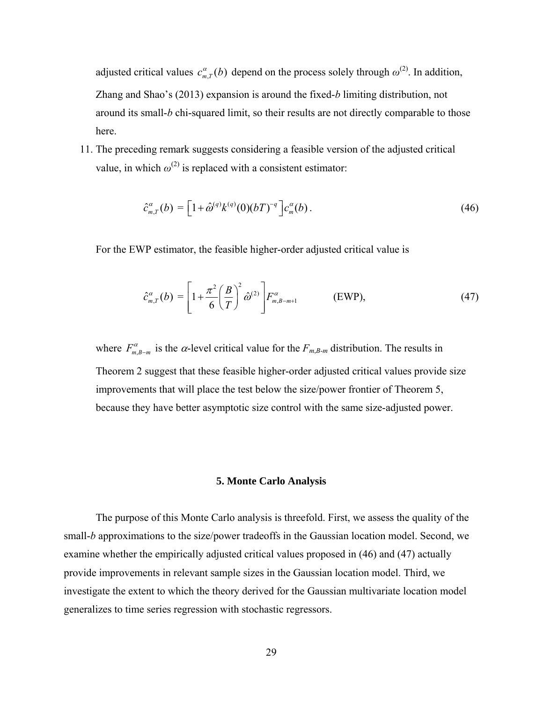adjusted critical values  $c_{m,T}^{\alpha}(b)$  depend on the process solely through  $\omega^{(2)}$ . In addition, Zhang and Shao's (2013) expansion is around the fixed-*b* limiting distribution, not around its small-*b* chi-squared limit, so their results are not directly comparable to those here.

11. The preceding remark suggests considering a feasible version of the adjusted critical value, in which  $\omega^{(2)}$  is replaced with a consistent estimator:

$$
\hat{c}_{m,T}^{\alpha}(b) = \left[1 + \hat{\omega}^{(q)} k^{(q)}(0) (bT)^{-q}\right] c_m^{\alpha}(b) \,. \tag{46}
$$

For the EWP estimator, the feasible higher-order adjusted critical value is

$$
\hat{c}_{m,T}^{\alpha}(b) = \left[1 + \frac{\pi^2}{6} \left(\frac{B}{T}\right)^2 \hat{\omega}^{(2)}\right] F_{m,B-m+1}^{\alpha} \qquad \text{(EWP)},\tag{47}
$$

where  $F_{m,B-m}^{\alpha}$  is the  $\alpha$ -level critical value for the  $F_{m,B-m}$  distribution. The results in Theorem 2 suggest that these feasible higher-order adjusted critical values provide size improvements that will place the test below the size/power frontier of Theorem 5, because they have better asymptotic size control with the same size-adjusted power.

# **5. Monte Carlo Analysis**

The purpose of this Monte Carlo analysis is threefold. First, we assess the quality of the small-*b* approximations to the size/power tradeoffs in the Gaussian location model. Second, we examine whether the empirically adjusted critical values proposed in (46) and (47) actually provide improvements in relevant sample sizes in the Gaussian location model. Third, we investigate the extent to which the theory derived for the Gaussian multivariate location model generalizes to time series regression with stochastic regressors.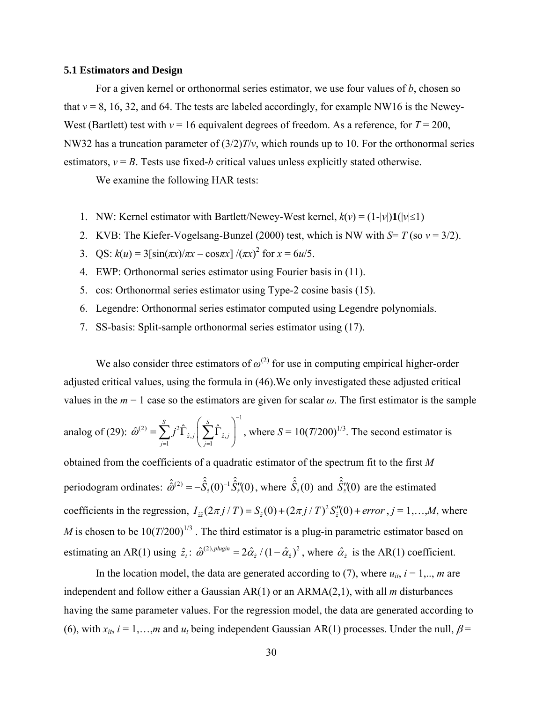#### **5.1 Estimators and Design**

For a given kernel or orthonormal series estimator, we use four values of *b*, chosen so that  $v = 8$ , 16, 32, and 64. The tests are labeled accordingly, for example NW16 is the Newey-West (Bartlett) test with  $v = 16$  equivalent degrees of freedom. As a reference, for  $T = 200$ , NW32 has a truncation parameter of (3/2)*T*/*ν*, which rounds up to 10. For the orthonormal series estimators,  $v = B$ . Tests use fixed-*b* critical values unless explicitly stated otherwise.

We examine the following HAR tests:

- 1. NW: Kernel estimator with Bartlett/Newey-West kernel,  $k(v) = (1-|v|)\mathbf{1}(|v| \le 1)$
- 2. KVB: The Kiefer-Vogelsang-Bunzel (2000) test, which is NW with *S*= *T* (so *ν* = 3/2).
- 3. QS:  $k(u) = 3[\sin(\pi x)/\pi x \cos(\pi x)] /(\pi x)^2$  for  $x = 6u/5$ .
- 4. EWP: Orthonormal series estimator using Fourier basis in (11).
- 5. cos: Orthonormal series estimator using Type-2 cosine basis (15).
- 6. Legendre: Orthonormal series estimator computed using Legendre polynomials.
- 7. SS-basis: Split-sample orthonormal series estimator using (17).

We also consider three estimators of  $\omega^{(2)}$  for use in computing empirical higher-order adjusted critical values, using the formula in (46).We only investigated these adjusted critical values in the  $m = 1$  case so the estimators are given for scalar  $\omega$ . The first estimator is the sample

analog of (29): 
$$
\hat{\omega}^{(2)} = \sum_{j=1}^{S} j^2 \hat{\Gamma}_{\hat{z},j} \left( \sum_{j=1}^{S} \hat{\Gamma}_{\hat{z},j} \right)^{-1}
$$
, where  $S = 10(T/200)^{1/3}$ . The second estimator is

obtained from the coefficients of a quadratic estimator of the spectrum fit to the first *M* periodogram ordinates:  $\hat{\hat{\omega}}^{(2)} = -\hat{\hat{S}}_2(0)^{-1} \hat{\hat{S}}_2''(0)$ , where  $\hat{\hat{S}}_2(0)$  and  $\hat{\hat{S}}_2''(0)$  are the estimated coefficients in the regression,  $I_{\hat{z}}(2\pi j/T) = S_{\hat{z}}(0) + (2\pi j/T)^2 S''_z(0) + error$ ,  $j = 1,...,M$ , where *M* is chosen to be  $10(T/200)^{1/3}$ . The third estimator is a plug-in parametric estimator based on estimating an AR(1) using  $\hat{z}_t$ :  $\hat{\omega}^{(2),\text{plugin}} = 2\hat{\alpha}_z/(1-\hat{\alpha}_z)^2$ , where  $\hat{\alpha}_z$  is the AR(1) coefficient.

In the location model, the data are generated according to (7), where  $u_{it}$ ,  $i = 1, \dots, m$  are independent and follow either a Gaussian AR(1) or an ARMA(2,1), with all *m* disturbances having the same parameter values. For the regression model, the data are generated according to (6), with  $x_{it}$ ,  $i = 1,...,m$  and  $u_t$  being independent Gaussian AR(1) processes. Under the null,  $\beta$ =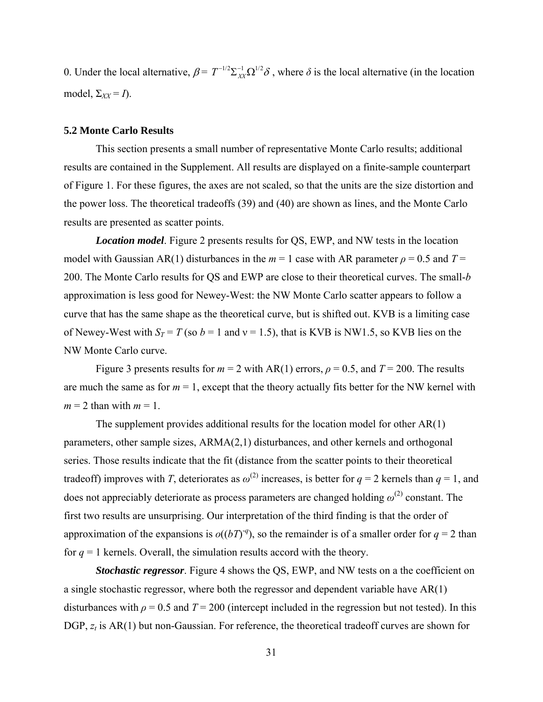0. Under the local alternative,  $\beta = T^{-1/2} \sum_{XX} \Omega^{1/2} \delta$ , where  $\delta$  is the local alternative (in the location model,  $\Sigma_{XX} = I$ ).

## **5.2 Monte Carlo Results**

This section presents a small number of representative Monte Carlo results; additional results are contained in the Supplement. All results are displayed on a finite-sample counterpart of Figure 1. For these figures, the axes are not scaled, so that the units are the size distortion and the power loss. The theoretical tradeoffs (39) and (40) are shown as lines, and the Monte Carlo results are presented as scatter points.

*Location model*. Figure 2 presents results for QS, EWP, and NW tests in the location model with Gaussian AR(1) disturbances in the  $m = 1$  case with AR parameter  $\rho = 0.5$  and  $T =$ 200. The Monte Carlo results for QS and EWP are close to their theoretical curves. The small-*b* approximation is less good for Newey-West: the NW Monte Carlo scatter appears to follow a curve that has the same shape as the theoretical curve, but is shifted out. KVB is a limiting case of Newey-West with  $S_T = T$  (so  $b = 1$  and  $v = 1.5$ ), that is KVB is NW1.5, so KVB lies on the NW Monte Carlo curve.

Figure 3 presents results for  $m = 2$  with AR(1) errors,  $\rho = 0.5$ , and  $T = 200$ . The results are much the same as for  $m = 1$ , except that the theory actually fits better for the NW kernel with  $m = 2$  than with  $m = 1$ .

The supplement provides additional results for the location model for other AR(1) parameters, other sample sizes, ARMA(2,1) disturbances, and other kernels and orthogonal series. Those results indicate that the fit (distance from the scatter points to their theoretical tradeoff) improves with *T*, deteriorates as  $\omega^{(2)}$  increases, is better for  $q = 2$  kernels than  $q = 1$ , and does not appreciably deteriorate as process parameters are changed holding  $\omega^{(2)}$  constant. The first two results are unsurprising. Our interpretation of the third finding is that the order of approximation of the expansions is  $o((bT)^q)$ , so the remainder is of a smaller order for  $q = 2$  than for  $q = 1$  kernels. Overall, the simulation results accord with the theory.

*Stochastic regressor.* Figure 4 shows the QS, EWP, and NW tests on a the coefficient on a single stochastic regressor, where both the regressor and dependent variable have AR(1) disturbances with  $\rho = 0.5$  and  $T = 200$  (intercept included in the regression but not tested). In this DGP,  $z_t$  is AR(1) but non-Gaussian. For reference, the theoretical tradeoff curves are shown for

31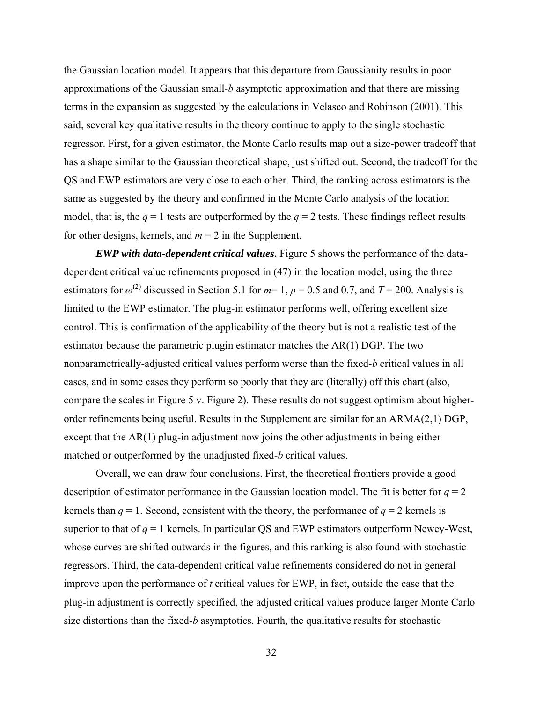the Gaussian location model. It appears that this departure from Gaussianity results in poor approximations of the Gaussian small-*b* asymptotic approximation and that there are missing terms in the expansion as suggested by the calculations in Velasco and Robinson (2001). This said, several key qualitative results in the theory continue to apply to the single stochastic regressor. First, for a given estimator, the Monte Carlo results map out a size-power tradeoff that has a shape similar to the Gaussian theoretical shape, just shifted out. Second, the tradeoff for the QS and EWP estimators are very close to each other. Third, the ranking across estimators is the same as suggested by the theory and confirmed in the Monte Carlo analysis of the location model, that is, the  $q = 1$  tests are outperformed by the  $q = 2$  tests. These findings reflect results for other designs, kernels, and  $m = 2$  in the Supplement.

*EWP with data-dependent critical values***.** Figure 5 shows the performance of the datadependent critical value refinements proposed in (47) in the location model, using the three estimators for  $\omega^{(2)}$  discussed in Section 5.1 for  $m=1$ ,  $\rho = 0.5$  and 0.7, and  $T = 200$ . Analysis is limited to the EWP estimator. The plug-in estimator performs well, offering excellent size control. This is confirmation of the applicability of the theory but is not a realistic test of the estimator because the parametric plugin estimator matches the AR(1) DGP. The two nonparametrically-adjusted critical values perform worse than the fixed-*b* critical values in all cases, and in some cases they perform so poorly that they are (literally) off this chart (also, compare the scales in Figure 5 v. Figure 2). These results do not suggest optimism about higherorder refinements being useful. Results in the Supplement are similar for an ARMA(2,1) DGP, except that the AR(1) plug-in adjustment now joins the other adjustments in being either matched or outperformed by the unadjusted fixed-*b* critical values.

Overall, we can draw four conclusions. First, the theoretical frontiers provide a good description of estimator performance in the Gaussian location model. The fit is better for  $q = 2$ kernels than  $q = 1$ . Second, consistent with the theory, the performance of  $q = 2$  kernels is superior to that of  $q = 1$  kernels. In particular QS and EWP estimators outperform Newey-West, whose curves are shifted outwards in the figures, and this ranking is also found with stochastic regressors. Third, the data-dependent critical value refinements considered do not in general improve upon the performance of *t* critical values for EWP, in fact, outside the case that the plug-in adjustment is correctly specified, the adjusted critical values produce larger Monte Carlo size distortions than the fixed-*b* asymptotics. Fourth, the qualitative results for stochastic

32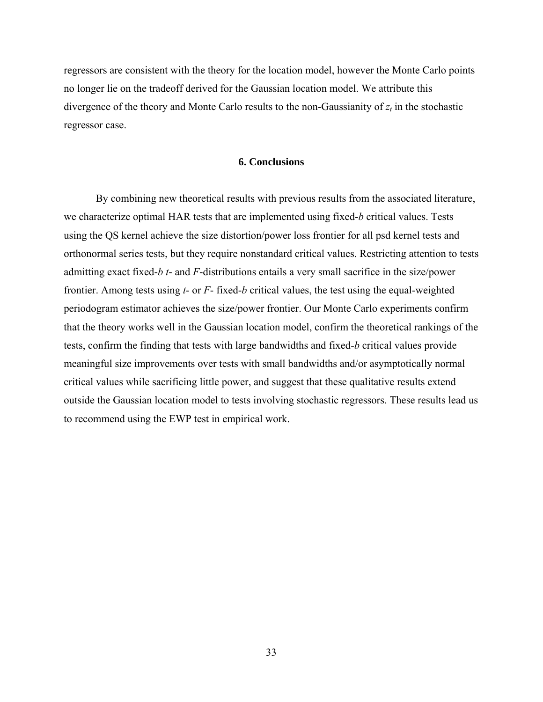regressors are consistent with the theory for the location model, however the Monte Carlo points no longer lie on the tradeoff derived for the Gaussian location model. We attribute this divergence of the theory and Monte Carlo results to the non-Gaussianity of  $z_t$  in the stochastic regressor case.

# **6. Conclusions**

By combining new theoretical results with previous results from the associated literature, we characterize optimal HAR tests that are implemented using fixed-*b* critical values. Tests using the QS kernel achieve the size distortion/power loss frontier for all psd kernel tests and orthonormal series tests, but they require nonstandard critical values. Restricting attention to tests admitting exact fixed-*b t*- and *F*-distributions entails a very small sacrifice in the size/power frontier. Among tests using *t*- or *F*- fixed-*b* critical values, the test using the equal-weighted periodogram estimator achieves the size/power frontier. Our Monte Carlo experiments confirm that the theory works well in the Gaussian location model, confirm the theoretical rankings of the tests, confirm the finding that tests with large bandwidths and fixed-*b* critical values provide meaningful size improvements over tests with small bandwidths and/or asymptotically normal critical values while sacrificing little power, and suggest that these qualitative results extend outside the Gaussian location model to tests involving stochastic regressors. These results lead us to recommend using the EWP test in empirical work.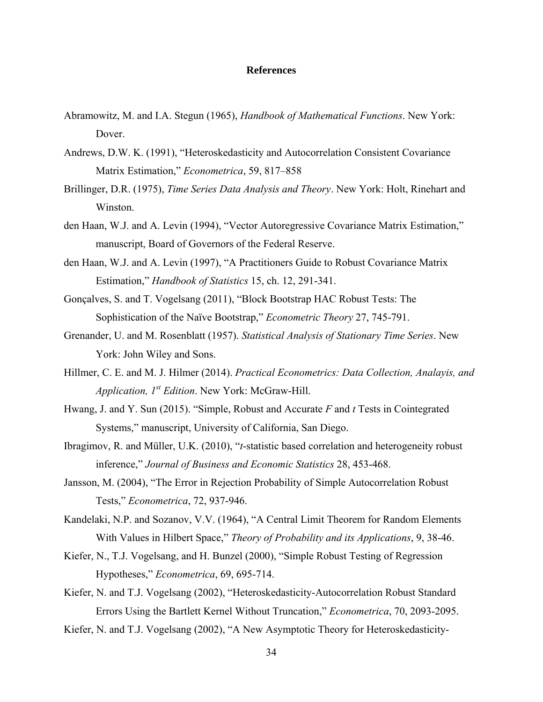## **References**

- Abramowitz, M. and I.A. Stegun (1965), *Handbook of Mathematical Functions*. New York: Dover.
- Andrews, D.W. K. (1991), "Heteroskedasticity and Autocorrelation Consistent Covariance Matrix Estimation," *Econometrica*, 59, 817–858
- Brillinger, D.R. (1975), *Time Series Data Analysis and Theory*. New York: Holt, Rinehart and Winston.
- den Haan, W.J. and A. Levin (1994), "Vector Autoregressive Covariance Matrix Estimation," manuscript, Board of Governors of the Federal Reserve.
- den Haan, W.J. and A. Levin (1997), "A Practitioners Guide to Robust Covariance Matrix Estimation," *Handbook of Statistics* 15, ch. 12, 291-341.
- Gonçalves, S. and T. Vogelsang (2011), "Block Bootstrap HAC Robust Tests: The Sophistication of the Naïve Bootstrap," *Econometric Theory* 27, 745-791.
- Grenander, U. and M. Rosenblatt (1957). *Statistical Analysis of Stationary Time Series*. New York: John Wiley and Sons.
- Hillmer, C. E. and M. J. Hilmer (2014). *Practical Econometrics: Data Collection, Analayis, and Application, 1st Edition*. New York: McGraw-Hill.
- Hwang, J. and Y. Sun (2015). "Simple, Robust and Accurate *F* and *t* Tests in Cointegrated Systems," manuscript, University of California, San Diego.
- Ibragimov, R. and Müller, U.K. (2010), "*t*-statistic based correlation and heterogeneity robust inference," *Journal of Business and Economic Statistics* 28, 453-468.
- Jansson, M. (2004), "The Error in Rejection Probability of Simple Autocorrelation Robust Tests," *Econometrica*, 72, 937-946.
- Kandelaki, N.P. and Sozanov, V.V. (1964), "A Central Limit Theorem for Random Elements With Values in Hilbert Space," *Theory of Probability and its Applications*, 9, 38-46.
- Kiefer, N., T.J. Vogelsang, and H. Bunzel (2000), "Simple Robust Testing of Regression Hypotheses," *Econometrica*, 69, 695-714.
- Kiefer, N. and T.J. Vogelsang (2002), "Heteroskedasticity-Autocorrelation Robust Standard Errors Using the Bartlett Kernel Without Truncation," *Econometrica*, 70, 2093-2095.
- Kiefer, N. and T.J. Vogelsang (2002), "A New Asymptotic Theory for Heteroskedasticity-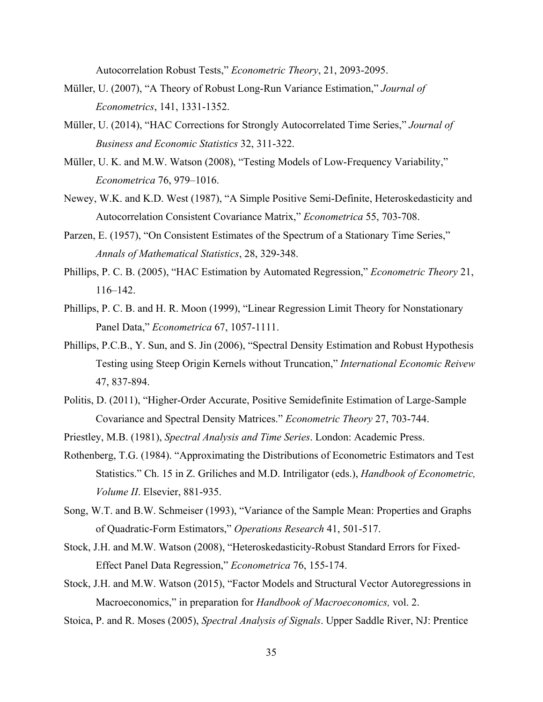Autocorrelation Robust Tests," *Econometric Theory*, 21, 2093-2095.

- Müller, U. (2007), "A Theory of Robust Long-Run Variance Estimation," *Journal of Econometrics*, 141, 1331-1352.
- Müller, U. (2014), "HAC Corrections for Strongly Autocorrelated Time Series," *Journal of Business and Economic Statistics* 32, 311-322.
- Müller, U. K. and M.W. Watson (2008), "Testing Models of Low-Frequency Variability," *Econometrica* 76, 979–1016.
- Newey, W.K. and K.D. West (1987), "A Simple Positive Semi-Definite, Heteroskedasticity and Autocorrelation Consistent Covariance Matrix," *Econometrica* 55, 703-708.
- Parzen, E. (1957), "On Consistent Estimates of the Spectrum of a Stationary Time Series," *Annals of Mathematical Statistics*, 28, 329-348.
- Phillips, P. C. B. (2005), "HAC Estimation by Automated Regression," *Econometric Theory* 21, 116–142.
- Phillips, P. C. B. and H. R. Moon (1999), "Linear Regression Limit Theory for Nonstationary Panel Data," *Econometrica* 67, 1057-1111.
- Phillips, P.C.B., Y. Sun, and S. Jin (2006), "Spectral Density Estimation and Robust Hypothesis Testing using Steep Origin Kernels without Truncation," *International Economic Reivew* 47, 837-894.
- Politis, D. (2011), "Higher-Order Accurate, Positive Semidefinite Estimation of Large-Sample Covariance and Spectral Density Matrices." *Econometric Theory* 27, 703-744.
- Priestley, M.B. (1981), *Spectral Analysis and Time Series*. London: Academic Press.
- Rothenberg, T.G. (1984). "Approximating the Distributions of Econometric Estimators and Test Statistics." Ch. 15 in Z. Griliches and M.D. Intriligator (eds.), *Handbook of Econometric, Volume II*. Elsevier, 881-935.
- Song, W.T. and B.W. Schmeiser (1993), "Variance of the Sample Mean: Properties and Graphs of Quadratic-Form Estimators," *Operations Research* 41, 501-517.
- Stock, J.H. and M.W. Watson (2008), "Heteroskedasticity-Robust Standard Errors for Fixed-Effect Panel Data Regression," *Econometrica* 76, 155-174.
- Stock, J.H. and M.W. Watson (2015), "Factor Models and Structural Vector Autoregressions in Macroeconomics," in preparation for *Handbook of Macroeconomics,* vol. 2.
- Stoica, P. and R. Moses (2005), *Spectral Analysis of Signals*. Upper Saddle River, NJ: Prentice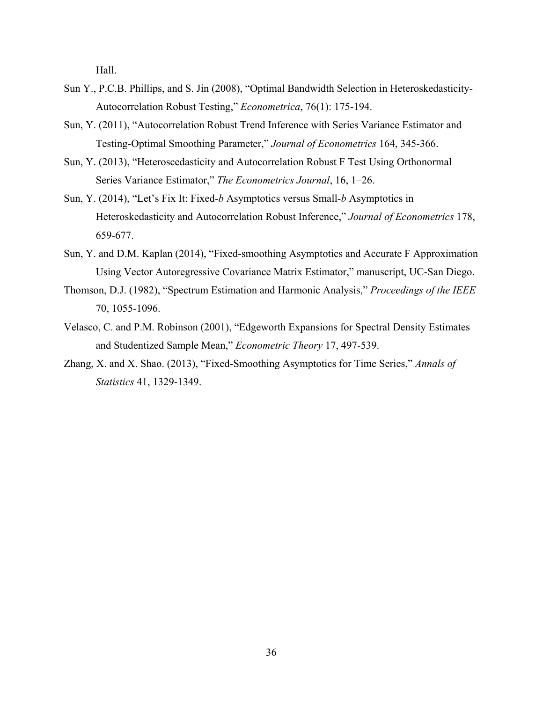Hall.

- Sun Y., P.C.B. Phillips, and S. Jin (2008), "Optimal Bandwidth Selection in Heteroskedasticity-Autocorrelation Robust Testing," *Econometrica*, 76(1): 175-194.
- Sun, Y. (2011), "Autocorrelation Robust Trend Inference with Series Variance Estimator and Testing-Optimal Smoothing Parameter," *Journal of Econometrics* 164, 345-366.
- Sun, Y. (2013), "Heteroscedasticity and Autocorrelation Robust F Test Using Orthonormal Series Variance Estimator," *The Econometrics Journal*, 16, 1–26.
- Sun, Y. (2014), "Let's Fix It: Fixed-*b* Asymptotics versus Small-*b* Asymptotics in Heteroskedasticity and Autocorrelation Robust Inference," *Journal of Econometrics* 178, 659-677.
- Sun, Y. and D.M. Kaplan (2014), "Fixed-smoothing Asymptotics and Accurate F Approximation Using Vector Autoregressive Covariance Matrix Estimator," manuscript, UC-San Diego.
- Thomson, D.J. (1982), "Spectrum Estimation and Harmonic Analysis," *Proceedings of the IEEE*  70, 1055-1096.
- Velasco, C. and P.M. Robinson (2001), "Edgeworth Expansions for Spectral Density Estimates and Studentized Sample Mean," *Econometric Theory* 17, 497-539.
- Zhang, X. and X. Shao. (2013), "Fixed-Smoothing Asymptotics for Time Series," *Annals of Statistics* 41, 1329-1349.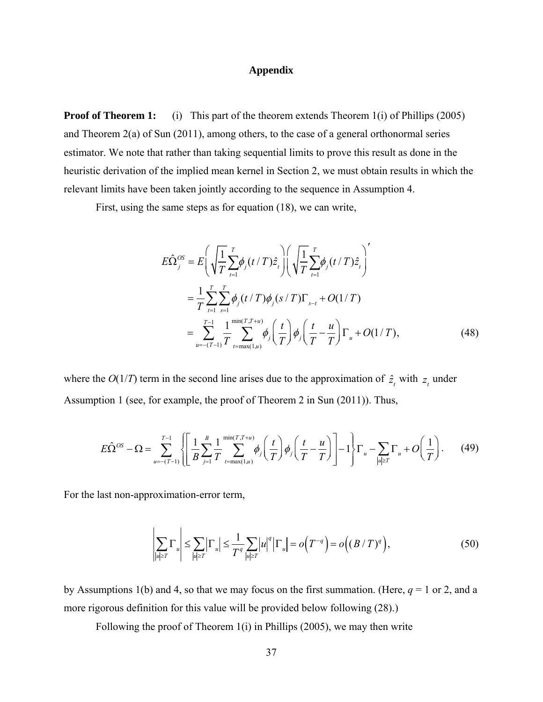## **Appendix**

**Proof of Theorem 1:** (i) This part of the theorem extends Theorem 1(i) of Phillips (2005) and Theorem 2(a) of Sun (2011), among others, to the case of a general orthonormal series estimator. We note that rather than taking sequential limits to prove this result as done in the heuristic derivation of the implied mean kernel in Section 2, we must obtain results in which the relevant limits have been taken jointly according to the sequence in Assumption 4.

First, using the same steps as for equation (18), we can write,

$$
E\hat{\Omega}_{j}^{OS} = E\left(\sqrt{\frac{1}{T}\sum_{t=1}^{T}\phi_{j}(t/T)\hat{z}_{t}}\right)\left(\sqrt{\frac{1}{T}\sum_{t=1}^{T}\phi_{j}(t/T)\hat{z}_{t}}\right)^{'}=\frac{1}{T}\sum_{t=1}^{T}\sum_{s=1}^{T}\phi_{j}(t/T)\phi_{j}(s/T)\Gamma_{s-t} + O(1/T)=\sum_{u=-(T-1)}^{T-1}\frac{1}{T}\sum_{t=\max(1,u)}^{\min(T,T+u)}\phi_{j}\left(\frac{t}{T}\right)\phi_{j}\left(\frac{t}{T}-\frac{u}{T}\right)\Gamma_{u} + O(1/T),
$$
(48)

where the  $O(1/T)$  term in the second line arises due to the approximation of  $\hat{z}_t$  with  $z_t$  under Assumption 1 (see, for example, the proof of Theorem 2 in Sun (2011)). Thus,

$$
E\hat{\Omega}^{OS} - \Omega = \sum_{u = -(T-1)}^{T-1} \left\{ \left[ \frac{1}{B} \sum_{j=1}^{B} \frac{1}{T} \sum_{t=\max(1,u)}^{\min(T,T+u)} \phi_j \left( \frac{t}{T} \right) \phi_j \left( \frac{t}{T} - \frac{u}{T} \right) \right] - 1 \right\} \Gamma_u - \sum_{|u| \ge T} \Gamma_u + O\left( \frac{1}{T} \right). \tag{49}
$$

For the last non-approximation-error term,

$$
\left|\sum_{|u| \ge T} \Gamma_u\right| \le \sum_{|u| \ge T} \left|\Gamma_u\right| \le \frac{1}{T^q} \sum_{|u| \ge T} |u|^q \left|\Gamma_u\right| = o\left(T^{-q}\right) = o\left((B/T)^q\right),\tag{50}
$$

by Assumptions 1(b) and 4, so that we may focus on the first summation. (Here, *q* = 1 or 2, and a more rigorous definition for this value will be provided below following (28).)

Following the proof of Theorem 1(i) in Phillips (2005), we may then write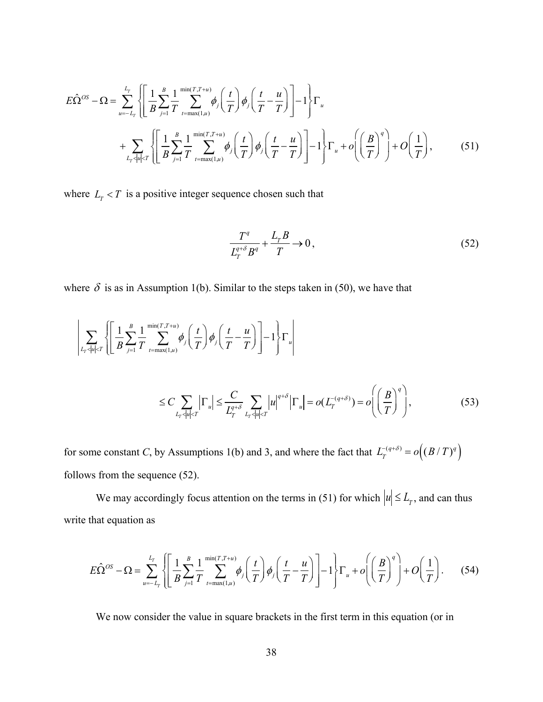$$
E\hat{\Omega}^{OS} - \Omega = \sum_{u=-L_T}^{L_T} \left\{ \left[ \frac{1}{B} \sum_{j=1}^{B} \frac{1}{T} \sum_{t=\max(1,u)}^{\min(T,T+u)} \phi_j \left( \frac{t}{T} \right) \phi_j \left( \frac{t}{T} - \frac{u}{T} \right) \right] - 1 \right\} \Gamma_u + \sum_{L_T \leq |u| \leq T} \left\{ \left[ \frac{1}{B} \sum_{j=1}^{B} \frac{1}{T} \sum_{t=\max(1,u)}^{\min(T,T+u)} \phi_j \left( \frac{t}{T} \right) \phi_j \left( \frac{t}{T} - \frac{u}{T} \right) \right] - 1 \right\} \Gamma_u + o\left( \left( \frac{B}{T} \right)^q \right) + O\left( \frac{1}{T} \right), \tag{51}
$$

where  $L_T < T$  is a positive integer sequence chosen such that

$$
\frac{T^q}{L_T^{q+\delta}B^q} + \frac{L_rB}{T} \to 0, \qquad (52)
$$

where  $\delta$  is as in Assumption 1(b). Similar to the steps taken in (50), we have that

$$
\left| \sum_{L_T < |u| < T} \left\{ \left[ \frac{1}{B} \sum_{j=1}^{B} \frac{1}{T} \sum_{t=\max(1,u)}^{\min(T,T+u)} \phi_j \left( \frac{t}{T} \right) \phi_j \left( \frac{t}{T} - \frac{u}{T} \right) \right] - 1 \right\} \Gamma_u \right|
$$
\n
$$
\leq C \sum_{L_T < |u| < T} \left| \Gamma_u \right| \leq \frac{C}{L_T^{q+\delta}} \sum_{L_T < |u| < T} |u|^{q+\delta} \left| \Gamma_u \right| = o(L_T^{-(q+\delta)}) = o\left( \left( \frac{B}{T} \right)^q \right),\tag{53}
$$

for some constant *C*, by Assumptions 1(b) and 3, and where the fact that  $L_T^{-(q+\delta)} = o((B/T)^q)$ follows from the sequence (52).

We may accordingly focus attention on the terms in (51) for which  $|u| \le L_T$ , and can thus write that equation as

$$
E\hat{\Omega}^{OS} - \Omega = \sum_{u=-L_T}^{L_T} \left\{ \left[ \frac{1}{B} \sum_{j=1}^{B} \frac{1}{T} \sum_{t=\max(1,u)}^{\min(T,T+u)} \phi_j \left( \frac{t}{T} \right) \phi_j \left( \frac{t}{T} - \frac{u}{T} \right) \right] - 1 \right\} \Gamma_u + o\left( \left( \frac{B}{T} \right)^q \right) + O\left( \frac{1}{T} \right). \tag{54}
$$

We now consider the value in square brackets in the first term in this equation (or in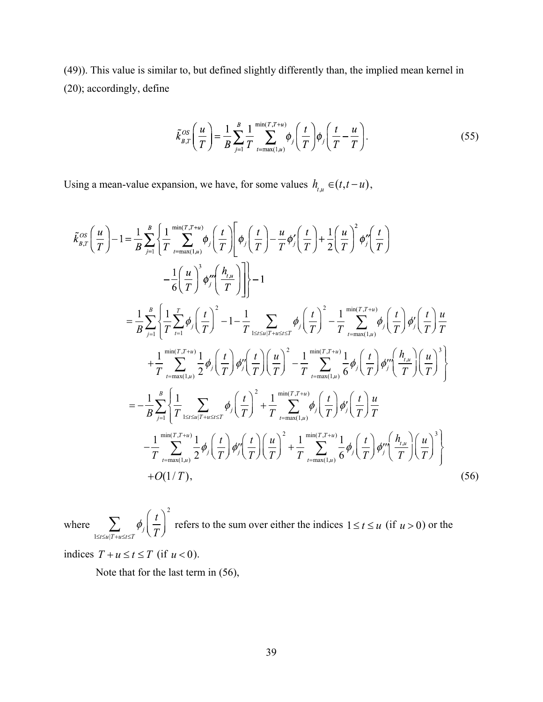(49)). This value is similar to, but defined slightly differently than, the implied mean kernel in (20); accordingly, define

$$
\tilde{k}_{B,T}^{OS}\left(\frac{u}{T}\right) = \frac{1}{B} \sum_{j=1}^{B} \frac{1}{T} \sum_{t=\max(1,u)}^{\min(T,T+u)} \phi_j\left(\frac{t}{T}\right) \phi_j\left(\frac{t}{T} - \frac{u}{T}\right). \tag{55}
$$

Using a mean-value expansion, we have, for some values  $h_{t,u} \in (t, t - u)$ ,

$$
\tilde{k}_{B,T}^{OS}\left(\frac{u}{T}\right)-1=\frac{1}{B}\sum_{j=1}^{B}\left\{\frac{1}{T}\sum_{t=\max(1,u)}^{\min(T,T+u)}\phi_{j}\left(\frac{t}{T}\right)\left[\phi_{j}\left(\frac{t}{T}\right)-\frac{u}{T}\phi_{j}'\left(\frac{t}{T}\right)+\frac{1}{2}\left(\frac{u}{T}\right)^{2}\phi_{j}'\left(\frac{t}{T}\right)\right] -\frac{1}{6}\left(\frac{u}{T}\right)^{3}\phi_{j}''\left(\frac{h_{,u}}{T}\right)\right]\right\}-1
$$
\n
$$
=\frac{1}{B}\sum_{j=1}^{B}\left\{\frac{1}{T}\sum_{t=1}^{T}\phi_{j}\left(\frac{t}{T}\right)^{2}-1-\frac{1}{T}\sum_{1\leq i\leq u/T+u\leq t\leq T}\phi_{j}\left(\frac{t}{T}\right)^{2}-\frac{1}{T}\sum_{t=\max(1,u)}^{min(T,T+u)}\phi_{j}\left(\frac{t}{T}\right)\phi_{j}'\left(\frac{t}{T}\right)\frac{u}{T}
$$
\n
$$
+\frac{1}{T}\sum_{t=\max(1,u)}^{min(T,T+u)}\frac{1}{2}\phi_{j}\left(\frac{t}{T}\right)\phi_{j}'\left(\frac{t}{T}\right)\left(\frac{u}{T}\right)^{2}-\frac{1}{T}\sum_{t=\max(1,u)}^{min(T,T+u)}\frac{1}{6}\phi_{j}\left(\frac{t}{T}\right)\phi_{j}''\left(\frac{h_{,u}}{T}\right)\left(\frac{u}{T}\right)^{3}\right\}
$$
\n
$$
=-\frac{1}{B}\sum_{j=1}^{B}\left\{\frac{1}{T}\sum_{1\leq t\leq u/T+u\leq t\leq T}\phi_{j}\left(\frac{t}{T}\right)^{2}+\frac{1}{T}\sum_{t=\max(1,u)}^{min(T,T+u)}\phi_{j}\left(\frac{t}{T}\right)\phi_{j}'\left(\frac{t}{T}\right)\frac{u}{T}
$$
\n
$$
-\frac{1}{T}\sum_{t=\max(1,u)}^{min(T,T+u)}\frac{1}{2}\phi_{j}\left(\frac{t}{T}\right)\phi_{j}''\left(\frac{t}{T}\right)\left(\frac{u}{T}\right)^{2}+\frac{1}{T}\sum_{t=\max(1
$$

where  $\sum \phi_j$ *t T* ſ  $\left(\frac{t}{T}\right)$ 2  $1 \le t \le u \mid T + u \le t \le T$  $\sum \phi_j \left( \frac{l}{T} \right)$  refers to the sum over either the indices  $1 \le t \le u$  (if  $u > 0$ ) or the

indices  $T + u \le t \le T$  (if  $u < 0$ ).

Note that for the last term in (56),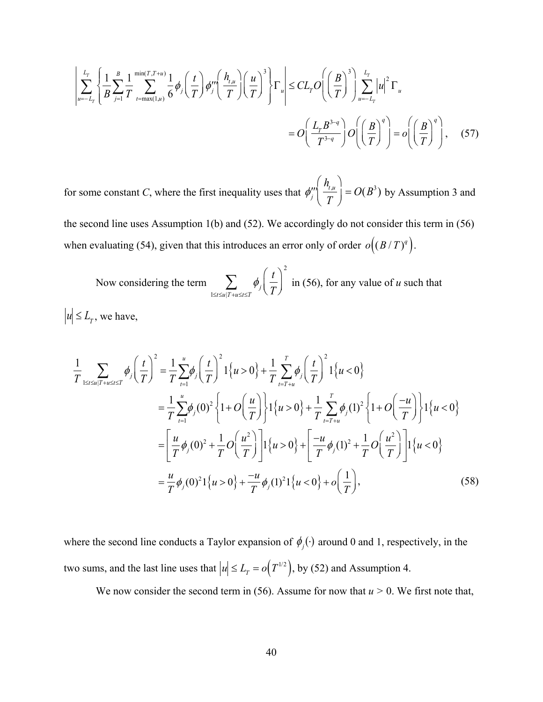$$
\left| \sum_{u=-L_T}^{L_T} \left\{ \frac{1}{B} \sum_{j=1}^{B} \frac{1}{T} \sum_{t=\max(1,u)}^{\min(T,T+u)} \frac{1}{6} \phi_j \left( \frac{t}{T} \right) \phi_j''' \left( \frac{h_{t,u}}{T} \right) \left( \frac{u}{T} \right)^3 \right\} \Gamma_u \right| \leq CL_T O\left( \left( \frac{B}{T} \right)^3 \right) \sum_{u=-L_T}^{L_T} |u|^2 \Gamma_u
$$
\n
$$
= O\left( \frac{L_T B^{3-q}}{T^{3-q}} \right) O\left( \left( \frac{B}{T} \right)^q \right) = o\left( \left( \frac{B}{T} \right)^q \right), \quad (57)
$$

for some constant *C*, where the first inequality uses that  $\phi''_j$  $h_{_{t,u}}$ *T* ſ  $\setminus$  $\setminus$  $\int$  =  $O(B^3)$  by Assumption 3 and

the second line uses Assumption 1(b) and (52). We accordingly do not consider this term in (56) when evaluating (54), given that this introduces an error only of order  $o((B/T)^q)$ .

Now considering the term  $\sum \phi_i$ *t T* ſ  $\setminus$  $\setminus$  $\int$ 2  $\sum_{1 \le t \le u \mid T + u \le t \le T} \phi_j\left(\frac{t}{T}\right)$  in (56), for any value of *u* such that  $|u| \le L_{\tau}$ , we have,

$$
\frac{1}{T} \sum_{1 \leq t \leq u|T+u \leq t \leq T} \phi_j \left(\frac{t}{T}\right)^2 = \frac{1}{T} \sum_{t=1}^u \phi_j \left(\frac{t}{T}\right)^2 1\{u > 0\} + \frac{1}{T} \sum_{t=T+u}^T \phi_j \left(\frac{t}{T}\right)^2 1\{u < 0\}
$$
\n
$$
= \frac{1}{T} \sum_{t=1}^u \phi_j (0)^2 \left\{1 + O\left(\frac{u}{T}\right)\right\} 1\{u > 0\} + \frac{1}{T} \sum_{t=T+u}^T \phi_j (1)^2 \left\{1 + O\left(\frac{-u}{T}\right)\right\} 1\{u < 0\}
$$
\n
$$
= \left[\frac{u}{T} \phi_j (0)^2 + \frac{1}{T} O\left(\frac{u^2}{T}\right)\right] 1\{u > 0\} + \left[\frac{-u}{T} \phi_j (1)^2 + \frac{1}{T} O\left(\frac{u^2}{T}\right)\right] 1\{u < 0\}
$$
\n
$$
= \frac{u}{T} \phi_j (0)^2 1\{u > 0\} + \frac{-u}{T} \phi_j (1)^2 1\{u < 0\} + o\left(\frac{1}{T}\right),
$$
\n(58)

where the second line conducts a Taylor expansion of  $\phi_j(\cdot)$  around 0 and 1, respectively, in the two sums, and the last line uses that  $|u| \le L_T = o(T^{1/2})$ , by (52) and Assumption 4.

We now consider the second term in (56). Assume for now that  $u > 0$ . We first note that,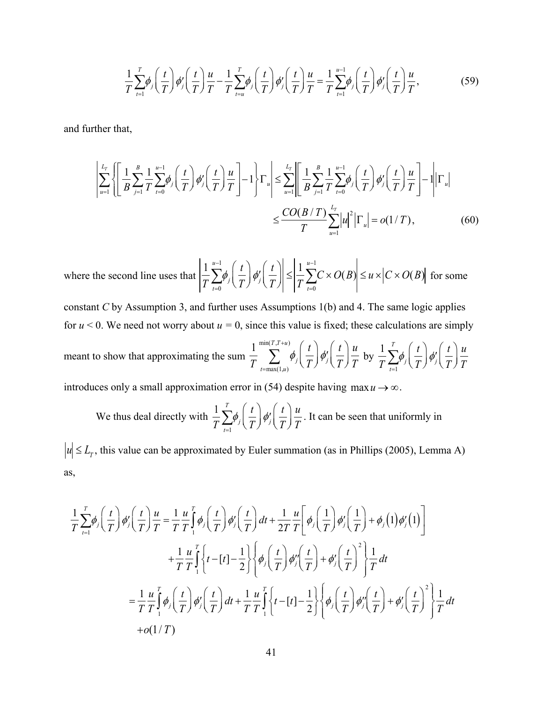$$
\frac{1}{T}\sum_{t=1}^{T}\phi_j\left(\frac{t}{T}\right)\phi'_j\left(\frac{t}{T}\right)\frac{u}{T}-\frac{1}{T}\sum_{t=u}^{T}\phi_j\left(\frac{t}{T}\right)\phi'_j\left(\frac{t}{T}\right)\frac{u}{T}=\frac{1}{T}\sum_{t=1}^{u-1}\phi_j\left(\frac{t}{T}\right)\phi'_j\left(\frac{t}{T}\right)\frac{u}{T},
$$
\n(59)

and further that,

$$
\left| \sum_{u=1}^{L_T} \left\{ \left[ \frac{1}{B} \sum_{j=1}^{B} \frac{1}{T} \sum_{t=0}^{u-1} \phi_j \left( \frac{t}{T} \right) \phi_j' \left( \frac{t}{T} \right) \frac{u}{T} \right] - 1 \right\} \Gamma_u \right| \leq \sum_{u=1}^{L_T} \left| \left[ \frac{1}{B} \sum_{j=1}^{B} \frac{1}{T} \sum_{t=0}^{u-1} \phi_j \left( \frac{t}{T} \right) \phi_j' \left( \frac{t}{T} \right) \frac{u}{T} \right] - 1 \right| \Gamma_u \right|
$$
  

$$
\leq \frac{CO(B/T)}{T} \sum_{u=1}^{L_T} |u|^2 \left| \Gamma_u \right| = o(1/T), \tag{60}
$$

where the second line uses that 1  $T \sum_{t=0}$  $u-1$  $\sum^{\mu-1}\!\phi_j\!\left(\frac{t}{\tau}\right)$ *T* ſ  $\setminus$  $\setminus$  $\int$ <sup>*d*'</sup><sub>j</sub> *t T* ſ l  $\setminus$  $\left|\int \right| \leq$ 1  $T \sum_{t=0}$ *u*-1  $\sum C \times O(B) \le u \times |C \times O(B)|$  for some

constant *C* by Assumption 3, and further uses Assumptions 1(b) and 4. The same logic applies for  $u < 0$ . We need not worry about  $u = 0$ , since this value is fixed; these calculations are simply

meant to show that approximating the sum 1 *T <sup>t</sup>*max(1,*u*) min(*T* ,*T u*) *<sup>j</sup> t T j t T u T* by <sup>1</sup> *T <sup>t</sup>*<sup>1</sup> *T <sup>j</sup> t T j t T u T*

introduces only a small approximation error in (54) despite having max  $u \rightarrow \infty$ .

We thus deal directly with 
$$
\frac{1}{T} \sum_{t=1}^{T} \phi_j \left( \frac{t}{T} \right) \phi'_j \left( \frac{t}{T} \right) \frac{u}{T}
$$
. It can be seen that uniformly in

 $|u| \le L_T$ , this value can be approximated by Euler summation (as in Phillips (2005), Lemma A) as,

$$
\frac{1}{T} \sum_{t=1}^{T} \phi_{j} \left( \frac{t}{T} \right) \phi_{j}^{\prime} \left( \frac{t}{T} \right) \frac{u}{T} = \frac{1}{T} \frac{u}{T} \int_{1}^{T} \phi_{j} \left( \frac{t}{T} \right) \phi_{j}^{\prime} \left( \frac{t}{T} \right) dt + \frac{1}{2T} \frac{u}{T} \left[ \phi_{j} \left( \frac{1}{T} \right) \phi_{j}^{\prime} \left( \frac{1}{T} \right) + \phi_{j} (1) \phi_{j}^{\prime} (1) \right] \n+ \frac{1}{T} \frac{u}{T} \int_{1}^{T} \left\{ t - \left[ t \right] - \frac{1}{2} \right\} \left\{ \phi_{j} \left( \frac{t}{T} \right) \phi_{j}^{\prime} \left( \frac{t}{T} \right) + \phi_{j}^{\prime} \left( \frac{t}{T} \right)^{2} \right\} \frac{1}{T} dt \n= \frac{1}{T} \frac{u}{T} \int_{1}^{T} \phi_{j} \left( \frac{t}{T} \right) \phi_{j}^{\prime} \left( \frac{t}{T} \right) dt + \frac{1}{T} \frac{u}{T} \int_{1}^{T} \left\{ t - \left[ t \right] - \frac{1}{2} \right\} \left\{ \phi_{j} \left( \frac{t}{T} \right) \phi_{j}^{\prime} \left( \frac{t}{T} \right) + \phi_{j}^{\prime} \left( \frac{t}{T} \right)^{2} \right\} \frac{1}{T} dt \n+ o(1/T)
$$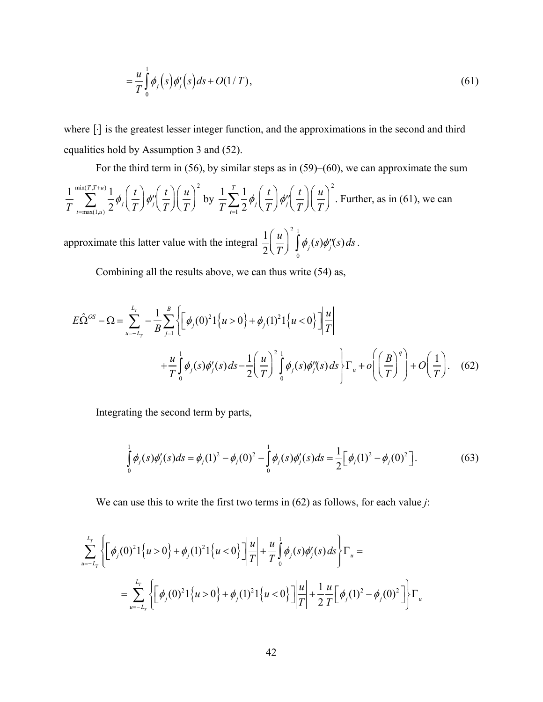$$
=\frac{u}{T}\int_{0}^{1}\phi_{j}(s)\phi_{j}'(s)ds+O(1/T),\qquad(61)
$$

where  $[\cdot]$  is the greatest lesser integer function, and the approximations in the second and third equalities hold by Assumption 3 and (52).

For the third term in (56), by similar steps as in (59)–(60), we can approximate the sum

$$
\frac{1}{T} \sum_{t=\max(1,u)}^{\min(T,T+u)} \frac{1}{2} \phi_j\left(\frac{t}{T}\right) \phi_j''\left(\frac{t}{T}\right) \left(\frac{u}{T}\right)^2 \text{ by } \frac{1}{T} \sum_{t=1}^T \frac{1}{2} \phi_j\left(\frac{t}{T}\right) \phi_j''\left(\frac{t}{T}\right) \left(\frac{u}{T}\right)^2. \text{ Further, as in (61), we can}
$$

approximate this latter value with the integral  $\frac{1}{2}$ 2 *u T* ſ l  $\setminus$  $\int$ 2  $\phi_j(s)\phi''_j(s)$  ds 0 1  $\int \phi_j(s)\phi''_j(s)ds$ .

Combining all the results above, we can thus write (54) as,

$$
E\hat{\Omega}^{OS} - \Omega = \sum_{u=-L_{T}}^{L_{T}} -\frac{1}{B} \sum_{j=1}^{B} \left\{ \left[ \phi_{j}(0)^{2} 1\{u > 0\} + \phi_{j}(1)^{2} 1\{u < 0\} \right] \frac{u}{T} \right\}
$$
  
+ 
$$
\frac{u}{T} \int_{0}^{1} \phi_{j}(s) \phi_{j}'(s) ds - \frac{1}{2} \left( \frac{u}{T} \right)^{2} \int_{0}^{1} \phi_{j}(s) \phi_{j}''(s) ds \right\} \Gamma_{u} + o\left( \left( \frac{B}{T} \right)^{q} \right) + O\left( \frac{1}{T} \right). \quad (62)
$$

Integrating the second term by parts,

$$
\int_{0}^{1} \phi_{j}(s) \phi_{j}'(s) ds = \phi_{j}(1)^{2} - \phi_{j}(0)^{2} - \int_{0}^{1} \phi_{j}(s) \phi_{j}'(s) ds = \frac{1}{2} \Big[ \phi_{j}(1)^{2} - \phi_{j}(0)^{2} \Big].
$$
\n(63)

We can use this to write the first two terms in (62) as follows, for each value *j*:

$$
\sum_{u=-L_{r}}^{L_{r}} \left\{ \left[ \phi_{j}(0)^{2} 1\left\{ u > 0 \right\} + \phi_{j}(1)^{2} 1\left\{ u < 0 \right\} \right] \frac{u}{T} \right\} + \frac{u}{T} \int_{0}^{1} \phi_{j}(s) \phi_{j}'(s) ds \right\} \Gamma_{u} =
$$
\n
$$
= \sum_{u=-L_{r}}^{L_{r}} \left\{ \left[ \phi_{j}(0)^{2} 1\left\{ u > 0 \right\} + \phi_{j}(1)^{2} 1\left\{ u < 0 \right\} \right] \frac{u}{T} \right| + \frac{1}{2} \frac{u}{T} \left[ \phi_{j}(1)^{2} - \phi_{j}(0)^{2} \right] \right\} \Gamma_{u}
$$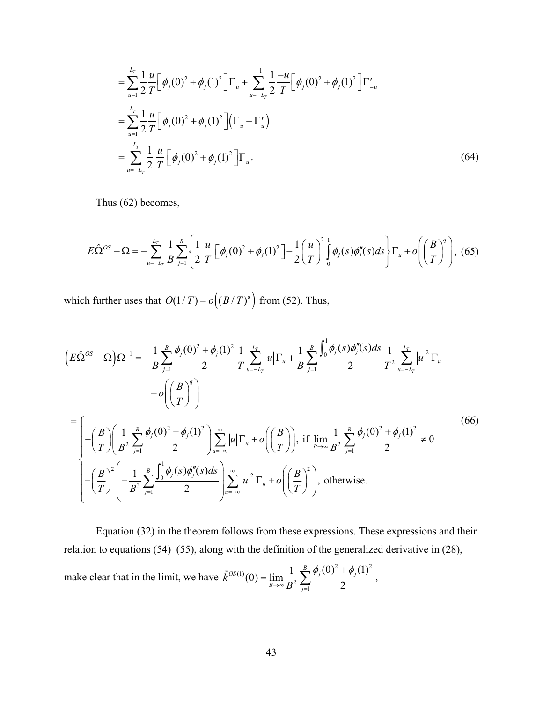$$
= \sum_{u=1}^{L_T} \frac{1}{2} \frac{u}{T} \Big[ \phi_j(0)^2 + \phi_j(1)^2 \Big] \Gamma_u + \sum_{u=-L_T}^{-1} \frac{1}{2} \frac{-u}{T} \Big[ \phi_j(0)^2 + \phi_j(1)^2 \Big] \Gamma'_{-u}
$$
  

$$
= \sum_{u=1}^{L_T} \frac{1}{2} \frac{u}{T} \Big[ \phi_j(0)^2 + \phi_j(1)^2 \Big] \Big( \Gamma_u + \Gamma'_u \Big)
$$
  

$$
= \sum_{u=-L_T}^{L_T} \frac{1}{2} \frac{u}{T} \Big[ \phi_j(0)^2 + \phi_j(1)^2 \Big] \Gamma_u.
$$
 (64)

Thus (62) becomes,

$$
E\hat{\Omega}^{OS} - \Omega = -\sum_{u=-L_T}^{L_T} \frac{1}{B} \sum_{j=1}^{B} \left\{ \frac{1}{2} \left| \frac{u}{T} \right| \left[ \phi_j(0)^2 + \phi_j(1)^2 \right] - \frac{1}{2} \left( \frac{u}{T} \right)^2 \int_0^1 \phi_j(s) \phi_j''(s) ds \right\} \Gamma_u + o\left( \left( \frac{B}{T} \right)^q \right), \tag{65}
$$

which further uses that  $O(1/T) = o((B/T)^q)$  from (52). Thus,

$$
\left(E\hat{\Omega}^{OS} - \Omega\right)\Omega^{-1} = -\frac{1}{B}\sum_{j=1}^{B}\frac{\phi_{j}(0)^{2} + \phi_{j}(1)^{2}}{2}\frac{1}{T}\sum_{u=-L_{T}}^{L_{T}}|u|\Gamma_{u} + \frac{1}{B}\sum_{j=1}^{B}\frac{\int_{0}^{1}\phi_{j}(s)\phi_{j}^{m}(s)ds}{2}\frac{1}{T^{2}}\sum_{u=-L_{T}}^{L_{T}}|u|^{2}\Gamma_{u} + o\left(\left(\frac{B}{T}\right)^{q}\right)
$$
\n
$$
= \left(-\left(\frac{B}{T}\right)\left(\frac{1}{B^{2}}\sum_{j=1}^{B}\frac{\phi_{j}(0)^{2} + \phi_{j}(1)^{2}}{2}\right)\sum_{u=-\infty}^{\infty}|u|\Gamma_{u} + o\left(\left(\frac{B}{T}\right)\right), \text{ if } \lim_{B\to\infty}\frac{1}{B^{2}}\sum_{j=1}^{B}\frac{\phi_{j}(0)^{2} + \phi_{j}(1)^{2}}{2} \neq 0\right\}
$$
\n
$$
\left(-\left(\frac{B}{T}\right)^{2}\left(-\frac{1}{B^{3}}\sum_{j=1}^{B}\frac{\int_{0}^{1}\phi_{j}(s)\phi_{j}^{m}(s)ds}{2}\right)\sum_{u=-\infty}^{\infty}|u|^{2}\Gamma_{u} + o\left(\left(\frac{B}{T}\right)^{2}\right), \text{ otherwise.}
$$
\n(66)

 Equation (32) in the theorem follows from these expressions. These expressions and their relation to equations (54)–(55), along with the definition of the generalized derivative in (28), make clear that in the limit, we have 2  $\neq$   $(1)^2$ (1)  ${}^{OS(1)}(0) = \lim_{B \to \infty} \frac{1}{B^2} \sum_{j=1}^{B} \frac{\phi_j(0)^2 + \phi_j(1)}{2}$  $B\rightarrow \infty$   $B^2$   $\frac{2}{j}$ *k B*  $\phi_i(0)^2 + \phi_i$  $\tilde{k}^{OS(1)}(0) = \lim_{B\to\infty} \frac{1}{B^2} \sum_{j=1}^{B} \frac{\phi_j(0)^2 + \phi_j(1)^2}{2},$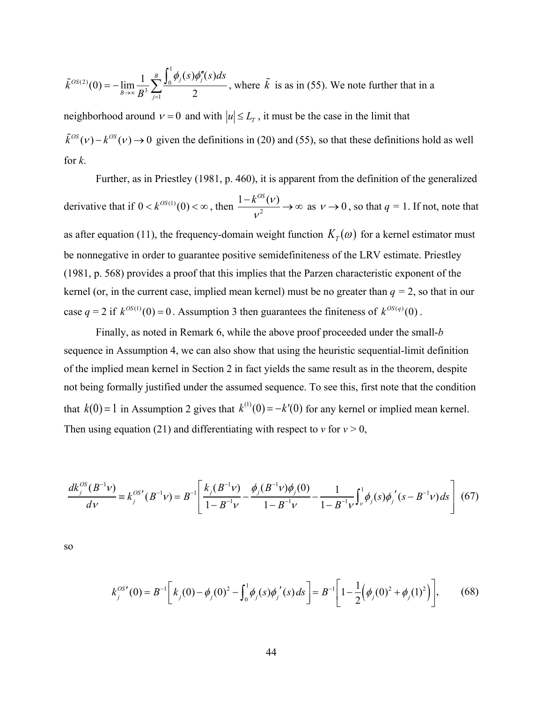$$
\tilde{\mathcal{K}}^{OS(2)}(0) = -\lim_{B \to \infty} \frac{1}{B^3} \sum_{j=1}^{B} \frac{\int_0^1 \phi_j(s) \phi_j''(s) ds}{2}
$$
, where  $\tilde{\mathcal{K}}$  is as in (55). We note further that in a

neighborhood around  $v = 0$  and with  $|u| \le L_r$ , it must be the case in the limit that  $\tilde{k}^{OS}(\nu) - k^{OS}(\nu) \rightarrow 0$  given the definitions in (20) and (55), so that these definitions hold as well for *k*.

 Further, as in Priestley (1981, p. 460), it is apparent from the definition of the generalized derivative that if  $0 < k^{OS(1)}(0) < \infty$ , then  $\frac{1 - k^{OS}(v)}{v^2}$  $\frac{-k^{OS}(\nu)}{\nu^2} \rightarrow \infty$  as  $\nu \rightarrow 0$ , so that  $q = 1$ . If not, note that as after equation (11), the frequency-domain weight function  $K_T(\omega)$  for a kernel estimator must be nonnegative in order to guarantee positive semidefiniteness of the LRV estimate. Priestley (1981, p. 568) provides a proof that this implies that the Parzen characteristic exponent of the kernel (or, in the current case, implied mean kernel) must be no greater than  $q = 2$ , so that in our case  $q = 2$  if  $k^{OS(1)}(0) = 0$ . Assumption 3 then guarantees the finiteness of  $k^{OS(q)}(0)$ .

Finally, as noted in Remark 6, while the above proof proceeded under the small-*b*  sequence in Assumption 4, we can also show that using the heuristic sequential-limit definition of the implied mean kernel in Section 2 in fact yields the same result as in the theorem, despite not being formally justified under the assumed sequence. To see this, first note that the condition that  $k(0) = 1$  in Assumption 2 gives that  $k^{(1)}(0) = -k'(0)$  for any kernel or implied mean kernel. Then using equation (21) and differentiating with respect to  $v$  for  $v > 0$ ,

$$
\frac{dk_j^{OS}(B^{-1}\nu)}{d\nu} = k_j^{OS'}(B^{-1}\nu) = B^{-1} \left[ \frac{k_j(B^{-1}\nu)}{1 - B^{-1}\nu} - \frac{\phi_j(B^{-1}\nu)\phi_j(0)}{1 - B^{-1}\nu} - \frac{1}{1 - B^{-1}\nu} \int_{\nu}^1 \phi_j(s) \phi_j'(s - B^{-1}\nu) ds \right] (67)
$$

so

$$
k_j^{OS'}(0) = B^{-1} \left[ k_j(0) - \phi_j(0)^2 - \int_0^1 \phi_j(s) \phi_j'(s) ds \right] = B^{-1} \left[ 1 - \frac{1}{2} \left( \phi_j(0)^2 + \phi_j(1)^2 \right) \right],\tag{68}
$$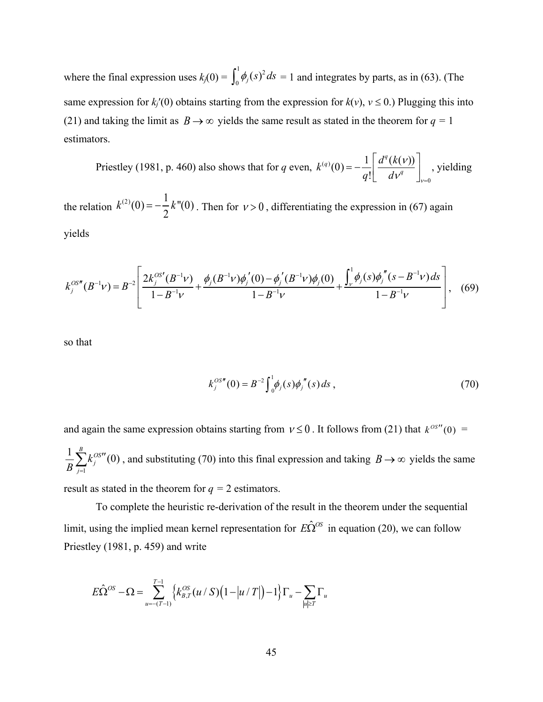where the final expression uses  $k_j(0) = \int_0^1 \phi_j(s)^2 ds = 1$  and integrates by parts, as in (63). (The same expression for  $k_i'(0)$  obtains starting from the expression for  $k(v)$ ,  $v \le 0$ .) Plugging this into (21) and taking the limit as  $B \rightarrow \infty$  yields the same result as stated in the theorem for  $q = 1$ estimators.

Priestley (1981, p. 460) also shows that for *q* even,  $k^{(q)}(0) = -\frac{1}{n} \left| \frac{d^{q}(k(v))}{dx^{q}} \right|$ , yielding *q*!  $d^q(k(v))$  $d\mathcal{V}^q$  $\mathbf{r}$ L  $\left| \frac{d^q(k(\nu))}{d\nu^q} \right|$  $\overline{\phantom{a}}$  $\overline{\phantom{a}}$  $v = 0$ 

the relation  $k^{(2)}(0) = -\frac{1}{2}k''(0)$ . Then for  $\nu > 0$ , differentiating the expression in (67) again yields 2  $k$ "(0). Then for  $v > 0$ 

$$
k_j^{OS''}(B^{-1}\nu) = B^{-2} \left[ \frac{2k_j^{OS'}(B^{-1}\nu)}{1 - B^{-1}\nu} + \frac{\phi_j(B^{-1}\nu)\phi_j'(0) - \phi_j'(B^{-1}\nu)\phi_j(0)}{1 - B^{-1}\nu} + \frac{\int_{\nu}^{1} \phi_j(s)\phi_j''(s - B^{-1}\nu)ds}{1 - B^{-1}\nu} \right], \quad (69)
$$

so that

$$
k_j^{OS''}(0) = B^{-2} \int_0^1 \phi_j(s) \phi_j^{''}(s) ds , \qquad (70)
$$

and again the same expression obtains starting from  $v \le 0$ . It follows from (21) that  $k^{0s''}(0)$  = , and substituting (70) into this final expression and taking  $B \rightarrow \infty$  yields the same 1  $\frac{1}{2} \sum_{i}^{B} k_i^{OS''}(0)$ *j j k*  $\frac{1}{B}\sum_{j=1}^{B} k_j^{OS}$  (0), and substituting (70) into this final expression and taking  $B\to\infty$ 

result as stated in the theorem for  $q = 2$  estimators.

 To complete the heuristic re-derivation of the result in the theorem under the sequential limit, using the implied mean kernel representation for  $E\hat{\Omega}^{\text{OS}}$  in equation (20), we can follow Priestley (1981, p. 459) and write

$$
E\hat{\Omega}^{OS} - \Omega = \sum_{u = -(T-1)}^{T-1} \left\{ k_{B,T}^{OS}(u / S) \left( 1 - \left| u / T \right| \right) - 1 \right\} \Gamma_u - \sum_{|u| \ge T} \Gamma_u
$$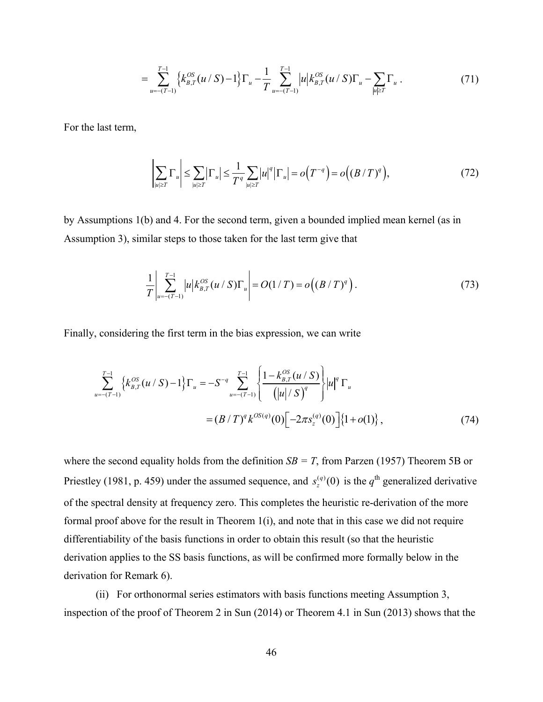$$
= \sum_{u=-(T-1)}^{T-1} \left\{ k_{B,T}^{OS}(u/S) - 1 \right\} \Gamma_u - \frac{1}{T} \sum_{u=-(T-1)}^{T-1} |u| k_{B,T}^{OS}(u/S) \Gamma_u - \sum_{|u| \ge T} \Gamma_u . \tag{71}
$$

For the last term,

$$
\left|\sum_{|u|\geq T} \Gamma_u\right| \leq \sum_{|u|\geq T} \left|\Gamma_u\right| \leq \frac{1}{T^q} \sum_{|u|\geq T} |u|^q \left|\Gamma_u\right| = o\left(T^{-q}\right) = o\left((B/T)^q\right),\tag{72}
$$

by Assumptions 1(b) and 4. For the second term, given a bounded implied mean kernel (as in Assumption 3), similar steps to those taken for the last term give that

$$
\frac{1}{T} \left| \sum_{u = -(T-1)}^{T-1} |u| k_{B,T}^{OS}(u / S) \Gamma_u \right| = O(1/T) = o((B/T)^q).
$$
\n(73)

Finally, considering the first term in the bias expression, we can write

$$
\sum_{u=-(T-1)}^{T-1} \left\{ k_{B,T}^{OS}(u / S) - 1 \right\} \Gamma_u = -S^{-q} \sum_{u=-(T-1)}^{T-1} \left\{ \frac{1 - k_{B,T}^{OS}(u / S)}{(\vert u \vert / S)^q} \right\} \vert u \vert^q \Gamma_u
$$
  
=  $(B / T)^q k^{OS(q)}(0) \left[ -2\pi s_z^{(q)}(0) \right] \left\{ 1 + o(1) \right\},$  (74)

where the second equality holds from the definition  $SB = T$ , from Parzen (1957) Theorem 5B or Priestley (1981, p. 459) under the assumed sequence, and  $s_z^{(q)}(0)$  is the  $q^{\text{th}}$  generalized derivative of the spectral density at frequency zero. This completes the heuristic re-derivation of the more formal proof above for the result in Theorem 1(i), and note that in this case we did not require differentiability of the basis functions in order to obtain this result (so that the heuristic derivation applies to the SS basis functions, as will be confirmed more formally below in the derivation for Remark 6).

(ii) For orthonormal series estimators with basis functions meeting Assumption 3, inspection of the proof of Theorem 2 in Sun (2014) or Theorem 4.1 in Sun (2013) shows that the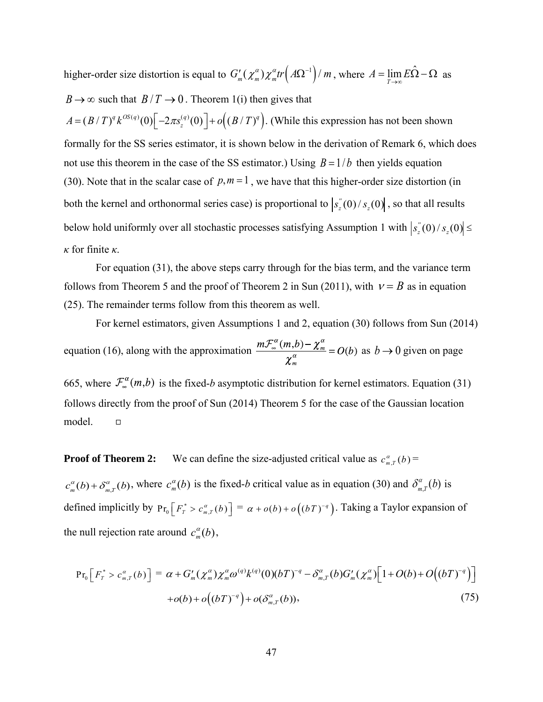higher-order size distortion is equal to  $G'_m(\chi_m^a) \chi_m^a tr(A\Omega^{-1})/m$ , where  $A = \lim_{T \to \infty} E\hat{\Omega} - \Omega$  as  $B \rightarrow \infty$  such that  $B/T \rightarrow 0$ . Theorem 1(i) then gives that  $A = (B/T)^q k^{OS(q)}(0) \left[ -2\pi s_z^{(q)}(0) \right] + o((B/T)^q)$ . (While this expression has not been shown formally for the SS series estimator, it is shown below in the derivation of Remark 6, which does not use this theorem in the case of the SS estimator.) Using  $B = 1/b$  then yields equation (30). Note that in the scalar case of  $p, m = 1$ , we have that this higher-order size distortion (in both the kernel and orthonormal series case) is proportional to  $s_z^{\prime}(0)/s_z(0)$ , so that all results below hold uniformly over all stochastic processes satisfying Assumption 1 with  $|s_z(y)/s_z(0)| \le$ *κ* for finite *κ*.

For equation (31), the above steps carry through for the bias term, and the variance term follows from Theorem 5 and the proof of Theorem 2 in Sun (2011), with  $v = B$  as in equation (25). The remainder terms follow from this theorem as well.

For kernel estimators, given Assumptions 1 and 2, equation (30) follows from Sun (2014) equation (16), along with the approximation  $\frac{m v_{\infty}(m, b') - \lambda_m}{g} = O(b)$  as  $b \to 0$  given on page

665, where  $\mathcal{F}_{\infty}^{\alpha}(m,b)$  is the fixed-*b* asymptotic distribution for kernel estimators. Equation (31) follows directly from the proof of Sun (2014) Theorem 5 for the case of the Gaussian location model.  $\Box$ 

**Proof of Theorem 2:** We can define the size-adjusted critical value as  $c_{m,r}^{\alpha}(b)$  =

 $c_m^{\alpha}(b) + \delta_{m,T}^{\alpha}(b)$ , where  $c_m^{\alpha}(b)$  is the fixed-*b* critical value as in equation (30) and  $\delta_{m,T}^{\alpha}(b)$  is defined implicitly by  $Pr_0\left[F_T^* > c_{m,T}^{\alpha}(b)\right] = \alpha + o(b) + o\left((bT)^{-q}\right)$ . Taking a Taylor expansion of the null rejection rate around  $c_m^{\alpha}(b)$ ,

$$
\Pr_{0}\left[F_{T}^{*} > c_{m,T}^{\alpha}(b)\right] = \alpha + G'_{m}(\chi_{m}^{\alpha})\chi_{m}^{\alpha}\omega^{(q)}k^{(q)}(0)(bT)^{-q} - \delta_{m,T}^{\alpha}(b)G'_{m}(\chi_{m}^{\alpha})\left[1 + O(b) + O\left((bT)^{-q}\right)\right] + o(b) + o\left((bT)^{-q}\right) + o(\delta_{m,T}^{\alpha}(b)),\tag{75}
$$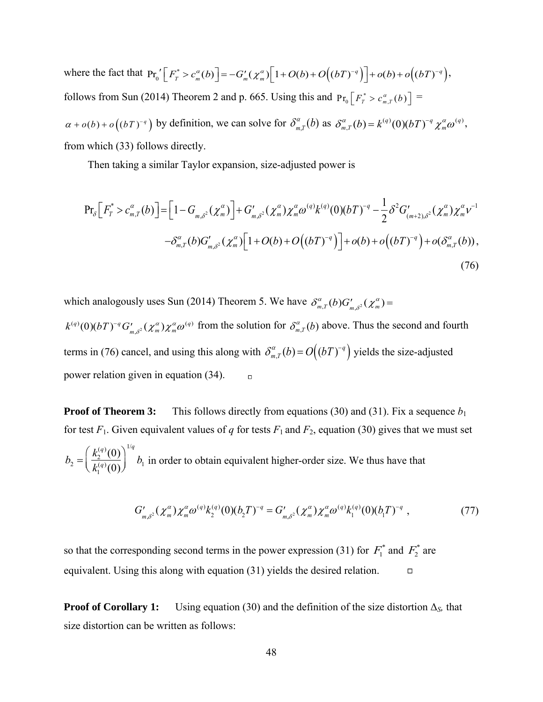where the fact that  $Pr_0' [F_T^* > c_m^{\alpha}(b)] = -G'_m(\chi_m^{\alpha}) [1 + O(b) + O((bT)^{-q})] + o(b) + o((bT)^{-q}),$ follows from Sun (2014) Theorem 2 and p. 665. Using this and  $Pr_0 \left[ F_r^* > c_{m,T}^{\alpha}(b) \right] =$  $\alpha + o(b) + o((bT)^{-q})$  by definition, we can solve for  $\delta_{m,T}^{\alpha}(b)$  as  $\delta_{m,T}^{\alpha}(b) = k^{(q)}(0)(bT)^{-q} \chi_m^{\alpha} \omega^{(q)}$ , from which (33) follows directly.

Then taking a similar Taylor expansion, size-adjusted power is

$$
\Pr_{\delta}\Big[F_{T}^{*} > c_{m,T}^{\alpha}(b)\Big] = \Big[1 - G_{m,\delta^{2}}(\chi_{m}^{\alpha})\Big] + G'_{m,\delta^{2}}(\chi_{m}^{\alpha})\chi_{m}^{\alpha}\omega^{(q)}k^{(q)}(0)(bT)^{-q} - \frac{1}{2}\delta^{2}G'_{(m+2),\delta^{2}}(\chi_{m}^{\alpha})\chi_{m}^{\alpha}v^{-1} - \delta_{m,T}^{\alpha}(b)G'_{m,\delta^{2}}(\chi_{m}^{\alpha})\Big[1 + O(b) + O\big((bT)^{-q}\big)\Big] + o(b) + o\big((bT)^{-q}\big) + o(\delta_{m,T}^{\alpha}(b)),\tag{76}
$$

which analogously uses Sun (2014) Theorem 5. We have  $\delta_{m,T}^{\alpha}(b)G'_{m,\delta^2}(\chi_m^{\alpha})=$ 

 $k^{(q)}(0)(bT)^{-q} G'_{m,\delta^2}(\chi_m^a) \chi_m^a \omega^{(q)}$  from the solution for  $\delta_{m,T}^{\alpha}(b)$  above. Thus the second and fourth terms in (76) cancel, and using this along with  $\delta_{m,T}^{\alpha}(b) = O((bT)^{-q})$  yields the size-adjusted power relation given in equation (34).

**Proof of Theorem 3:** This follows directly from equations (30) and (31). Fix a sequence  $b_1$ for test  $F_1$ . Given equivalent values of *q* for tests  $F_1$  and  $F_2$ , equation (30) gives that we must set  $b_2 = \left(\frac{k_2^{(q)}(0)}{L^{(q)}(0)}\right)^{n_q} b_1$  in order to obtain equivalent higher-order size. We thus have that  $k_1^{(q)}(0)$ ſ  $\overline{\mathcal{K}}$  $\backslash$  $\int$ 1/*q*  $b<sub>1</sub>$ 

$$
G'_{m,\delta^2}(\chi_m^{\alpha})\chi_m^{\alpha}\omega^{(q)}k_2^{(q)}(0)(b_2T)^{-q} = G'_{m,\delta^2}(\chi_m^{\alpha})\chi_m^{\alpha}\omega^{(q)}k_1^{(q)}(0)(b_1T)^{-q}, \qquad (77)
$$

so that the corresponding second terms in the power expression (31) for  $F_1^*$  and  $F_2^*$  are equivalent. Using this along with equation (31) yields the desired relation.  $\Box$ 

**Proof of Corollary 1:** Using equation (30) and the definition of the size distortion  $\Delta_{S}$ , that size distortion can be written as follows: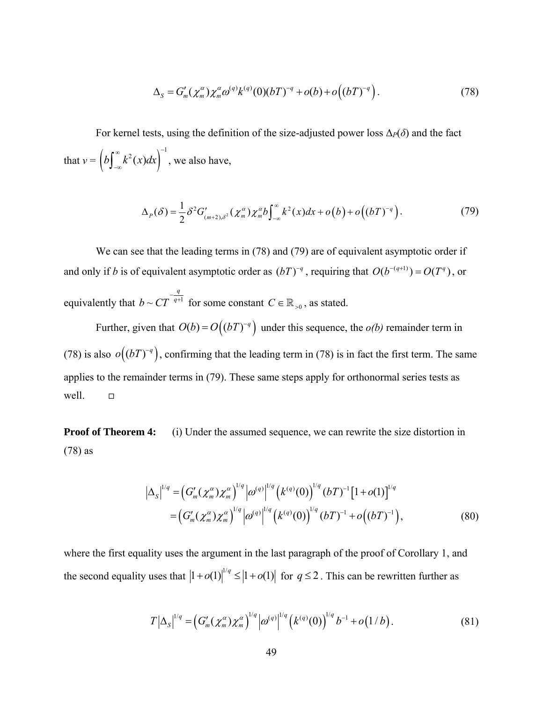$$
\Delta_{S} = G'_{m}(\chi_{m}^{\alpha})\chi_{m}^{\alpha}\omega^{(q)}k^{(q)}(0)(bT)^{-q} + o(b) + o\left((bT)^{-q}\right). \tag{78}
$$

For kernel tests, using the definition of the size-adjusted power loss  $\Delta_P(\delta)$  and the fact that  $v = \left(b\int_{-\infty}^{\infty} k^2(x)dx\right)^{-1}$  $\int_{-\infty}^{\infty} k^2(x) dx$ , we also have,

$$
\Delta_p(\delta) = \frac{1}{2} \delta^2 G'_{(m+2),\delta^2}(\chi_m^{\alpha}) \chi_m^{\alpha} b \int_{-\infty}^{\infty} k^2(x) dx + o(b) + o\left((bT)^{-q}\right).
$$
 (79)

We can see that the leading terms in (78) and (79) are of equivalent asymptotic order if and only if *b* is of equivalent asymptotic order as  $(bT)^{-q}$ , requiring that  $O(b^{-(q+1)}) = O(T^q)$ , or equivalently that  $b \sim CT^{-q+1}$  $b \sim CT^{-\frac{q}{q+1}}$  for some constant  $C \in \mathbb{R}_{>0}$ , as stated.

Further, given that  $O(b) = O((bT)^{-q})$  under this sequence, the  $o(b)$  remainder term in (78) is also  $o((bT)^{-q})$ , confirming that the leading term in (78) is in fact the first term. The same applies to the remainder terms in (79). These same steps apply for orthonormal series tests as well.  $\Box$ 

**Proof of Theorem 4:** (i) Under the assumed sequence, we can rewrite the size distortion in (78) as

$$
\left|\Delta_{S}\right|^{1/q} = \left(G'_{m}(\chi_{m}^{\alpha})\chi_{m}^{\alpha}\right)^{1/q} \left|\omega^{(q)}\right|^{1/q} \left(k^{(q)}(0)\right)^{1/q} \left(bT\right)^{-1} \left[1+o(1)\right]^{1/q} = \left(G'_{m}(\chi_{m}^{\alpha})\chi_{m}^{\alpha}\right)^{1/q} \left|\omega^{(q)}\right|^{1/q} \left(k^{(q)}(0)\right)^{1/q} \left(bT\right)^{-1} + o\left((bT)^{-1}\right),
$$
(80)

where the first equality uses the argument in the last paragraph of the proof of Corollary 1, and the second equality uses that  $|1 + o(1)|^{1/q} \le |1 + o(1)|$  for  $q \le 2$ . This can be rewritten further as

$$
T\left|\Delta_{S}\right|^{1/q} = \left(G'_{m}(\chi_{m}^{\alpha})\chi_{m}^{\alpha}\right)^{1/q}\left(\omega^{(q)}\right)^{1/q}\left(k^{(q)}(0)\right)^{1/q}b^{-1} + o(1/b). \tag{81}
$$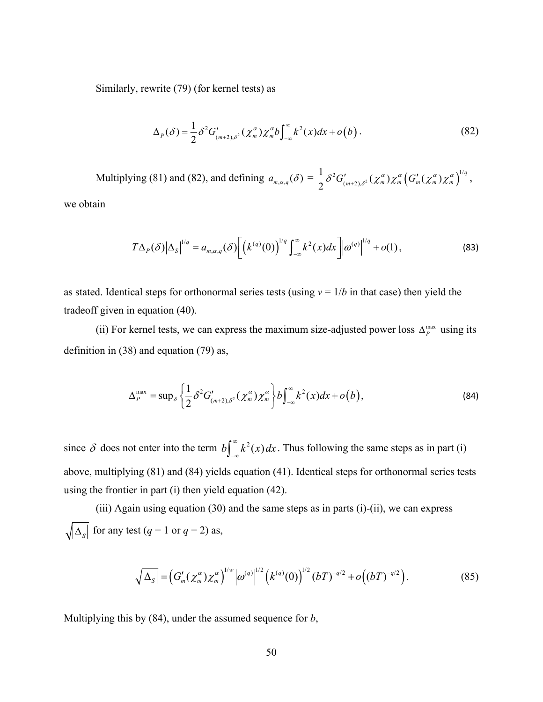Similarly, rewrite (79) (for kernel tests) as

$$
\Delta_p(\delta) = \frac{1}{2} \delta^2 G'_{(m+2),\delta^2}(\chi_m^{\alpha}) \chi_m^{\alpha} b \int_{-\infty}^{\infty} k^2(x) dx + o(b).
$$
 (82)

Multiplying (81) and (82), and defining  $a_{m,\alpha,q}(\delta) = \frac{1}{2} \delta^2 G'_{(m+2),\delta^2}(\chi_m^{\alpha}) \chi_m^{\alpha} (G'_{m}(\chi_m^{\alpha}) \chi_m^{\alpha})^{1/q}$  $\delta^{2}G_{(m+2),\delta^{2}}^{\prime}(\chi_{m}^{\alpha})\chi_{m}^{\alpha}\left(G_{m}^{\prime}(\chi_{m}^{\alpha})\chi_{m}^{\alpha}\right)^{1/q},$ 

we obtain

$$
T\Delta_p(\delta)|\Delta_s|^{1/q}=a_{m,\alpha,q}(\delta)\bigg[\Big(k^{(q)}(0)\Big)^{1/q}\int_{-\infty}^{\infty}k^2(x)dx\bigg]|\omega^{(q)}|^{1/q}+o(1),\qquad (83)
$$

as stated. Identical steps for orthonormal series tests (using  $v = 1/b$  in that case) then yield the tradeoff given in equation (40).

(ii) For kernel tests, we can express the maximum size-adjusted power loss  $\Delta_p^{\max}$  using its definition in (38) and equation (79) as,

$$
\Delta_P^{\max} = \sup_{\delta} \left\{ \frac{1}{2} \delta^2 G'_{(m+2),\delta^2}(\chi_m^{\alpha}) \chi_m^{\alpha} \right\} b \int_{-\infty}^{\infty} k^2(x) dx + o(b), \tag{84}
$$

since  $\delta$  does not enter into the term  $b \int_{-\infty}^{\infty} k^2$  $\int_{-\infty}^{\infty} k^2(x) dx$ . Thus following the same steps as in part (i) above, multiplying (81) and (84) yields equation (41). Identical steps for orthonormal series tests using the frontier in part (i) then yield equation (42).

(iii) Again using equation  $(30)$  and the same steps as in parts  $(i)$ - $(ii)$ , we can express  $\sqrt{\Delta_s}$  for any test (*q* = 1 or *q* = 2) as,

$$
\sqrt{|\Delta_S|} = \left(G'_m(\chi_m^{\alpha})\chi_m^{\alpha}\right)^{1/w} \left|\omega^{(q)}\right|^{1/2} \left(k^{(q)}(0)\right)^{1/2} \left(bT\right)^{-q/2} + o\left((bT)^{-q/2}\right). \tag{85}
$$

Multiplying this by (84), under the assumed sequence for *b*,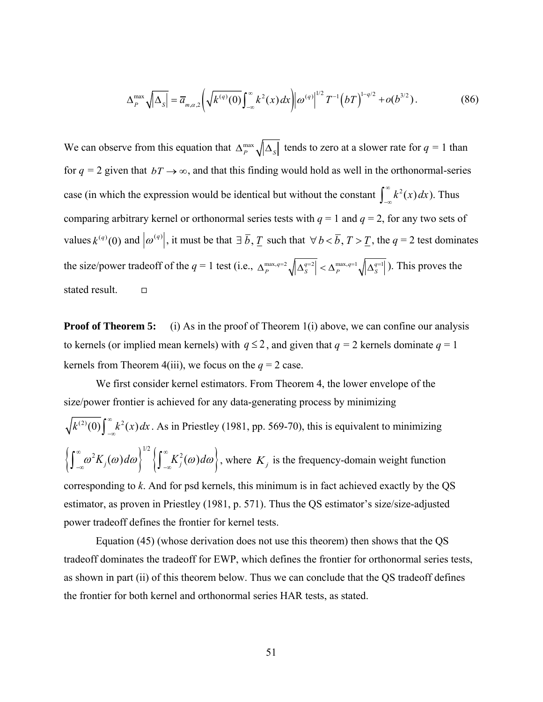$$
\Delta_P^{\max} \sqrt{|\Delta_S|} = \overline{a}_{m,\alpha,2} \left( \sqrt{k^{(q)}(0)} \int_{-\infty}^{\infty} k^2(x) dx \right) |\omega^{(q)}|^{1/2} T^{-1} (bT)^{1-q/2} + o(b^{3/2}). \tag{86}
$$

We can observe from this equation that  $\Delta_P^{\text{max}} \sqrt{\Delta_S}$  tends to zero at a slower rate for  $q = 1$  than for  $q = 2$  given that  $bT \rightarrow \infty$ , and that this finding would hold as well in the orthonormal-series case (in which the expression would be identical but without the constant  $\int_{-\infty}^{\infty} k^2(x) dx$ ). Thus comparing arbitrary kernel or orthonormal series tests with *q* = 1 and *q* = 2, for any two sets of values  $k^{(q)}(0)$  and  $|\omega^{(q)}|$ , it must be that  $\exists \overline{b}, \underline{T}$  such that  $\forall b < \overline{b}, T > \underline{T}$ , the  $q = 2$  test dominates the size/power tradeoff of the  $q = 1$  test (i.e.,  $\Delta_P^{\max,q=2} \sqrt{\left|\Delta_S^{q=2}\right|} < \Delta_P^{\max,q=1} \sqrt{\left|\Delta_S^{q=1}\right|}$ ). This proves the stated result.

**Proof of Theorem 5:** (i) As in the proof of Theorem 1(i) above, we can confine our analysis to kernels (or implied mean kernels) with  $q \leq 2$ , and given that  $q = 2$  kernels dominate  $q = 1$ kernels from Theorem 4(iii), we focus on the  $q = 2$  case.

 We first consider kernel estimators. From Theorem 4, the lower envelope of the size/power frontier is achieved for any data-generating process by minimizing

$$
\sqrt{k^{(2)}(0)} \int_{-\infty}^{\infty} k^2(x) dx
$$
. As in Priestley (1981, pp. 569-70), this is equivalent to minimizing\n $\left\{ \int_{-\infty}^{\infty} \omega^2 K_j(\omega) d\omega \right\}^{1/2} \left\{ \int_{-\infty}^{\infty} K_j^2(\omega) d\omega \right\}$ , where  $K_j$  is the frequency-domain weight function corresponding to  $k$ . And for psd kernels, this minimum is in fact achieved exactly by the QS estimator, as proven in Priestley (1981, p. 571). Thus the QS estimator's size/size-adjusted power tradeoff defines the frontier for kernel tests.

 Equation (45) (whose derivation does not use this theorem) then shows that the QS tradeoff dominates the tradeoff for EWP, which defines the frontier for orthonormal series tests, as shown in part (ii) of this theorem below. Thus we can conclude that the QS tradeoff defines the frontier for both kernel and orthonormal series HAR tests, as stated.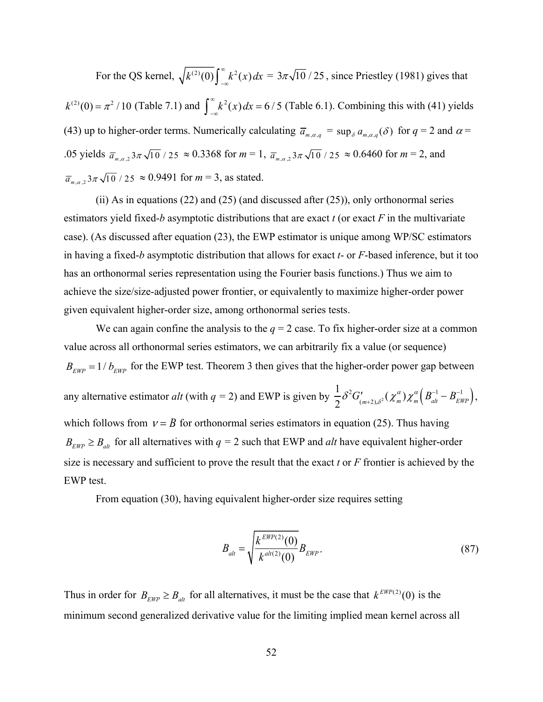For the QS kernel,  $\sqrt{k^{(2)}(0)} \int_{-\infty}^{\infty} k^2(x) dx = 3\pi \sqrt{10} / 25$ , since Priestley (1981) gives that  $k^{(2)}(0) = \pi^2 / 10$  (Table 7.1) and  $\int_{-\infty}^{\infty} k^2(x) dx = 6/5$  (Table 6.1). Combining this with (41) yields (43) up to higher-order terms. Numerically calculating  $\bar{a}_{m,\alpha,q} = \sup_{\delta} a_{m,\alpha,q}(\delta)$  for  $q = 2$  and  $\alpha =$ .05 yields  $\bar{a}_{m,\alpha,2}$   $3\pi\sqrt{10}$  / 25  $\approx$  0.3368 for  $m = 1$ ,  $\bar{a}_{m,\alpha,2}$   $3\pi\sqrt{10}$  / 25  $\approx$  0.6460 for  $m = 2$ , and  $\overline{a}_{m,\alpha,2}$  3 $\pi\sqrt{10}$  / 25  $\approx$  0.9491 for  $m = 3$ , as stated.

(ii) As in equations  $(22)$  and  $(25)$  (and discussed after  $(25)$ ), only orthonormal series estimators yield fixed-*b* asymptotic distributions that are exact *t* (or exact *F* in the multivariate case). (As discussed after equation (23), the EWP estimator is unique among WP/SC estimators in having a fixed-*b* asymptotic distribution that allows for exact *t*- or *F*-based inference, but it too has an orthonormal series representation using the Fourier basis functions.) Thus we aim to achieve the size/size-adjusted power frontier, or equivalently to maximize higher-order power given equivalent higher-order size, among orthonormal series tests.

We can again confine the analysis to the  $q = 2$  case. To fix higher-order size at a common value across all orthonormal series estimators, we can arbitrarily fix a value (or sequence)  $B_{EWP}$  = 1/ $b_{EWP}$  for the EWP test. Theorem 3 then gives that the higher-order power gap between any alternative estimator  $alt$  (with  $q = 2$ ) and EWP is given by 1 2  $\delta^{2} G'_{(m+2),\delta^{2}}(\chi_{m}^{\alpha}) \chi_{m}^{\alpha} (B_{\text{alt}}^{-1} - B_{\text{EWP}}^{-1}),$ which follows from  $v = B$  for orthonormal series estimators in equation (25). Thus having  $B_{EWP} \geq B_{alt}$  for all alternatives with  $q = 2$  such that EWP and *alt* have equivalent higher-order size is necessary and sufficient to prove the result that the exact *t* or *F* frontier is achieved by the EWP test.

From equation (30), having equivalent higher-order size requires setting

$$
B_{\text{alt}} = \sqrt{\frac{k^{\text{EWP}(2)}(0)}{k^{\text{alt}(2)}(0)}} B_{\text{EWP}}.
$$
\n(87)

Thus in order for  $B_{EWP} \geq B_{alt}$  for all alternatives, it must be the case that  $k^{EWP(2)}(0)$  is the minimum second generalized derivative value for the limiting implied mean kernel across all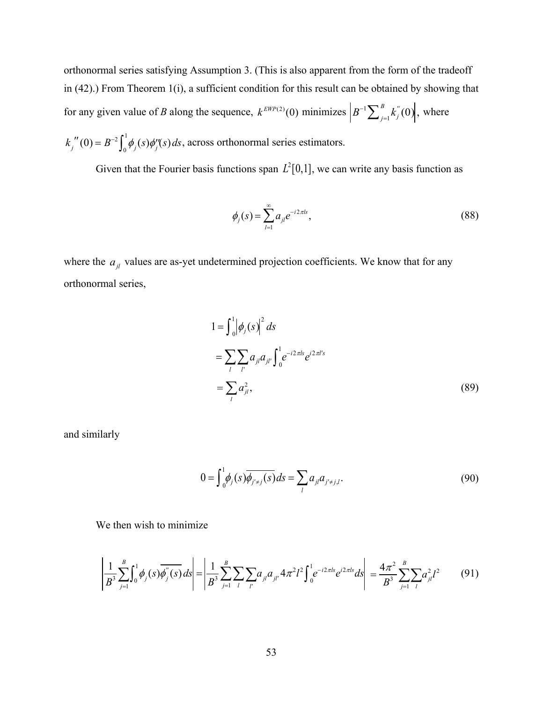orthonormal series satisfying Assumption 3. (This is also apparent from the form of the tradeoff in (42).) From Theorem 1(i), a sufficient condition for this result can be obtained by showing that for any given value of *B* along the sequence,  $k^{EWP(2)}(0)$  minimizes  $B^{-1} \sum_{j=1}^{B} k_j^{''}(0)$ , where

 $k_j''(0) = B^{-2} \int_0^1 \phi_j(s) \phi''_j(s) ds$ , across orthonormal series estimators.

Given that the Fourier basis functions span  $L^2[0,1]$ , we can write any basis function as

$$
\phi_j(s) = \sum_{l=1}^{\infty} a_{jl} e^{-i2\pi ls},
$$
\n(88)

where the  $a_{jl}$  values are as-yet undetermined projection coefficients. We know that for any orthonormal series,

$$
1 = \int_{0}^{1} |\phi_{j}(s)|^{2} ds
$$
  
= 
$$
\sum_{l} \sum_{l'} a_{jl} a_{jl'} \int_{0}^{1} e^{-i2\pi l s} e^{i2\pi l' s}
$$
  
= 
$$
\sum_{l} a_{jl}^{2},
$$
 (89)

and similarly

$$
0 = \int_{0}^{1} \phi_{j}(s) \overline{\phi_{j' \neq j}(s)} ds = \sum_{l} a_{jl} a_{j' \neq j,l}.
$$
 (90)

We then wish to minimize

$$
\left| \frac{1}{B^3} \sum_{j=1}^B \int_0^1 \phi_j(s) \overline{\phi_j''(s)} ds \right| = \left| \frac{1}{B^3} \sum_{j=1}^B \sum_l \sum_{l'} a_{jl} a_{jl'} 4 \pi^2 l^2 \int_0^1 e^{-i2\pi l s} e^{i2\pi l s} ds \right| = \frac{4\pi^2}{B^3} \sum_{j=1}^B \sum_{l'} a_{jl}^2 l^2 \tag{91}
$$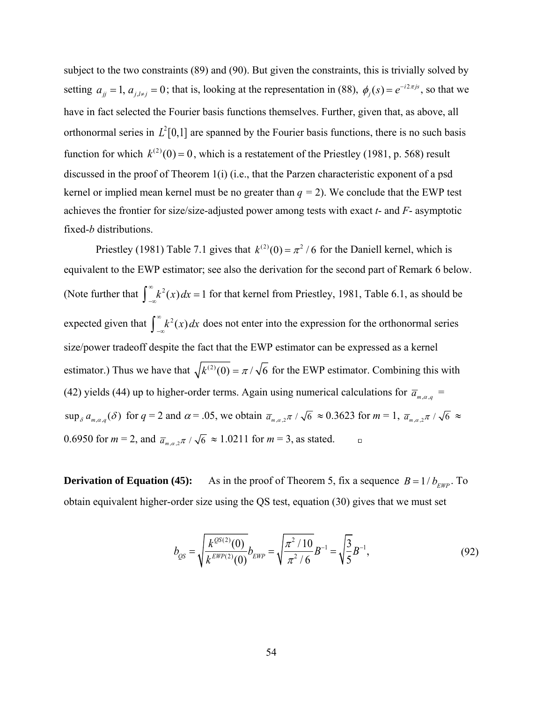subject to the two constraints (89) and (90). But given the constraints, this is trivially solved by setting  $a_{jj} = 1$ ,  $a_{j,l\neq j} = 0$ ; that is, looking at the representation in (88),  $\phi_j(s) = e^{-i2\pi js}$ , so that we have in fact selected the Fourier basis functions themselves. Further, given that, as above, all orthonormal series in  $L^2[0,1]$  are spanned by the Fourier basis functions, there is no such basis function for which  $k^{(2)}(0) = 0$ , which is a restatement of the Priestley (1981, p. 568) result discussed in the proof of Theorem 1(i) (i.e., that the Parzen characteristic exponent of a psd kernel or implied mean kernel must be no greater than  $q = 2$ ). We conclude that the EWP test achieves the frontier for size/size-adjusted power among tests with exact *t*- and *F*- asymptotic fixed-*b* distributions.

Priestley (1981) Table 7.1 gives that  $k^{(2)}(0) = \pi^2 / 6$  for the Daniell kernel, which is equivalent to the EWP estimator; see also the derivation for the second part of Remark 6 below. (Note further that  $\int_{-\infty}^{\infty} k^2(x) dx = 1$  for that kernel from Priestley, 1981, Table 6.1, as should be expected given that  $\int_{-\infty}^{\infty} k^2(x) dx$  does not enter into the expression for the orthonormal series size/power tradeoff despite the fact that the EWP estimator can be expressed as a kernel estimator.) Thus we have that  $\sqrt{k^{(2)}(0)} = \pi / \sqrt{6}$  for the EWP estimator. Combining this with (42) yields (44) up to higher-order terms. Again using numerical calculations for  $\bar{a}_{m,\alpha,q}$  =  $\sup_{\delta} a_{m,\alpha,q}(\delta)$  for  $q=2$  and  $\alpha = .05$ , we obtain  $\overline{a}_{m,\alpha,2}\pi / \sqrt{6} \approx 0.3623$  for  $m=1$ ,  $\overline{a}_{m,\alpha,2}\pi / \sqrt{6} \approx$ 0.6950 for  $m = 2$ , and  $\bar{a}_{m,q}, \pi / \sqrt{6} \approx 1.0211$  for  $m = 3$ , as stated.

**Derivation of Equation (45):** As in the proof of Theorem 5, fix a sequence  $B = 1/b_{EWP}$ . To obtain equivalent higher-order size using the QS test, equation (30) gives that we must set

$$
b_{QS} = \sqrt{\frac{k^{QS(2)}(0)}{k^{EWP(2)}(0)}} b_{EWP} = \sqrt{\frac{\pi^2/10}{\pi^2/6}} B^{-1} = \sqrt{\frac{3}{5}} B^{-1},
$$
\n(92)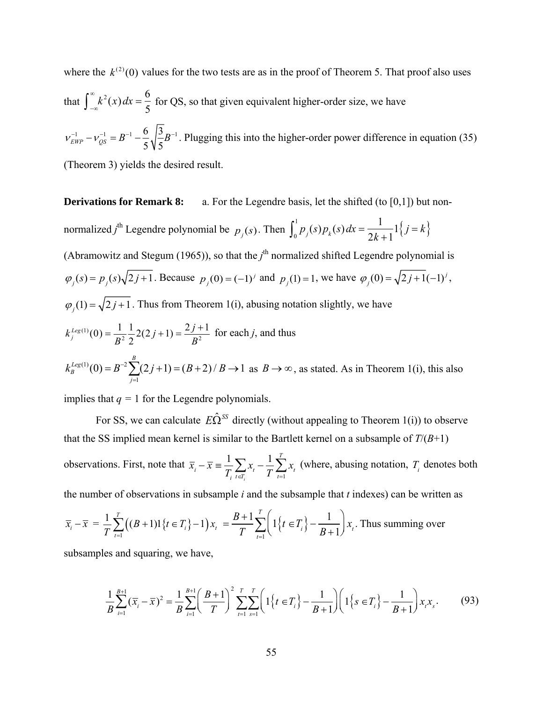where the  $k^{(2)}(0)$  values for the two tests are as in the proof of Theorem 5. That proof also uses that  $\int_{-\infty}^{\infty} k^2(x) dx = \frac{6}{5}$ 5 for QS, so that given equivalent higher-order size, we have 1  $\mathbf{1} \cdot \mathbf{1} = \mathbf{p}^{-1}$  6  $3 \mathbf{p}^{-1}$  $v_{EWP}^{-1} - v_{QS}^{-1} = B^{-1} - \frac{8}{5} \sqrt{\frac{3}{5}} B^{-1}$ . Plugging this into the higher-order power difference in equation (35) (Theorem 3) yields the desired result.

**Derivations for Remark 8:** a. For the Legendre basis, let the shifted (to [0,1]) but nonnormalized *j*<sup>th</sup> Legendre polynomial be  $p_j(s)$ . Then  $\int_0^1 p_j(s) p_k(s) dx = \frac{1}{2k+1}$  $1\{j = k\}$ (Abramowitz and Stegum (1965)), so that the  $j<sup>th</sup>$  normalized shifted Legendre polynomial is  $\varphi_j(s) = p_j(s)\sqrt{2j+1}$ . Because  $p_j(0) = (-1)^j$  and  $p_j(1) = 1$ , we have  $\varphi_j(0) = \sqrt{2j+1}(-1)^j$ ,  $\varphi_j(1) = \sqrt{2j+1}$ . Thus from Theorem 1(i), abusing notation slightly, we have (1)  $k_j^{Leg(1)}(0) = \frac{1}{B^2} \frac{1}{2} 2(2j+1) = \frac{2j+1}{B^2}$  for each *j*, and thus  $(1)$  (0)  $p^{-2}$ 1  $(0) = B^{-2} \sum (2j + 1) = (B + 2) / B \rightarrow 1$ *Leg*(1) ( ( ) =  $p^{-2}\sum_{i=1}^{B}$ *B j*  $k_B^{Leg(1)}(0) = B^{-2} \sum (2j+1) = (B+2)/B$  $B^{-2}$  $\sum_{j=1}^{n}(2j+1) = (B+2)/B \rightarrow 1$  as  $B \rightarrow \infty$ , as stated. As in Theorem 1(i), this also implies that  $q = 1$  for the Legendre polynomials.

For SS, we can calculate  $E\hat{\Omega}^{SS}$  directly (without appealing to Theorem 1(i)) to observe that the SS implied mean kernel is similar to the Bartlett kernel on a subsample of *T*/(*B*+1) observations. First, note that  $\overline{x}_i - \overline{x} = \frac{1}{T}$ *Ti xt tTi*  $\sum_{t \in T_i} x_t - \frac{1}{T} \sum_{t=1}^T x_t$  $\sum_{i=1}^{T} x_i$  (where, abusing notation,  $T_i$  denotes both the number of observations in subsample *i* and the subsample that *t* indexes) can be written as

$$
\overline{x}_{i} - \overline{x} = \frac{1}{T} \sum_{t=1}^{T} \left( (B + 1) \mathbb{1} \{ t \in T_{i} \} - 1 \right) x_{t} = \frac{B + 1}{T} \sum_{t=1}^{T} \left( \mathbb{1} \{ t \in T_{i} \} - \frac{1}{B + 1} \right) x_{t}.
$$
 Thus summing over

subsamples and squaring, we have,

$$
\frac{1}{B} \sum_{i=1}^{B+1} (\overline{x}_i - \overline{x})^2 = \frac{1}{B} \sum_{i=1}^{B+1} \left( \frac{B+1}{T} \right)^2 \sum_{t=1}^{T} \sum_{s=1}^{T} \left( 1\left\{t \in T_i\right\} - \frac{1}{B+1} \right) \left( 1\left\{s \in T_i\right\} - \frac{1}{B+1} \right) x_i x_s. \tag{93}
$$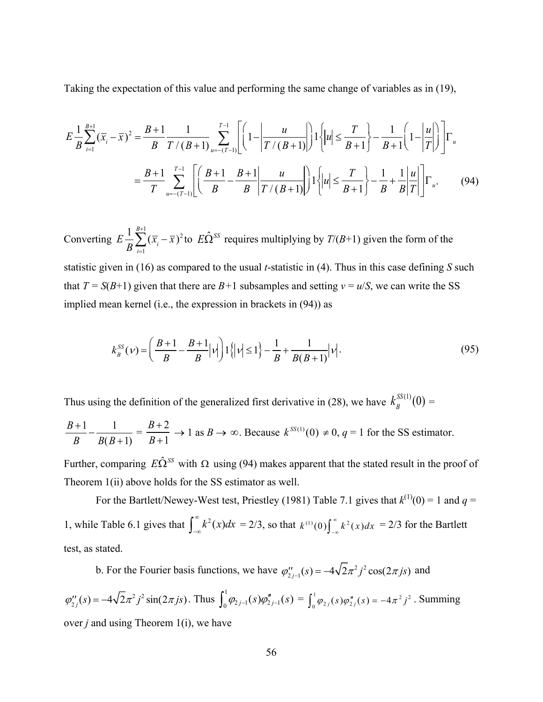Taking the expectation of this value and performing the same change of variables as in (19),

$$
E\frac{1}{B}\sum_{i=1}^{B+1}(\overline{x}_{i}-\overline{x})^{2} = \frac{B+1}{B}\frac{1}{T/(B+1)}\sum_{u=-(T-1)}^{T-1} \left[ \left(1-\left|\frac{u}{T/(B+1)}\right| \right)1\left\{ |u| \leq \frac{T}{B+1} \right\} - \frac{1}{B+1} \left(1-\left|\frac{u}{T}\right| \right) \right] \Gamma_{u}
$$

$$
= \frac{B+1}{T}\sum_{u=-(T-1)}^{T-1} \left[ \left(\frac{B+1}{B} - \frac{B+1}{B} \left|\frac{u}{T/(B+1)}\right| \right)1\left\{ |u| \leq \frac{T}{B+1} \right\} - \frac{1}{B} + \frac{1}{B}\left|\frac{u}{T}\right| \right] \Gamma_{u}.
$$
(94)

Converting  $E \frac{1}{B} \sum_{i=1}^{B+1} (\overline{x}_i - \overline{x})^2$ *i*=1  $\sum_{i=1}^{B+1} (\overline{x}_i - \overline{x})^2$  to  $E\hat{\Omega}^{SS}$  requires multiplying by  $T/(B+1)$  given the form of the statistic given in (16) as compared to the usual *t*-statistic in (4). Thus in this case defining *S* such that  $T = S(B+1)$  given that there are  $B+1$  subsamples and setting  $v = u/S$ , we can write the SS implied mean kernel (i.e., the expression in brackets in (94)) as

$$
k_B^{SS}(\nu) = \left(\frac{B+1}{B} - \frac{B+1}{B}|\nu|\right)1\{|\nu| \le 1\} - \frac{1}{B} + \frac{1}{B(B+1)}|\nu|.
$$
\n(95)

Thus using the definition of the generalized first derivative in (28), we have  $k_B^{\text{SS(1)}}(0)$  =

$$
\frac{B+1}{B} - \frac{1}{B(B+1)} = \frac{B+2}{B+1} \to 1 \text{ as } B \to \infty. \text{ Because } k^{SS(1)}(0) \neq 0, q = 1 \text{ for the SS estimator.}
$$

Further, comparing  $E\hat{\Omega}^{SS}$  with  $\Omega$  using (94) makes apparent that the stated result in the proof of Theorem 1(ii) above holds for the SS estimator as well.

For the Bartlett/Newey-West test, Priestley (1981) Table 7.1 gives that  $k^{(1)}(0) = 1$  and  $q =$ 1, while Table 6.1 gives that  $\int_{-\infty}^{\infty} k^2(x) dx = 2/3$ , so that  $k^{(1)}(0) \int_{-\infty}^{\infty} k^2(x) dx = 2/3$  for the Bartlett test, as stated.

b. For the Fourier basis functions, we have  $\varphi''_{2j-1}(s) = -4\sqrt{2\pi^2 j^2} \cos(2\pi j s)$  and

 $\varphi''_{2j}(s) = -4\sqrt{2}\pi^2 j^2 \sin(2\pi js)$ . Thus  $\int_0^1 \varphi_{2j-1}(s) \varphi''_{2j-1}(s) = \int_0^1 \varphi_{2j}(s) \varphi''_{2j}(s) = -4\pi^2 j^2$ . Summing over *j* and using Theorem 1(i), we have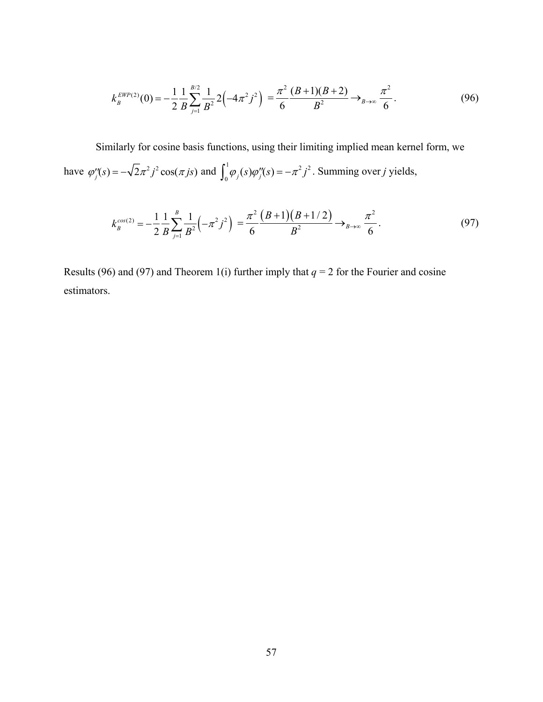$$
k_B^{EWP(2)}(0) = -\frac{1}{2} \frac{1}{B} \sum_{j=1}^{B/2} \frac{1}{B^2} 2\left(-4\pi^2 j^2\right) = \frac{\pi^2}{6} \frac{(B+1)(B+2)}{B^2} \longrightarrow_{B \to \infty} \frac{\pi^2}{6}.
$$
 (96)

Similarly for cosine basis functions, using their limiting implied mean kernel form, we have  $\varphi''_j(s) = -\sqrt{2\pi^2 j^2} \cos(\pi j s)$  and  $\int_0^1 \varphi_j(s) \varphi''_j(s) = -\pi^2 j^2$ . Summing over *j* yields,

$$
k_B^{\cos(2)} = -\frac{1}{2} \frac{1}{B} \sum_{j=1}^{B} \frac{1}{B^2} \left( -\pi^2 j^2 \right) = \frac{\pi^2}{6} \frac{(B+1)(B+1/2)}{B^2} \longrightarrow_{B \to \infty} \frac{\pi^2}{6}.
$$
 (97)

Results (96) and (97) and Theorem 1(i) further imply that  $q = 2$  for the Fourier and cosine estimators.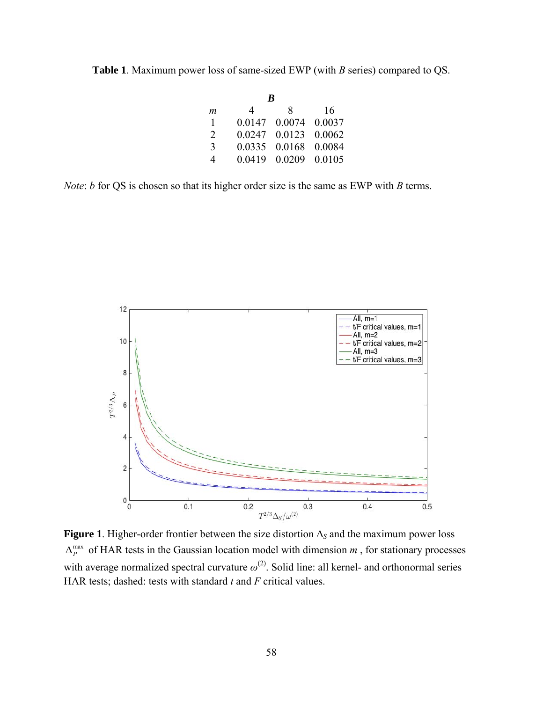**Table 1**. Maximum power loss of same-sized EWP (with *B* series) compared to QS.

| B |        |        |        |
|---|--------|--------|--------|
| m | 4      | 8      | 16     |
| 1 | 0.0147 | 0.0074 | 0.0037 |
| 2 | 0.0247 | 0.0123 | 0.0062 |
| 3 | 0.0335 | 0.0168 | 0.0084 |
| 4 | 0.0419 | 0.0209 | 0.0105 |

*Note*: *b* for QS is chosen so that its higher order size is the same as EWP with *B* terms.



**Figure 1**. Higher-order frontier between the size distortion Δ*S* and the maximum power loss  $\Delta_P^{\text{max}}$  of HAR tests in the Gaussian location model with dimension *m*, for stationary processes with average normalized spectral curvature  $\omega^{(2)}$ . Solid line: all kernel- and orthonormal series HAR tests; dashed: tests with standard *t* and *F* critical values.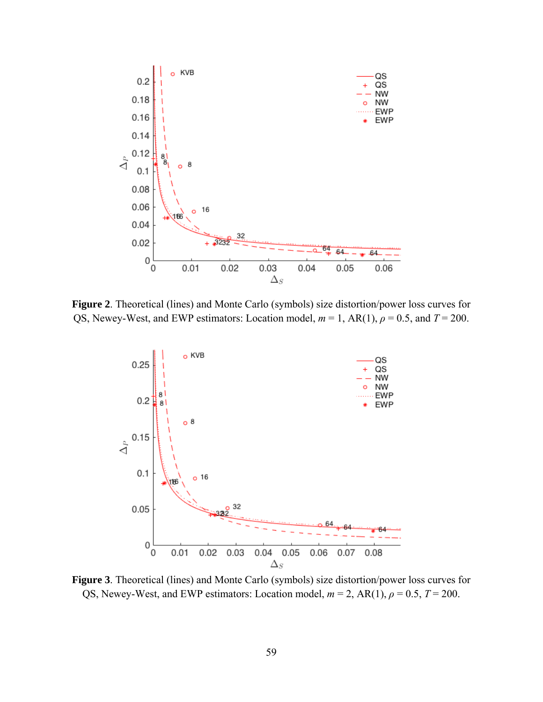

**Figure 2**. Theoretical (lines) and Monte Carlo (symbols) size distortion/power loss curves for QS, Newey-West, and EWP estimators: Location model,  $m = 1$ , AR(1),  $\rho = 0.5$ , and  $T = 200$ .



**Figure 3**. Theoretical (lines) and Monte Carlo (symbols) size distortion/power loss curves for QS, Newey-West, and EWP estimators: Location model,  $m = 2$ , AR(1),  $\rho = 0.5$ ,  $T = 200$ .